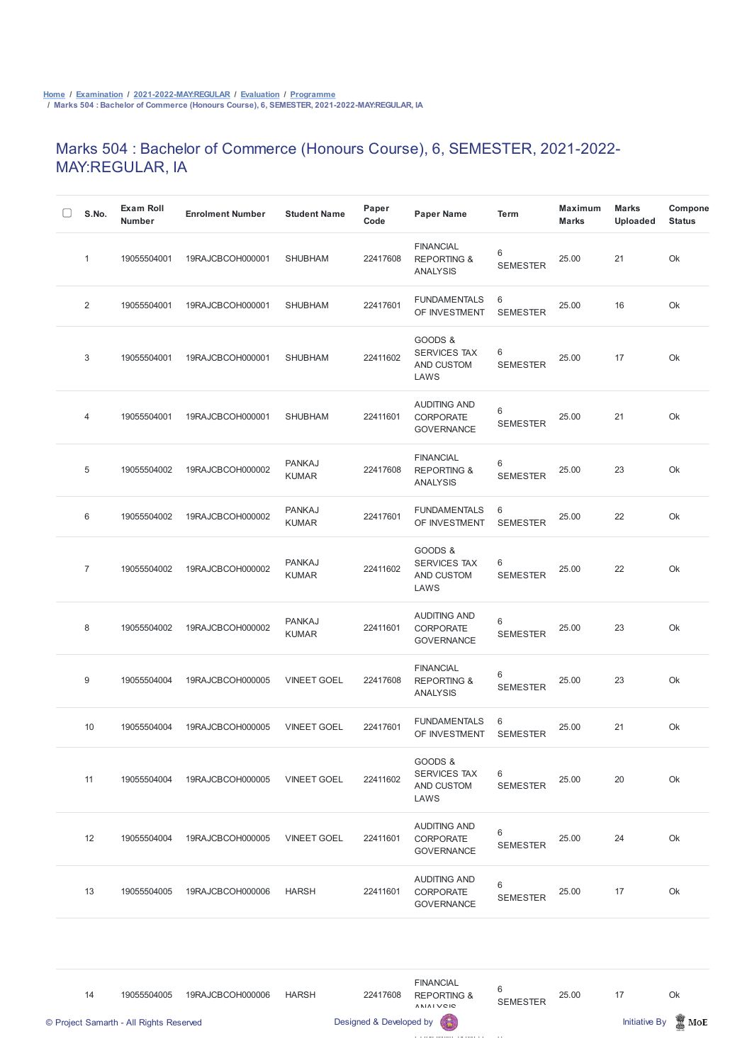## Marks 504 : Bachelor of Commerce (Honours Course), 6, SEMESTER, 2021-2022- MAY:REGULAR, IA

| S.No.          | <b>Exam Roll</b><br><b>Number</b> | <b>Enrolment Number</b> | <b>Student Name</b>           | Paper<br>Code | <b>Paper Name</b>                                             | <b>Term</b>          | <b>Maximum</b><br><b>Marks</b> | <b>Marks</b><br><b>Uploaded</b> | Compone<br><b>Status</b> |
|----------------|-----------------------------------|-------------------------|-------------------------------|---------------|---------------------------------------------------------------|----------------------|--------------------------------|---------------------------------|--------------------------|
| $\mathbf{1}$   | 19055504001                       | 19RAJCBCOH000001        | <b>SHUBHAM</b>                | 22417608      | <b>FINANCIAL</b><br><b>REPORTING &amp;</b><br><b>ANALYSIS</b> | 6<br><b>SEMESTER</b> | 25.00                          | 21                              | Ok                       |
| $\overline{2}$ | 19055504001                       | 19RAJCBCOH000001        | <b>SHUBHAM</b>                | 22417601      | <b>FUNDAMENTALS</b><br>OF INVESTMENT                          | 6<br><b>SEMESTER</b> | 25.00                          | 16                              | Ok                       |
| 3              | 19055504001                       | 19RAJCBCOH000001        | <b>SHUBHAM</b>                | 22411602      | GOODS &<br><b>SERVICES TAX</b><br>AND CUSTOM<br>LAWS          | 6<br><b>SEMESTER</b> | 25.00                          | 17                              | Ok                       |
| 4              | 19055504001                       | 19RAJCBCOH000001        | <b>SHUBHAM</b>                | 22411601      | <b>AUDITING AND</b><br><b>CORPORATE</b><br><b>GOVERNANCE</b>  | 6<br><b>SEMESTER</b> | 25.00                          | 21                              | Ok                       |
| 5              | 19055504002                       | 19RAJCBCOH000002        | <b>PANKAJ</b><br><b>KUMAR</b> | 22417608      | <b>FINANCIAL</b><br><b>REPORTING &amp;</b><br><b>ANALYSIS</b> | 6<br><b>SEMESTER</b> | 25.00                          | 23                              | Ok                       |
| 6              | 19055504002                       | 19RAJCBCOH000002        | <b>PANKAJ</b><br><b>KUMAR</b> | 22417601      | <b>FUNDAMENTALS</b><br>OF INVESTMENT                          | 6<br><b>SEMESTER</b> | 25.00                          | 22                              | Ok                       |
| $\overline{7}$ | 19055504002                       | 19RAJCBCOH000002        | <b>PANKAJ</b><br><b>KUMAR</b> | 22411602      | GOODS &<br><b>SERVICES TAX</b><br>AND CUSTOM<br>LAWS          | 6<br><b>SEMESTER</b> | 25.00                          | 22                              | Ok                       |
| 8              | 19055504002                       | 19RAJCBCOH000002        | <b>PANKAJ</b><br><b>KUMAR</b> | 22411601      | <b>AUDITING AND</b><br><b>CORPORATE</b><br><b>GOVERNANCE</b>  | 6<br><b>SEMESTER</b> | 25.00                          | 23                              | Ok                       |
| 9              | 19055504004                       | 19RAJCBCOH000005        | <b>VINEET GOEL</b>            | 22417608      | <b>FINANCIAL</b><br><b>REPORTING &amp;</b><br><b>ANALYSIS</b> | 6<br><b>SEMESTER</b> | 25.00                          | 23                              | Ok                       |
| 10             | 19055504004                       | 19RAJCBCOH000005        | <b>VINEET GOEL</b>            | 22417601      | <b>FUNDAMENTALS</b><br>OF INVESTMENT                          | 6<br><b>SEMESTER</b> | 25.00                          | 21                              | Ok                       |
| 11             | 19055504004                       | 19RAJCBCOH000005        | <b>VINEET GOEL</b>            | 22411602      | GOODS &<br><b>SERVICES TAX</b><br>AND CUSTOM<br>LAWS          | 6<br><b>SEMESTER</b> | 25.00                          | 20                              | Ok                       |



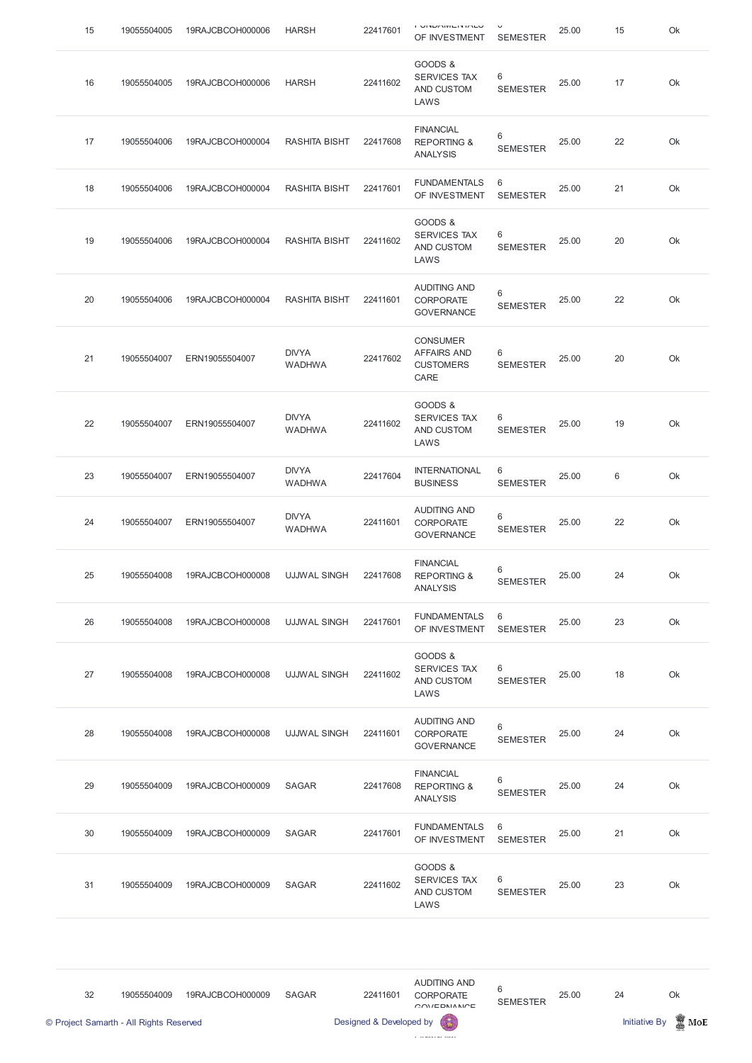| 15 | 19055504005 | 19RAJCBCOH000006 | <b>HARSH</b>                  | 22417601 | <b>UNUL BULLER IN LATE</b><br>OF INVESTMENT                       | $\checkmark$<br><b>SEMESTER</b> | 25.00 | 15 | Ok |
|----|-------------|------------------|-------------------------------|----------|-------------------------------------------------------------------|---------------------------------|-------|----|----|
| 16 | 19055504005 | 19RAJCBCOH000006 | <b>HARSH</b>                  | 22411602 | GOODS &<br><b>SERVICES TAX</b><br>AND CUSTOM<br>LAWS              | 6<br><b>SEMESTER</b>            | 25.00 | 17 | Ok |
| 17 | 19055504006 | 19RAJCBCOH000004 | <b>RASHITA BISHT</b>          | 22417608 | <b>FINANCIAL</b><br><b>REPORTING &amp;</b><br><b>ANALYSIS</b>     | 6<br><b>SEMESTER</b>            | 25.00 | 22 | Ok |
| 18 | 19055504006 | 19RAJCBCOH000004 | <b>RASHITA BISHT</b>          | 22417601 | <b>FUNDAMENTALS</b><br>OF INVESTMENT                              | 6<br><b>SEMESTER</b>            | 25.00 | 21 | Ok |
| 19 | 19055504006 | 19RAJCBCOH000004 | <b>RASHITA BISHT</b>          | 22411602 | GOODS &<br><b>SERVICES TAX</b><br>AND CUSTOM<br>LAWS              | 6<br><b>SEMESTER</b>            | 25.00 | 20 | Ok |
| 20 | 19055504006 | 19RAJCBCOH000004 | <b>RASHITA BISHT</b>          | 22411601 | <b>AUDITING AND</b><br><b>CORPORATE</b><br><b>GOVERNANCE</b>      | 6<br><b>SEMESTER</b>            | 25.00 | 22 | Ok |
| 21 | 19055504007 | ERN19055504007   | <b>DIVYA</b><br><b>WADHWA</b> | 22417602 | <b>CONSUMER</b><br><b>AFFAIRS AND</b><br><b>CUSTOMERS</b><br>CARE | 6<br><b>SEMESTER</b>            | 25.00 | 20 | Ok |
| 22 | 19055504007 | ERN19055504007   | <b>DIVYA</b><br><b>WADHWA</b> | 22411602 | GOODS &<br>SERVICES TAX<br>AND CUSTOM<br>LAWS                     | 6<br><b>SEMESTER</b>            | 25.00 | 19 | Ok |
| 23 | 19055504007 | ERN19055504007   | <b>DIVYA</b><br><b>WADHWA</b> | 22417604 | <b>INTERNATIONAL</b><br><b>BUSINESS</b>                           | 6<br><b>SEMESTER</b>            | 25.00 | 6  | Ok |
| 24 | 19055504007 | ERN19055504007   | <b>DIVYA</b><br><b>WADHWA</b> | 22411601 | <b>AUDITING AND</b><br><b>CORPORATE</b><br><b>GOVERNANCE</b>      | 6<br><b>SEMESTER</b>            | 25.00 | 22 | Ok |
| 25 | 19055504008 | 19RAJCBCOH000008 | <b>UJJWAL SINGH</b>           | 22417608 | <b>FINANCIAL</b><br><b>REPORTING &amp;</b><br><b>ANALYSIS</b>     | 6<br><b>SEMESTER</b>            | 25.00 | 24 | Ok |
| 26 | 19055504008 | 19RAJCBCOH000008 | <b>UJJWAL SINGH</b>           | 22417601 | <b>FUNDAMENTALS</b><br>OF INVESTMENT                              | 6<br><b>SEMESTER</b>            | 25.00 | 23 | Ok |
| 27 | 19055504008 | 19RAJCBCOH000008 | <b>UJJWAL SINGH</b>           | 22411602 | GOODS &<br><b>SERVICES TAX</b><br>AND CUSTOM<br>LAWS              | 6<br><b>SEMESTER</b>            | 25.00 | 18 | Ok |
| 28 | 19055504008 | 19RAJCBCOH000008 | <b>UJJWAL SINGH</b>           | 22411601 | <b>AUDITING AND</b><br>CORPORATE<br><b>GOVERNANCE</b>             | 6<br><b>SEMESTER</b>            | 25.00 | 24 | Ok |
| 29 | 19055504009 | 19RAJCBCOH000009 | <b>SAGAR</b>                  | 22417608 | <b>FINANCIAL</b><br><b>REPORTING &amp;</b><br><b>ANALYSIS</b>     | 6<br><b>SEMESTER</b>            | 25.00 | 24 | Ok |

| 30 | 19055504009 | 19RAJCBCOH000009 | <b>SAGAR</b> | 22417601 | <b>FUNDAMENTALS</b><br>OF INVESTMENT                 | - 6<br><b>SEMESTER</b> | 25.00 | 21 | Ok |
|----|-------------|------------------|--------------|----------|------------------------------------------------------|------------------------|-------|----|----|
| 31 | 19055504009 | 19RAJCBCOH000009 | SAGAR        | 22411602 | GOODS &<br><b>SERVICES TAX</b><br>AND CUSTOM<br>LAWS | 6<br><b>SEMESTER</b>   | 25.00 | 23 | Ok |

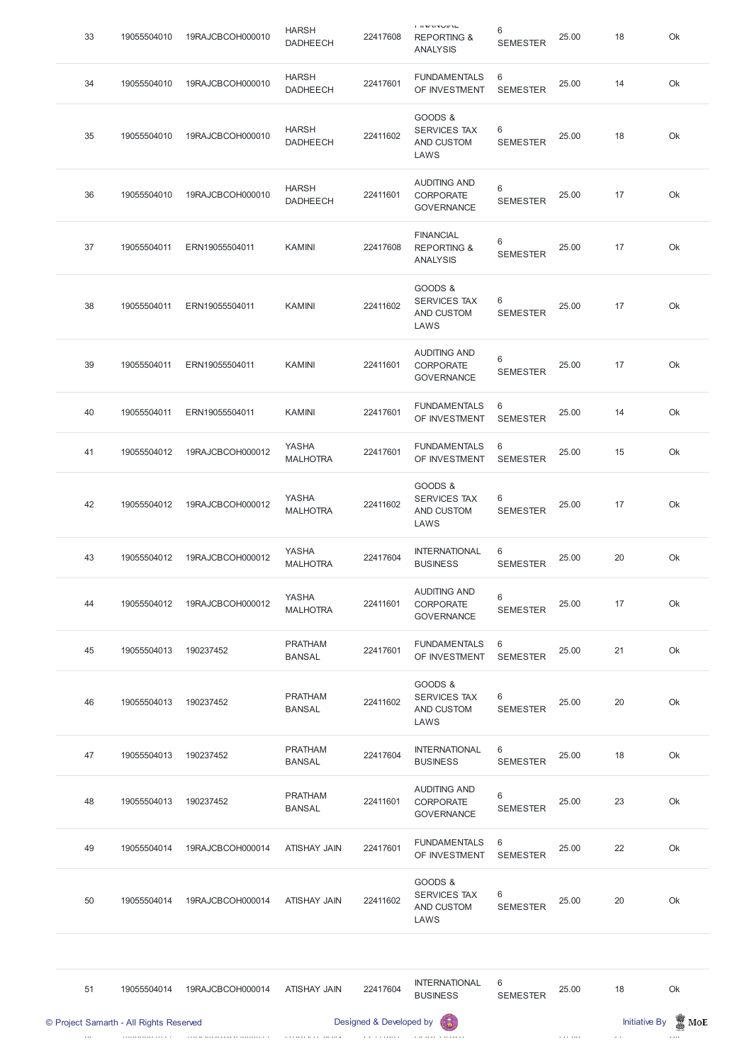|    | © Project Samarth - All Rights Reserved |                  |                                 | Designed & Developed by |                                                                     |                          |       | <b>Initiative By</b> | $\mathbb Z$ MoE |
|----|-----------------------------------------|------------------|---------------------------------|-------------------------|---------------------------------------------------------------------|--------------------------|-------|----------------------|-----------------|
| 51 | 19055504014                             | 19RAJCBCOH000014 | <b>ATISHAY JAIN</b>             | 22417604                | <b>INTERNATIONAL</b><br><b>BUSINESS</b>                             | 6<br><b>SEMESTER</b>     | 25.00 | 18                   | Ok              |
| 50 | 19055504014                             | 19RAJCBCOH000014 | ATISHAY JAIN                    | 22411602                | GOODS &<br><b>SERVICES TAX</b><br>AND CUSTOM<br>LAWS                | 6<br><b>SEMESTER</b>     | 25.00 | 20                   | Ok              |
| 49 | 19055504014                             | 19RAJCBCOH000014 | <b>ATISHAY JAIN</b>             | 22417601                | <b>FUNDAMENTALS</b><br>OF INVESTMENT                                | 6<br><b>SEMESTER</b>     | 25.00 | 22                   | Ok              |
| 48 | 19055504013                             | 190237452        | <b>PRATHAM</b><br><b>BANSAL</b> | 22411601                | <b>AUDITING AND</b><br>CORPORATE<br><b>GOVERNANCE</b>               | 6<br><b>SEMESTER</b>     | 25.00 | 23                   | Ok              |
| 47 | 19055504013                             | 190237452        | <b>PRATHAM</b><br><b>BANSAL</b> | 22417604                | <b>INTERNATIONAL</b><br><b>BUSINESS</b>                             | 6<br><b>SEMESTER</b>     | 25.00 | 18                   | Ok              |
| 46 | 19055504013                             | 190237452        | <b>PRATHAM</b><br><b>BANSAL</b> | 22411602                | GOODS &<br>SERVICES TAX<br>AND CUSTOM<br>LAWS                       | 6<br><b>SEMESTER</b>     | 25.00 | 20                   | Ok              |
| 45 | 19055504013                             | 190237452        | <b>PRATHAM</b><br><b>BANSAL</b> | 22417601                | <b>FUNDAMENTALS</b><br>OF INVESTMENT                                | 6<br><b>SEMESTER</b>     | 25.00 | 21                   | Ok              |
| 44 | 19055504012                             | 19RAJCBCOH000012 | YASHA<br><b>MALHOTRA</b>        | 22411601                | <b>AUDITING AND</b><br><b>CORPORATE</b><br><b>GOVERNANCE</b>        | $\,6$<br><b>SEMESTER</b> | 25.00 | 17                   | Ok              |
| 43 | 19055504012                             | 19RAJCBCOH000012 | YASHA<br><b>MALHOTRA</b>        | 22417604                | <b>INTERNATIONAL</b><br><b>BUSINESS</b>                             | 6<br><b>SEMESTER</b>     | 25.00 | 20                   | Ok              |
| 42 | 19055504012                             | 19RAJCBCOH000012 | YASHA<br><b>MALHOTRA</b>        | 22411602                | GOODS &<br><b>SERVICES TAX</b><br>AND CUSTOM<br>LAWS                | 6<br><b>SEMESTER</b>     | 25.00 | 17                   | Ok              |
| 41 | 19055504012                             | 19RAJCBCOH000012 | YASHA<br><b>MALHOTRA</b>        | 22417601                | <b>FUNDAMENTALS</b><br>OF INVESTMENT                                | 6<br><b>SEMESTER</b>     | 25.00 | 15                   | Ok              |
| 40 | 19055504011                             | ERN19055504011   | <b>KAMINI</b>                   | 22417601                | <b>FUNDAMENTALS</b><br>OF INVESTMENT                                | 6<br><b>SEMESTER</b>     | 25.00 | 14                   | Ok              |
| 39 | 19055504011                             | ERN19055504011   | <b>KAMINI</b>                   | 22411601                | <b>AUDITING AND</b><br><b>CORPORATE</b><br><b>GOVERNANCE</b>        | $6\,$<br><b>SEMESTER</b> | 25.00 | 17                   | Ok              |
| 38 | 19055504011                             | ERN19055504011   | <b>KAMINI</b>                   | 22411602                | GOODS &<br>SERVICES TAX<br>AND CUSTOM<br>LAWS                       | 6<br><b>SEMESTER</b>     | 25.00 | 17                   | Ok              |
| 37 | 19055504011                             | ERN19055504011   | <b>KAMINI</b>                   | 22417608                | <b>FINANCIAL</b><br><b>REPORTING &amp;</b><br><b>ANALYSIS</b>       | $6\,$<br><b>SEMESTER</b> | 25.00 | 17                   | Ok              |
| 36 | 19055504010                             | 19RAJCBCOH000010 | <b>HARSH</b><br><b>DADHEECH</b> | 22411601                | <b>AUDITING AND</b><br><b>CORPORATE</b><br><b>GOVERNANCE</b>        | $6\,$<br><b>SEMESTER</b> | 25.00 | 17                   | Ok              |
| 35 | 19055504010                             | 19RAJCBCOH000010 | <b>HARSH</b><br><b>DADHEECH</b> | 22411602                | GOODS &<br><b>SERVICES TAX</b><br>AND CUSTOM<br>LAWS                | 6<br><b>SEMESTER</b>     | 25.00 | 18                   | Ok              |
| 34 | 19055504010                             | 19RAJCBCOH000010 | <b>HARSH</b><br><b>DADHEECH</b> | 22417601                | <b>FUNDAMENTALS</b><br>OF INVESTMENT                                | 6<br><b>SEMESTER</b>     | 25.00 | 14                   | Ok              |
| 33 | 19055504010                             | 19RAJCBCOH000010 | <b>HARSH</b><br><b>DADHEECH</b> | 22417608                | <b>THE MAN AND ALL</b><br><b>REPORTING &amp;</b><br><b>ANALYSIS</b> | 6<br><b>SEMESTER</b>     | 25.00 | 18                   | Ok              |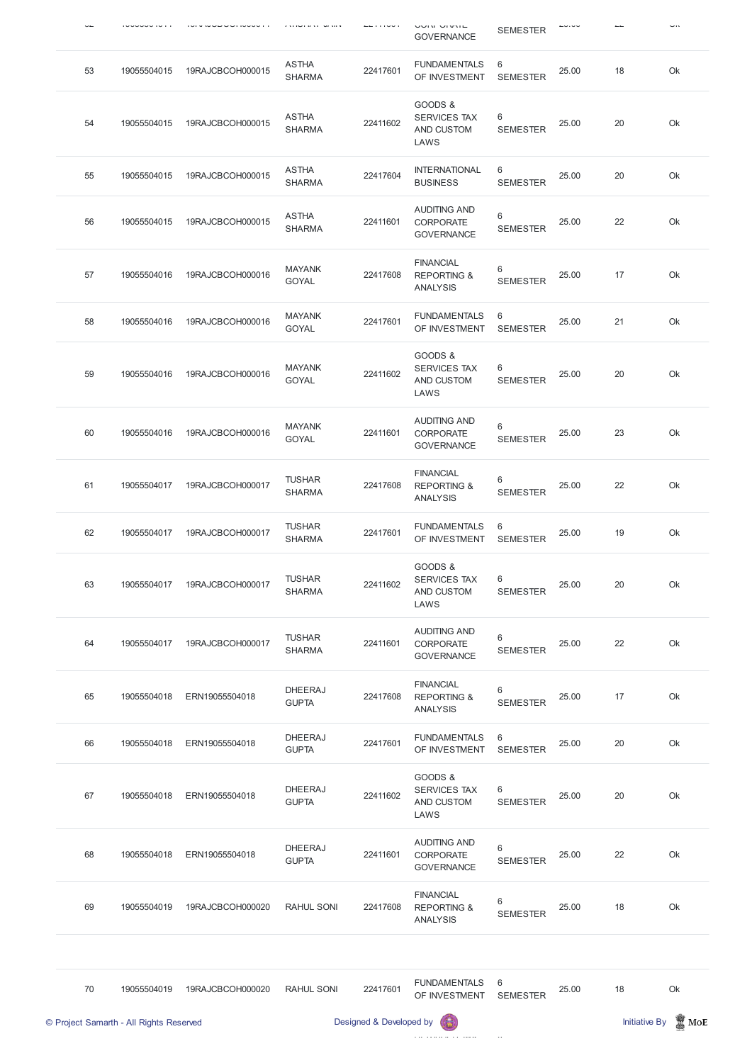|    |                                         |                  |                                |                         | <b>OUIN UIVIL</b><br><b>GOVERNANCE</b>                        | <b>SEMESTER</b>                    |       |                      | <b></b>         |
|----|-----------------------------------------|------------------|--------------------------------|-------------------------|---------------------------------------------------------------|------------------------------------|-------|----------------------|-----------------|
| 53 | 19055504015                             | 19RAJCBCOH000015 | <b>ASTHA</b><br><b>SHARMA</b>  | 22417601                | <b>FUNDAMENTALS</b><br>OF INVESTMENT                          | 6<br><b>SEMESTER</b>               | 25.00 | 18                   | Ok              |
| 54 | 19055504015                             | 19RAJCBCOH000015 | <b>ASTHA</b><br><b>SHARMA</b>  | 22411602                | GOODS &<br><b>SERVICES TAX</b><br>AND CUSTOM<br>LAWS          | 6<br><b>SEMESTER</b>               | 25.00 | 20                   | Ok              |
| 55 | 19055504015                             | 19RAJCBCOH000015 | <b>ASTHA</b><br><b>SHARMA</b>  | 22417604                | <b>INTERNATIONAL</b><br><b>BUSINESS</b>                       | 6<br><b>SEMESTER</b>               | 25.00 | 20                   | Ok              |
| 56 | 19055504015                             | 19RAJCBCOH000015 | <b>ASTHA</b><br><b>SHARMA</b>  | 22411601                | <b>AUDITING AND</b><br><b>CORPORATE</b><br><b>GOVERNANCE</b>  | 6<br><b>SEMESTER</b>               | 25.00 | 22                   | Ok              |
| 57 | 19055504016                             | 19RAJCBCOH000016 | <b>MAYANK</b><br><b>GOYAL</b>  | 22417608                | <b>FINANCIAL</b><br><b>REPORTING &amp;</b><br><b>ANALYSIS</b> | 6<br><b>SEMESTER</b>               | 25.00 | 17                   | Ok              |
| 58 | 19055504016                             | 19RAJCBCOH000016 | <b>MAYANK</b><br><b>GOYAL</b>  | 22417601                | <b>FUNDAMENTALS</b><br>OF INVESTMENT                          | 6<br><b>SEMESTER</b>               | 25.00 | 21                   | Ok              |
| 59 | 19055504016                             | 19RAJCBCOH000016 | <b>MAYANK</b><br><b>GOYAL</b>  | 22411602                | GOODS &<br><b>SERVICES TAX</b><br>AND CUSTOM<br>LAWS          | 6<br><b>SEMESTER</b>               | 25.00 | 20                   | Ok              |
| 60 | 19055504016                             | 19RAJCBCOH000016 | <b>MAYANK</b><br><b>GOYAL</b>  | 22411601                | <b>AUDITING AND</b><br><b>CORPORATE</b><br><b>GOVERNANCE</b>  | 6<br><b>SEMESTER</b>               | 25.00 | 23                   | Ok              |
| 61 | 19055504017                             | 19RAJCBCOH000017 | <b>TUSHAR</b><br><b>SHARMA</b> | 22417608                | <b>FINANCIAL</b><br><b>REPORTING &amp;</b><br><b>ANALYSIS</b> | 6<br><b>SEMESTER</b>               | 25.00 | 22                   | Ok              |
| 62 | 19055504017                             | 19RAJCBCOH000017 | <b>TUSHAR</b><br><b>SHARMA</b> | 22417601                | <b>FUNDAMENTALS</b><br>OF INVESTMENT                          | 6<br><b>SEMESTER</b>               | 25.00 | 19                   | Ok              |
| 63 | 19055504017                             | 19RAJCBCOH000017 | <b>TUSHAR</b><br><b>SHARMA</b> | 22411602                | GOODS &<br><b>SERVICES TAX</b><br>AND CUSTOM<br>LAWS          | 6<br><b>SEMESTER</b>               | 25.00 | 20                   | Ok              |
| 64 | 19055504017                             | 19RAJCBCOH000017 | <b>TUSHAR</b><br><b>SHARMA</b> | 22411601                | <b>AUDITING AND</b><br><b>CORPORATE</b><br><b>GOVERNANCE</b>  | 6<br><b>SEMESTER</b>               | 25.00 | 22                   | Ok              |
| 65 | 19055504018                             | ERN19055504018   | <b>DHEERAJ</b><br><b>GUPTA</b> | 22417608                | <b>FINANCIAL</b><br><b>REPORTING &amp;</b><br><b>ANALYSIS</b> | 6<br><b>SEMESTER</b>               | 25.00 | 17                   | Ok              |
| 66 | 19055504018                             | ERN19055504018   | <b>DHEERAJ</b><br><b>GUPTA</b> | 22417601                | <b>FUNDAMENTALS</b><br>OF INVESTMENT                          | 6<br><b>SEMESTER</b>               | 25.00 | 20                   | Ok              |
| 67 | 19055504018                             | ERN19055504018   | <b>DHEERAJ</b><br><b>GUPTA</b> | 22411602                | GOODS &<br><b>SERVICES TAX</b><br>AND CUSTOM<br>LAWS          | 6<br><b>SEMESTER</b>               | 25.00 | 20                   | Ok              |
| 68 | 19055504018                             | ERN19055504018   | <b>DHEERAJ</b><br><b>GUPTA</b> | 22411601                | <b>AUDITING AND</b><br><b>CORPORATE</b><br><b>GOVERNANCE</b>  | 6<br><b>SEMESTER</b>               | 25.00 | 22                   | Ok              |
| 69 | 19055504019                             | 19RAJCBCOH000020 | RAHUL SONI                     | 22417608                | <b>FINANCIAL</b><br><b>REPORTING &amp;</b><br><b>ANALYSIS</b> | 6<br><b>SEMESTER</b>               | 25.00 | 18                   | Ok              |
| 70 | 19055504019                             | 19RAJCBCOH000020 | RAHUL SONI                     | 22417601                | <b>FUNDAMENTALS</b><br>OF INVESTMENT                          | $6\phantom{1}6$<br><b>SEMESTER</b> | 25.00 | 18                   | Ok              |
|    | © Project Samarth - All Rights Reserved |                  |                                | Designed & Developed by |                                                               |                                    |       | <b>Initiative By</b> | $\mathbb Z$ MoE |
|    |                                         |                  |                                |                         |                                                               |                                    |       |                      |                 |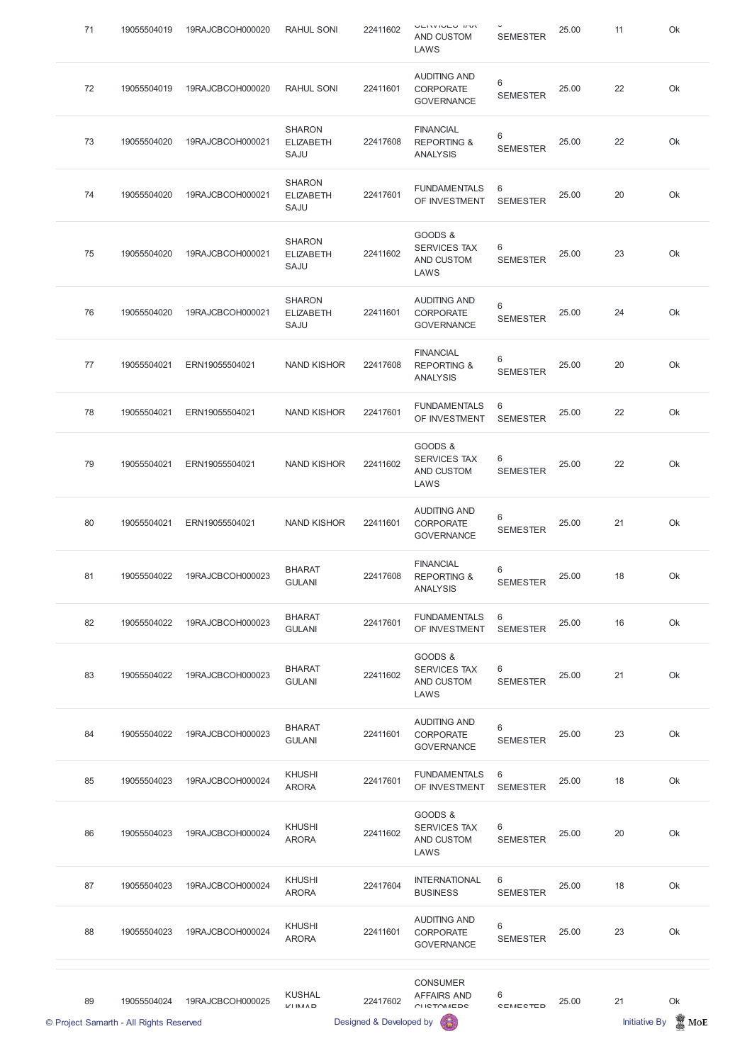| 71 | 19055504019 | 19RAJCBCOH000020 | <b>RAHUL SONI</b>                         | 22411602 | <b>VEIVOULY DV</b><br>AND CUSTOM<br>LAWS                      | <b>SEMESTER</b>      | 25.00 | 11 | Ok |
|----|-------------|------------------|-------------------------------------------|----------|---------------------------------------------------------------|----------------------|-------|----|----|
| 72 | 19055504019 | 19RAJCBCOH000020 | RAHUL SONI                                | 22411601 | <b>AUDITING AND</b><br><b>CORPORATE</b><br><b>GOVERNANCE</b>  | 6<br><b>SEMESTER</b> | 25.00 | 22 | Ok |
| 73 | 19055504020 | 19RAJCBCOH000021 | <b>SHARON</b><br><b>ELIZABETH</b><br>SAJU | 22417608 | <b>FINANCIAL</b><br><b>REPORTING &amp;</b><br><b>ANALYSIS</b> | 6<br><b>SEMESTER</b> | 25.00 | 22 | Ok |
| 74 | 19055504020 | 19RAJCBCOH000021 | <b>SHARON</b><br><b>ELIZABETH</b><br>SAJU | 22417601 | <b>FUNDAMENTALS</b><br>OF INVESTMENT                          | 6<br><b>SEMESTER</b> | 25.00 | 20 | Ok |
| 75 | 19055504020 | 19RAJCBCOH000021 | <b>SHARON</b><br><b>ELIZABETH</b><br>SAJU | 22411602 | GOODS &<br><b>SERVICES TAX</b><br>AND CUSTOM<br>LAWS          | 6<br><b>SEMESTER</b> | 25.00 | 23 | Ok |
| 76 | 19055504020 | 19RAJCBCOH000021 | <b>SHARON</b><br><b>ELIZABETH</b><br>SAJU | 22411601 | <b>AUDITING AND</b><br><b>CORPORATE</b><br><b>GOVERNANCE</b>  | 6<br><b>SEMESTER</b> | 25.00 | 24 | Ok |
| 77 | 19055504021 | ERN19055504021   | <b>NAND KISHOR</b>                        | 22417608 | <b>FINANCIAL</b><br><b>REPORTING &amp;</b><br><b>ANALYSIS</b> | 6<br><b>SEMESTER</b> | 25.00 | 20 | Ok |
| 78 | 19055504021 | ERN19055504021   | <b>NAND KISHOR</b>                        | 22417601 | <b>FUNDAMENTALS</b><br>OF INVESTMENT SEMESTER                 | 6                    | 25.00 | 22 | Ok |
| 79 | 19055504021 | ERN19055504021   | <b>NAND KISHOR</b>                        | 22411602 | GOODS &<br><b>SERVICES TAX</b><br>AND CUSTOM<br>LAWS          | 6<br><b>SEMESTER</b> | 25.00 | 22 | Ok |
| 80 | 19055504021 | ERN19055504021   | <b>NAND KISHOR</b>                        | 22411601 | <b>AUDITING AND</b><br><b>CORPORATE</b><br><b>GOVERNANCE</b>  | 6<br><b>SEMESTER</b> | 25.00 | 21 | Ok |
| 81 | 19055504022 | 19RAJCBCOH000023 | <b>BHARAT</b><br><b>GULANI</b>            | 22417608 | <b>FINANCIAL</b><br><b>REPORTING &amp;</b><br><b>ANALYSIS</b> | 6<br><b>SEMESTER</b> | 25.00 | 18 | Ok |
| 82 | 19055504022 | 19RAJCBCOH000023 | <b>BHARAT</b><br><b>GULANI</b>            | 22417601 | <b>FUNDAMENTALS</b><br>OF INVESTMENT                          | 6<br><b>SEMESTER</b> | 25.00 | 16 | Ok |
| 83 | 19055504022 | 19RAJCBCOH000023 | <b>BHARAT</b><br><b>GULANI</b>            | 22411602 | GOODS &<br><b>SERVICES TAX</b><br>AND CUSTOM<br>LAWS          | 6<br><b>SEMESTER</b> | 25.00 | 21 | Ok |
| 84 | 19055504022 | 19RAJCBCOH000023 | <b>BHARAT</b><br><b>GULANI</b>            | 22411601 | <b>AUDITING AND</b><br><b>CORPORATE</b><br><b>GOVERNANCE</b>  | 6<br><b>SEMESTER</b> | 25.00 | 23 | Ok |
| 85 | 19055504023 | 19RAJCBCOH000024 | <b>KHUSHI</b><br><b>ARORA</b>             | 22417601 | <b>FUNDAMENTALS</b><br>OF INVESTMENT                          | 6<br><b>SEMESTER</b> | 25.00 | 18 | Ok |

| © Project Samarth - All Rights Reserved |    |             |                  | Designed & Developed by                 |          |                                                              |                      | <b>Initiative By</b><br>MoE |    |    |
|-----------------------------------------|----|-------------|------------------|-----------------------------------------|----------|--------------------------------------------------------------|----------------------|-----------------------------|----|----|
|                                         | 89 | 19055504024 | 19RAJCBCOH000025 | <b>KUSHAL</b><br>$L'/L$ IN $A \wedge D$ | 22417602 | <b>CONSUMER</b><br><b>AFFAIRS AND</b><br><b>CUCTOMEDO</b>    | 6<br>CEMECTED        | 25.00                       | 21 | Ok |
|                                         | 88 | 19055504023 | 19RAJCBCOH000024 | <b>KHUSHI</b><br><b>ARORA</b>           | 22411601 | <b>AUDITING AND</b><br><b>CORPORATE</b><br><b>GOVERNANCE</b> | 6<br><b>SEMESTER</b> | 25.00                       | 23 | Ok |
|                                         | 87 | 19055504023 | 19RAJCBCOH000024 | <b>KHUSHI</b><br><b>ARORA</b>           | 22417604 | <b>INTERNATIONAL</b><br><b>BUSINESS</b>                      | 6<br><b>SEMESTER</b> | 25.00                       | 18 | Ok |
|                                         | 86 | 19055504023 | 19RAJCBCOH000024 | <b>KHUSHI</b><br><b>ARORA</b>           | 22411602 | <b>SERVICES TAX</b><br>AND CUSTOM<br>LAWS                    | 6<br><b>SEMESTER</b> | 25.00                       | 20 | Ok |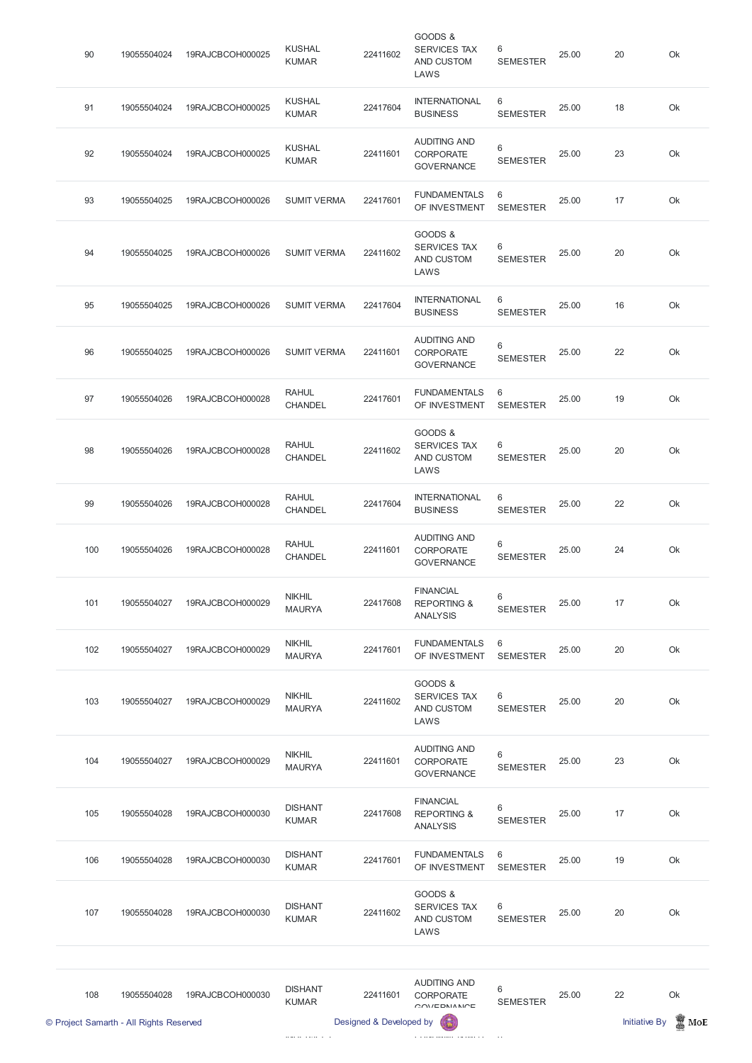| © Project Samarth - All Rights Reserved |             |                  |                                | Designed & Developed by |                                                               |                      | <b>Initiative By</b><br>MoE |    |    |  |
|-----------------------------------------|-------------|------------------|--------------------------------|-------------------------|---------------------------------------------------------------|----------------------|-----------------------------|----|----|--|
| 108                                     | 19055504028 | 19RAJCBCOH000030 | <b>DISHANT</b><br><b>KUMAR</b> | 22411601                | <b>AUDITING AND</b><br><b>CORPORATE</b><br>OMIEDNIMN          | 6<br><b>SEMESTER</b> | 25.00                       | 22 | Ok |  |
| 107                                     | 19055504028 | 19RAJCBCOH000030 | <b>DISHANT</b><br><b>KUMAR</b> | 22411602                | GOODS &<br>SERVICES TAX<br>AND CUSTOM<br>LAWS                 | 6<br><b>SEMESTER</b> | 25.00                       | 20 | Ok |  |
| 106                                     | 19055504028 | 19RAJCBCOH000030 | <b>DISHANT</b><br><b>KUMAR</b> | 22417601                | <b>FUNDAMENTALS</b><br>OF INVESTMENT                          | 6<br><b>SEMESTER</b> | 25.00                       | 19 | Ok |  |
| 105                                     | 19055504028 | 19RAJCBCOH000030 | <b>DISHANT</b><br><b>KUMAR</b> | 22417608                | <b>FINANCIAL</b><br><b>REPORTING &amp;</b><br><b>ANALYSIS</b> | 6<br><b>SEMESTER</b> | 25.00                       | 17 | Ok |  |
| 104                                     | 19055504027 | 19RAJCBCOH000029 | <b>NIKHIL</b><br><b>MAURYA</b> | 22411601                | <b>AUDITING AND</b><br><b>CORPORATE</b><br><b>GOVERNANCE</b>  | 6<br><b>SEMESTER</b> | 25.00                       | 23 | Ok |  |
| 103                                     | 19055504027 | 19RAJCBCOH000029 | <b>NIKHIL</b><br><b>MAURYA</b> | 22411602                | GOODS &<br>SERVICES TAX<br>AND CUSTOM<br>LAWS                 | 6<br><b>SEMESTER</b> | 25.00                       | 20 | Ok |  |
| 102                                     | 19055504027 | 19RAJCBCOH000029 | <b>NIKHIL</b><br><b>MAURYA</b> | 22417601                | <b>FUNDAMENTALS</b><br>OF INVESTMENT                          | 6<br><b>SEMESTER</b> | 25.00                       | 20 | Ok |  |
| 101                                     | 19055504027 | 19RAJCBCOH000029 | <b>NIKHIL</b><br><b>MAURYA</b> | 22417608                | <b>FINANCIAL</b><br><b>REPORTING &amp;</b><br><b>ANALYSIS</b> | 6<br><b>SEMESTER</b> | 25.00                       | 17 | Ok |  |
| 100                                     | 19055504026 | 19RAJCBCOH000028 | <b>RAHUL</b><br><b>CHANDEL</b> | 22411601                | <b>AUDITING AND</b><br><b>CORPORATE</b><br><b>GOVERNANCE</b>  | 6<br><b>SEMESTER</b> | 25.00                       | 24 | Ok |  |
| 99                                      | 19055504026 | 19RAJCBCOH000028 | <b>RAHUL</b><br>CHANDEL        | 22417604                | <b>INTERNATIONAL</b><br><b>BUSINESS</b>                       | 6<br><b>SEMESTER</b> | 25.00                       | 22 | Ok |  |
| 98                                      | 19055504026 | 19RAJCBCOH000028 | <b>RAHUL</b><br>CHANDEL        | 22411602                | GOODS &<br>SERVICES TAX<br>AND CUSTOM<br>LAWS                 | 6<br><b>SEMESTER</b> | 25.00                       | 20 | Ok |  |
| 97                                      | 19055504026 | 19RAJCBCOH000028 | <b>RAHUL</b><br><b>CHANDEL</b> | 22417601                | <b>FUNDAMENTALS</b><br>OF INVESTMENT                          | 6<br><b>SEMESTER</b> | 25.00                       | 19 | Ok |  |
| 96                                      | 19055504025 | 19RAJCBCOH000026 | <b>SUMIT VERMA</b>             | 22411601                | <b>AUDITING AND</b><br><b>CORPORATE</b><br><b>GOVERNANCE</b>  | 6<br><b>SEMESTER</b> | 25.00                       | 22 | Ok |  |
| 95                                      | 19055504025 | 19RAJCBCOH000026 | <b>SUMIT VERMA</b>             | 22417604                | <b>INTERNATIONAL</b><br><b>BUSINESS</b>                       | 6<br><b>SEMESTER</b> | 25.00                       | 16 | Ok |  |
| 94                                      | 19055504025 | 19RAJCBCOH000026 | <b>SUMIT VERMA</b>             | 22411602                | GOODS &<br>SERVICES TAX<br>AND CUSTOM<br>LAWS                 | 6<br><b>SEMESTER</b> | 25.00                       | 20 | Ok |  |
| 93                                      | 19055504025 | 19RAJCBCOH000026 | <b>SUMIT VERMA</b>             | 22417601                | <b>FUNDAMENTALS</b><br>OF INVESTMENT                          | 6<br><b>SEMESTER</b> | 25.00                       | 17 | Ok |  |
| 92                                      | 19055504024 | 19RAJCBCOH000025 | <b>KUSHAL</b><br><b>KUMAR</b>  | 22411601                | <b>AUDITING AND</b><br><b>CORPORATE</b><br><b>GOVERNANCE</b>  | 6<br><b>SEMESTER</b> | 25.00                       | 23 | Ok |  |
| 91                                      | 19055504024 | 19RAJCBCOH000025 | <b>KUSHAL</b><br><b>KUMAR</b>  | 22417604                | <b>INTERNATIONAL</b><br><b>BUSINESS</b>                       | 6<br><b>SEMESTER</b> | 25.00                       | 18 | Ok |  |
| 90                                      | 19055504024 | 19RAJCBCOH000025 | <b>KUSHAL</b><br><b>KUMAR</b>  | 22411602                | GOODS &<br>SERVICES TAX<br>AND CUSTOM<br>LAWS                 | 6<br><b>SEMESTER</b> | 25.00                       | 20 | Ok |  |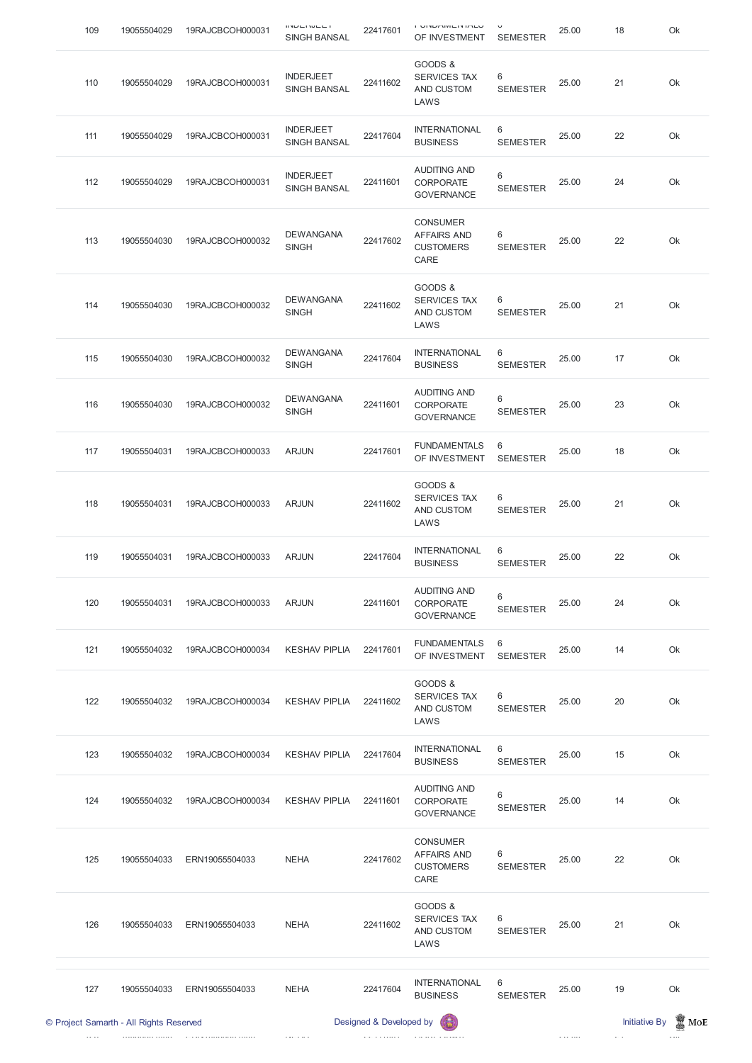|     | © Project Samarth - All Rights Reserved |                  |                                         | Designed & Developed by |                                                                   |                      | <b>Initiative By</b><br>$\mathbb{R}$ MoE |    |    |  |  |
|-----|-----------------------------------------|------------------|-----------------------------------------|-------------------------|-------------------------------------------------------------------|----------------------|------------------------------------------|----|----|--|--|
| 127 | 19055504033                             | ERN19055504033   | <b>NEHA</b>                             | 22417604                | <b>INTERNATIONAL</b><br><b>BUSINESS</b>                           | 6<br><b>SEMESTER</b> | 25.00                                    | 19 | Ok |  |  |
| 126 | 19055504033                             | ERN19055504033   | <b>NEHA</b>                             | 22411602                | GOODS &<br>SERVICES TAX<br>AND CUSTOM<br>LAWS                     | 6<br><b>SEMESTER</b> | 25.00                                    | 21 | Ok |  |  |
| 125 | 19055504033                             | ERN19055504033   | <b>NEHA</b>                             | 22417602                | <b>CONSUMER</b><br><b>AFFAIRS AND</b><br><b>CUSTOMERS</b><br>CARE | 6<br><b>SEMESTER</b> | 25.00                                    | 22 | Ok |  |  |
| 124 | 19055504032                             | 19RAJCBCOH000034 | <b>KESHAV PIPLIA</b>                    | 22411601                | <b>AUDITING AND</b><br><b>CORPORATE</b><br><b>GOVERNANCE</b>      | 6<br><b>SEMESTER</b> | 25.00                                    | 14 | Ok |  |  |
| 123 | 19055504032                             | 19RAJCBCOH000034 | <b>KESHAV PIPLIA</b>                    | 22417604                | <b>INTERNATIONAL</b><br><b>BUSINESS</b>                           | 6<br><b>SEMESTER</b> | 25.00                                    | 15 | Ok |  |  |
| 122 | 19055504032                             | 19RAJCBCOH000034 | <b>KESHAV PIPLIA</b>                    | 22411602                | GOODS &<br><b>SERVICES TAX</b><br>AND CUSTOM<br>LAWS              | 6<br><b>SEMESTER</b> | 25.00                                    | 20 | Ok |  |  |
| 121 | 19055504032                             | 19RAJCBCOH000034 | <b>KESHAV PIPLIA</b>                    | 22417601                | <b>FUNDAMENTALS</b><br>OF INVESTMENT                              | 6<br><b>SEMESTER</b> | 25.00                                    | 14 | Ok |  |  |
| 120 | 19055504031                             | 19RAJCBCOH000033 | <b>ARJUN</b>                            | 22411601                | <b>AUDITING AND</b><br><b>CORPORATE</b><br><b>GOVERNANCE</b>      | 6<br><b>SEMESTER</b> | 25.00                                    | 24 | Ok |  |  |
| 119 | 19055504031                             | 19RAJCBCOH000033 | <b>ARJUN</b>                            | 22417604                | <b>INTERNATIONAL</b><br><b>BUSINESS</b>                           | 6<br><b>SEMESTER</b> | 25.00                                    | 22 | Ok |  |  |
| 118 | 19055504031                             | 19RAJCBCOH000033 | <b>ARJUN</b>                            | 22411602                | GOODS &<br><b>SERVICES TAX</b><br>AND CUSTOM<br>LAWS              | 6<br><b>SEMESTER</b> | 25.00                                    | 21 | Ok |  |  |
| 117 | 19055504031                             | 19RAJCBCOH000033 | <b>ARJUN</b>                            | 22417601                | <b>FUNDAMENTALS</b><br>OF INVESTMENT                              | 6<br><b>SEMESTER</b> | 25.00                                    | 18 | Ok |  |  |
| 116 | 19055504030                             | 19RAJCBCOH000032 | <b>DEWANGANA</b><br><b>SINGH</b>        | 22411601                | <b>AUDITING AND</b><br><b>CORPORATE</b><br><b>GOVERNANCE</b>      | 6<br><b>SEMESTER</b> | 25.00                                    | 23 | Ok |  |  |
| 115 | 19055504030                             | 19RAJCBCOH000032 | <b>DEWANGANA</b><br><b>SINGH</b>        | 22417604                | <b>INTERNATIONAL</b><br><b>BUSINESS</b>                           | 6<br><b>SEMESTER</b> | 25.00                                    | 17 | Ok |  |  |
| 114 | 19055504030                             | 19RAJCBCOH000032 | <b>DEWANGANA</b><br><b>SINGH</b>        | 22411602                | GOODS &<br><b>SERVICES TAX</b><br>AND CUSTOM<br>LAWS              | 6<br><b>SEMESTER</b> | 25.00                                    | 21 | Ok |  |  |
| 113 | 19055504030                             | 19RAJCBCOH000032 | <b>DEWANGANA</b><br><b>SINGH</b>        | 22417602                | <b>CONSUMER</b><br><b>AFFAIRS AND</b><br><b>CUSTOMERS</b><br>CARE | 6<br><b>SEMESTER</b> | 25.00                                    | 22 | Ok |  |  |
| 112 | 19055504029                             | 19RAJCBCOH000031 | <b>INDERJEET</b><br><b>SINGH BANSAL</b> | 22411601                | <b>AUDITING AND</b><br><b>CORPORATE</b><br><b>GOVERNANCE</b>      | 6<br><b>SEMESTER</b> | 25.00                                    | 24 | Ok |  |  |
| 111 | 19055504029                             | 19RAJCBCOH000031 | <b>INDERJEET</b><br><b>SINGH BANSAL</b> | 22417604                | <b>INTERNATIONAL</b><br><b>BUSINESS</b>                           | 6<br><b>SEMESTER</b> | 25.00                                    | 22 | Ok |  |  |
| 110 | 19055504029                             | 19RAJCBCOH000031 | <b>INDERJEET</b><br><b>SINGH BANSAL</b> | 22411602                | GOODS &<br>SERVICES TAX<br>AND CUSTOM<br>LAWS                     | 6<br><b>SEMESTER</b> | 25.00                                    | 21 | Ok |  |  |
| 109 | 19055504029                             | 19RAJCBCOH000031 | .<br><b>SINGH BANSAL</b>                | 22417601                | י טוזיט מזוכוז וער<br>OF INVESTMENT                               | <b>SEMESTER</b>      | 25.00                                    | 18 | Ok |  |  |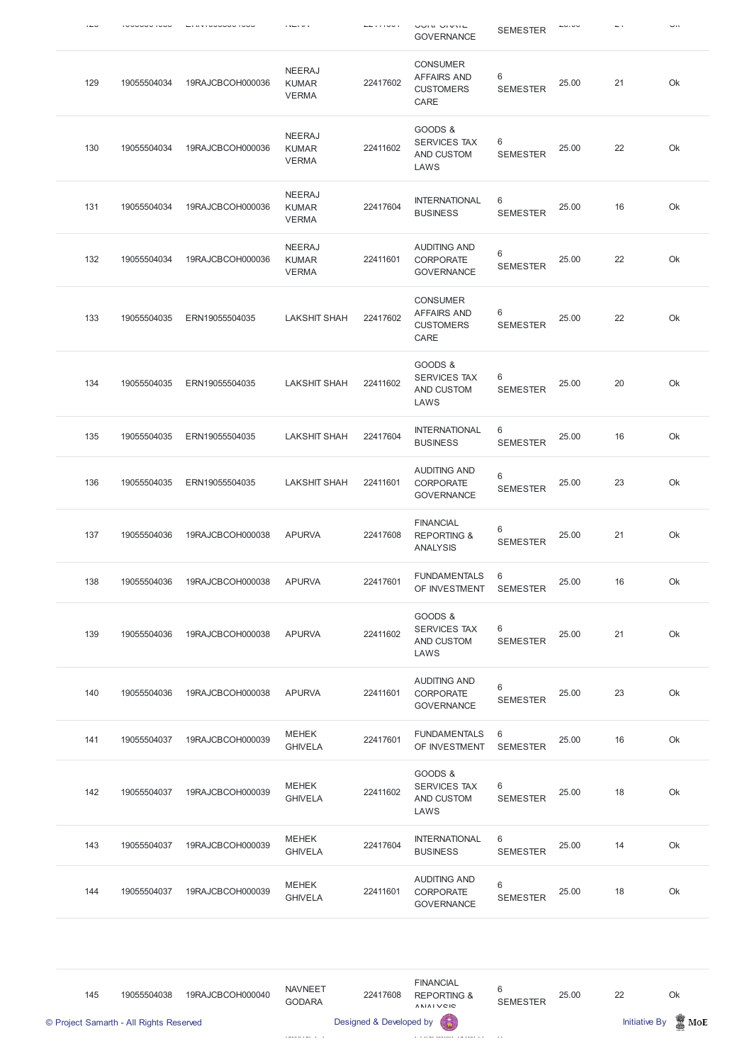|     |             |                  |                                               |          | UUIN UIVIIL<br><b>GOVERNANCE</b>                                  | <b>SEMESTER</b>      |       |    | <b></b> |
|-----|-------------|------------------|-----------------------------------------------|----------|-------------------------------------------------------------------|----------------------|-------|----|---------|
| 129 | 19055504034 | 19RAJCBCOH000036 | <b>NEERAJ</b><br><b>KUMAR</b><br><b>VERMA</b> | 22417602 | <b>CONSUMER</b><br><b>AFFAIRS AND</b><br><b>CUSTOMERS</b><br>CARE | 6<br><b>SEMESTER</b> | 25.00 | 21 | Ok      |
| 130 | 19055504034 | 19RAJCBCOH000036 | <b>NEERAJ</b><br><b>KUMAR</b><br><b>VERMA</b> | 22411602 | GOODS &<br><b>SERVICES TAX</b><br>AND CUSTOM<br>LAWS              | 6<br><b>SEMESTER</b> | 25.00 | 22 | Ok      |
| 131 | 19055504034 | 19RAJCBCOH000036 | <b>NEERAJ</b><br><b>KUMAR</b><br><b>VERMA</b> | 22417604 | <b>INTERNATIONAL</b><br><b>BUSINESS</b>                           | 6<br><b>SEMESTER</b> | 25.00 | 16 | Ok      |
| 132 | 19055504034 | 19RAJCBCOH000036 | <b>NEERAJ</b><br><b>KUMAR</b><br><b>VERMA</b> | 22411601 | <b>AUDITING AND</b><br><b>CORPORATE</b><br><b>GOVERNANCE</b>      | 6<br><b>SEMESTER</b> | 25.00 | 22 | Ok      |
| 133 | 19055504035 | ERN19055504035   | <b>LAKSHIT SHAH</b>                           | 22417602 | <b>CONSUMER</b><br><b>AFFAIRS AND</b><br><b>CUSTOMERS</b><br>CARE | 6<br><b>SEMESTER</b> | 25.00 | 22 | Ok      |
| 134 | 19055504035 | ERN19055504035   | <b>LAKSHIT SHAH</b>                           | 22411602 | GOODS &<br><b>SERVICES TAX</b><br>AND CUSTOM<br>LAWS              | 6<br><b>SEMESTER</b> | 25.00 | 20 | Ok      |
| 135 | 19055504035 | ERN19055504035   | <b>LAKSHIT SHAH</b>                           | 22417604 | <b>INTERNATIONAL</b><br><b>BUSINESS</b>                           | 6<br><b>SEMESTER</b> | 25.00 | 16 | Ok      |
| 136 | 19055504035 | ERN19055504035   | <b>LAKSHIT SHAH</b>                           | 22411601 | <b>AUDITING AND</b><br><b>CORPORATE</b><br><b>GOVERNANCE</b>      | 6<br><b>SEMESTER</b> | 25.00 | 23 | Ok      |
| 137 | 19055504036 | 19RAJCBCOH000038 | <b>APURVA</b>                                 | 22417608 | <b>FINANCIAL</b><br><b>REPORTING &amp;</b><br><b>ANALYSIS</b>     | 6<br><b>SEMESTER</b> | 25.00 | 21 | Ok      |
| 138 | 19055504036 | 19RAJCBCOH000038 | <b>APURVA</b>                                 | 22417601 | <b>FUNDAMENTALS</b><br>OF INVESTMENT                              | 6<br><b>SEMESTER</b> | 25.00 | 16 | Ok      |
| 139 | 19055504036 | 19RAJCBCOH000038 | <b>APURVA</b>                                 | 22411602 | GOODS &<br><b>SERVICES TAX</b><br>AND CUSTOM<br>LAWS              | 6<br><b>SEMESTER</b> | 25.00 | 21 | Ok      |
| 140 | 19055504036 | 19RAJCBCOH000038 | <b>APURVA</b>                                 | 22411601 | <b>AUDITING AND</b><br><b>CORPORATE</b><br><b>GOVERNANCE</b>      | 6<br><b>SEMESTER</b> | 25.00 | 23 | Ok      |
| 141 | 19055504037 | 19RAJCBCOH000039 | <b>MEHEK</b><br><b>GHIVELA</b>                | 22417601 | <b>FUNDAMENTALS</b><br>OF INVESTMENT                              | 6<br><b>SEMESTER</b> | 25.00 | 16 | Ok      |
| 142 | 19055504037 | 19RAJCBCOH000039 | <b>MEHEK</b><br><b>GHIVELA</b>                | 22411602 | GOODS &<br>SERVICES TAX<br>AND CUSTOM                             | 6<br><b>SEMESTER</b> | 25.00 | 18 | Ok      |

LAWS

| 143 | 19055504037 | 19RAJCBCOH000039 | <b>MEHEK</b><br><b>GHIVELA</b> | 22417604 | <b>INTERNATIONAL</b><br><b>BUSINESS</b>        | 6<br><b>SEMESTER</b> | 25.00 | 14 | Ok |
|-----|-------------|------------------|--------------------------------|----------|------------------------------------------------|----------------------|-------|----|----|
| 144 | 19055504037 | 19RAJCBCOH000039 | <b>MEHEK</b><br><b>GHIVELA</b> | 22411601 | AUDITING AND<br>CORPORATE<br><b>GOVERNANCE</b> | <b>SEMESTER</b>      | 25.00 | 18 | Ok |

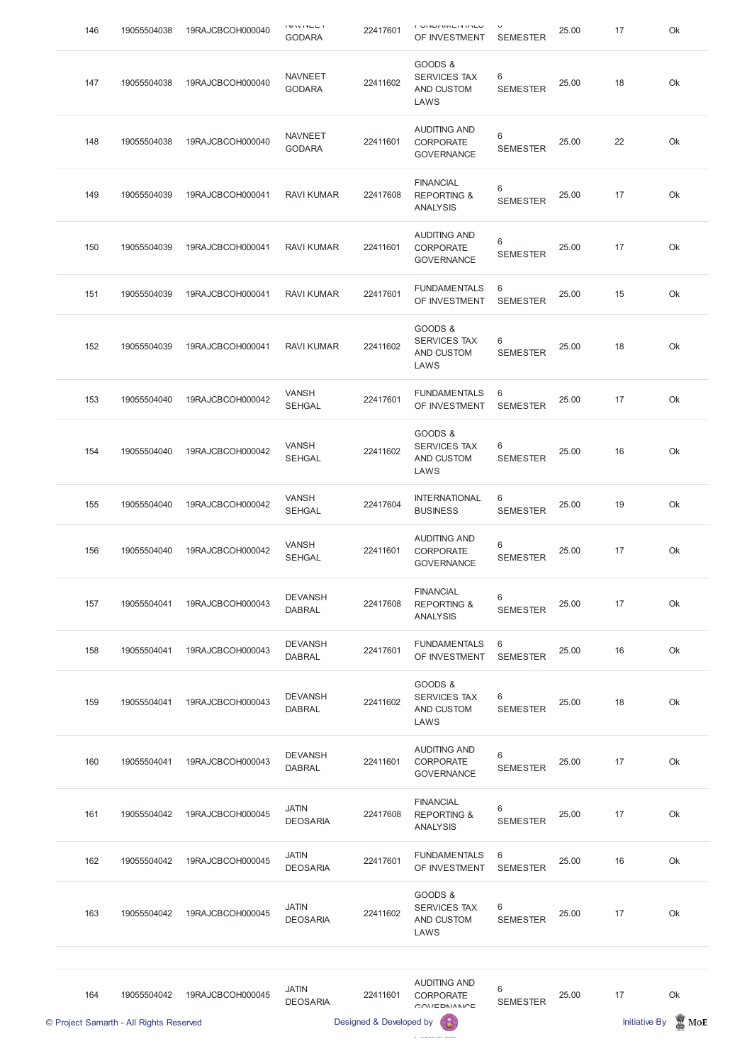| 146 | 19055504038 | 19RAJCBCOH000040 | .<br><b>GODARA</b>              | 22417601 | י טוזרחומות שווט ו<br>OF INVESTMENT                           | <b>SEMESTER</b>          | 25.00 | 17 | Ok |
|-----|-------------|------------------|---------------------------------|----------|---------------------------------------------------------------|--------------------------|-------|----|----|
| 147 | 19055504038 | 19RAJCBCOH000040 | <b>NAVNEET</b><br><b>GODARA</b> | 22411602 | GOODS &<br><b>SERVICES TAX</b><br>AND CUSTOM<br>LAWS          | 6<br><b>SEMESTER</b>     | 25.00 | 18 | Ok |
| 148 | 19055504038 | 19RAJCBCOH000040 | <b>NAVNEET</b><br><b>GODARA</b> | 22411601 | <b>AUDITING AND</b><br><b>CORPORATE</b><br><b>GOVERNANCE</b>  | 6<br><b>SEMESTER</b>     | 25.00 | 22 | Ok |
| 149 | 19055504039 | 19RAJCBCOH000041 | <b>RAVI KUMAR</b>               | 22417608 | <b>FINANCIAL</b><br><b>REPORTING &amp;</b><br><b>ANALYSIS</b> | 6<br><b>SEMESTER</b>     | 25.00 | 17 | Ok |
| 150 | 19055504039 | 19RAJCBCOH000041 | <b>RAVI KUMAR</b>               | 22411601 | <b>AUDITING AND</b><br><b>CORPORATE</b><br><b>GOVERNANCE</b>  | 6<br><b>SEMESTER</b>     | 25.00 | 17 | Ok |
| 151 | 19055504039 | 19RAJCBCOH000041 | <b>RAVI KUMAR</b>               | 22417601 | <b>FUNDAMENTALS</b><br>OF INVESTMENT                          | 6<br><b>SEMESTER</b>     | 25.00 | 15 | Ok |
| 152 | 19055504039 | 19RAJCBCOH000041 | <b>RAVI KUMAR</b>               | 22411602 | GOODS &<br><b>SERVICES TAX</b><br><b>AND CUSTOM</b><br>LAWS   | 6<br><b>SEMESTER</b>     | 25.00 | 18 | Ok |
| 153 | 19055504040 | 19RAJCBCOH000042 | <b>VANSH</b><br><b>SEHGAL</b>   | 22417601 | <b>FUNDAMENTALS</b><br>OF INVESTMENT                          | 6<br><b>SEMESTER</b>     | 25.00 | 17 | Ok |
| 154 | 19055504040 | 19RAJCBCOH000042 | <b>VANSH</b><br><b>SEHGAL</b>   | 22411602 | GOODS &<br><b>SERVICES TAX</b><br>AND CUSTOM<br>LAWS          | 6<br><b>SEMESTER</b>     | 25.00 | 16 | Ok |
| 155 | 19055504040 | 19RAJCBCOH000042 | <b>VANSH</b><br><b>SEHGAL</b>   | 22417604 | <b>INTERNATIONAL</b><br><b>BUSINESS</b>                       | 6<br><b>SEMESTER</b>     | 25.00 | 19 | Ok |
| 156 | 19055504040 | 19RAJCBCOH000042 | <b>VANSH</b><br><b>SEHGAL</b>   | 22411601 | <b>AUDITING AND</b><br><b>CORPORATE</b><br><b>GOVERNANCE</b>  | $6\,$<br><b>SEMESTER</b> | 25.00 | 17 | Ok |
| 157 | 19055504041 | 19RAJCBCOH000043 | <b>DEVANSH</b><br><b>DABRAL</b> | 22417608 | <b>FINANCIAL</b><br><b>REPORTING &amp;</b><br><b>ANALYSIS</b> | $6\,$<br><b>SEMESTER</b> | 25.00 | 17 | Ok |
| 158 | 19055504041 | 19RAJCBCOH000043 | <b>DEVANSH</b><br><b>DABRAL</b> | 22417601 | <b>FUNDAMENTALS</b><br>OF INVESTMENT                          | 6<br><b>SEMESTER</b>     | 25.00 | 16 | Ok |
| 159 | 19055504041 | 19RAJCBCOH000043 | <b>DEVANSH</b><br><b>DABRAL</b> | 22411602 | GOODS &<br><b>SERVICES TAX</b><br>AND CUSTOM<br>LAWS          | 6<br><b>SEMESTER</b>     | 25.00 | 18 | Ok |
| 160 | 19055504041 | 19RAJCBCOH000043 | <b>DEVANSH</b><br><b>DABRAL</b> | 22411601 | <b>AUDITING AND</b><br>CORPORATE<br><b>GOVERNANCE</b>         | $6\,$<br><b>SEMESTER</b> | 25.00 | 17 | Ok |
|     |             |                  |                                 |          |                                                               |                          |       |    |    |

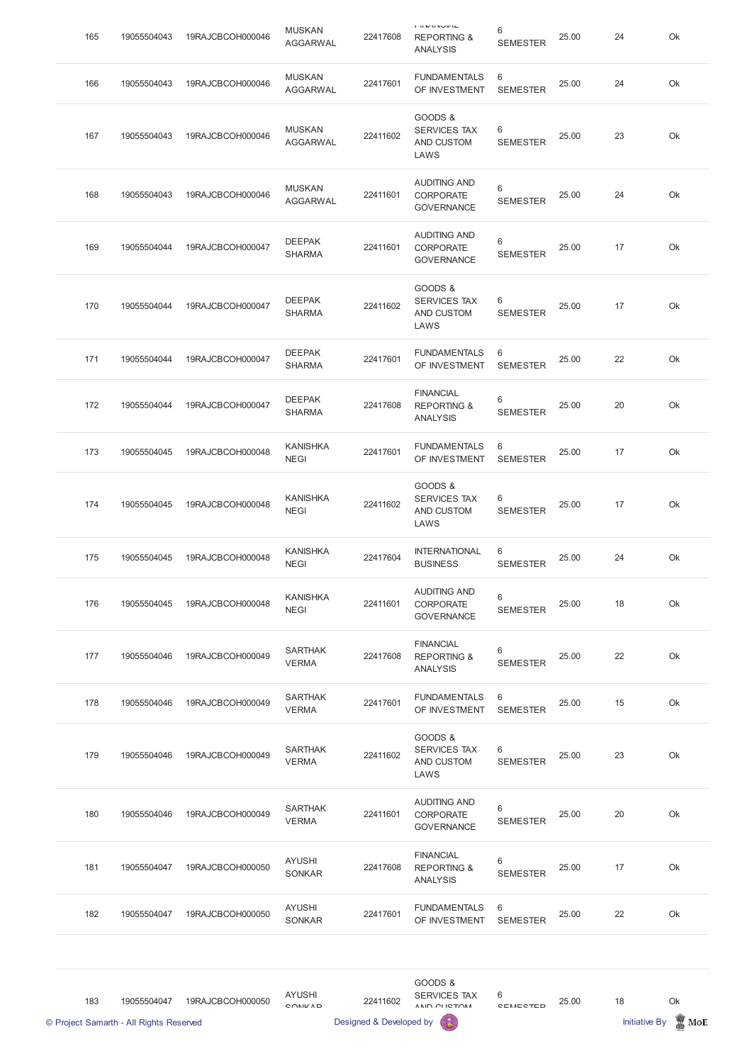| 165                                     | 19055504043 | 19RAJCBCOH000046 | <b>MUSKAN</b><br><b>AGGARWAL</b> | 22417608                | $-1$ $-1$ $-1$ $-1$<br><b>REPORTING &amp;</b><br><b>ANALYSIS</b> | 6<br><b>SEMESTER</b>               | 25.00 | 24                   | Ok              |
|-----------------------------------------|-------------|------------------|----------------------------------|-------------------------|------------------------------------------------------------------|------------------------------------|-------|----------------------|-----------------|
| 166                                     | 19055504043 | 19RAJCBCOH000046 | <b>MUSKAN</b><br><b>AGGARWAL</b> | 22417601                | <b>FUNDAMENTALS</b><br>OF INVESTMENT                             | 6<br><b>SEMESTER</b>               | 25.00 | 24                   | Ok              |
| 167                                     | 19055504043 | 19RAJCBCOH000046 | <b>MUSKAN</b><br><b>AGGARWAL</b> | 22411602                | GOODS &<br><b>SERVICES TAX</b><br>AND CUSTOM<br>LAWS             | 6<br><b>SEMESTER</b>               | 25.00 | 23                   | Ok              |
| 168                                     | 19055504043 | 19RAJCBCOH000046 | <b>MUSKAN</b><br><b>AGGARWAL</b> | 22411601                | <b>AUDITING AND</b><br><b>CORPORATE</b><br><b>GOVERNANCE</b>     | 6<br><b>SEMESTER</b>               | 25.00 | 24                   | Ok              |
| 169                                     | 19055504044 | 19RAJCBCOH000047 | <b>DEEPAK</b><br><b>SHARMA</b>   | 22411601                | <b>AUDITING AND</b><br><b>CORPORATE</b><br><b>GOVERNANCE</b>     | 6<br><b>SEMESTER</b>               | 25.00 | 17                   | Ok              |
| 170                                     | 19055504044 | 19RAJCBCOH000047 | <b>DEEPAK</b><br><b>SHARMA</b>   | 22411602                | GOODS &<br><b>SERVICES TAX</b><br>AND CUSTOM<br>LAWS             | 6<br><b>SEMESTER</b>               | 25.00 | 17                   | Ok              |
| 171                                     | 19055504044 | 19RAJCBCOH000047 | <b>DEEPAK</b><br><b>SHARMA</b>   | 22417601                | <b>FUNDAMENTALS</b><br>OF INVESTMENT                             | 6<br><b>SEMESTER</b>               | 25.00 | 22                   | Ok              |
| 172                                     | 19055504044 | 19RAJCBCOH000047 | <b>DEEPAK</b><br><b>SHARMA</b>   | 22417608                | <b>FINANCIAL</b><br><b>REPORTING &amp;</b><br><b>ANALYSIS</b>    | 6<br><b>SEMESTER</b>               | 25.00 | 20                   | Ok              |
| 173                                     | 19055504045 | 19RAJCBCOH000048 | <b>KANISHKA</b><br><b>NEGI</b>   | 22417601                | <b>FUNDAMENTALS</b><br>OF INVESTMENT                             | 6<br><b>SEMESTER</b>               | 25.00 | 17                   | Ok              |
| 174                                     | 19055504045 | 19RAJCBCOH000048 | <b>KANISHKA</b><br><b>NEGI</b>   | 22411602                | GOODS &<br><b>SERVICES TAX</b><br>AND CUSTOM<br>LAWS             | 6<br><b>SEMESTER</b>               | 25.00 | 17                   | Ok              |
| 175                                     | 19055504045 | 19RAJCBCOH000048 | <b>KANISHKA</b><br><b>NEGI</b>   | 22417604                | <b>INTERNATIONAL</b><br><b>BUSINESS</b>                          | 6<br><b>SEMESTER</b>               | 25.00 | 24                   | Ok              |
| 176                                     | 19055504045 | 19RAJCBCOH000048 | <b>KANISHKA</b><br><b>NEGI</b>   | 22411601                | <b>AUDITING AND</b><br><b>CORPORATE</b><br><b>GOVERNANCE</b>     | 6<br><b>SEMESTER</b>               | 25.00 | 18                   | Ok              |
| 177                                     | 19055504046 | 19RAJCBCOH000049 | <b>SARTHAK</b><br><b>VERMA</b>   | 22417608                | <b>FINANCIAL</b><br><b>REPORTING &amp;</b><br><b>ANALYSIS</b>    | 6<br><b>SEMESTER</b>               | 25.00 | 22                   | Ok              |
| 178                                     | 19055504046 | 19RAJCBCOH000049 | <b>SARTHAK</b><br><b>VERMA</b>   | 22417601                | <b>FUNDAMENTALS</b><br>OF INVESTMENT                             | 6<br><b>SEMESTER</b>               | 25.00 | 15                   | Ok              |
| 179                                     | 19055504046 | 19RAJCBCOH000049 | <b>SARTHAK</b><br><b>VERMA</b>   | 22411602                | GOODS &<br><b>SERVICES TAX</b><br>AND CUSTOM<br>LAWS             | 6<br><b>SEMESTER</b>               | 25.00 | 23                   | Ok              |
| 180                                     | 19055504046 | 19RAJCBCOH000049 | <b>SARTHAK</b><br><b>VERMA</b>   | 22411601                | <b>AUDITING AND</b><br><b>CORPORATE</b><br><b>GOVERNANCE</b>     | 6<br><b>SEMESTER</b>               | 25.00 | 20                   | Ok              |
| 181                                     | 19055504047 | 19RAJCBCOH000050 | <b>AYUSHI</b><br><b>SONKAR</b>   | 22417608                | <b>FINANCIAL</b><br><b>REPORTING &amp;</b><br><b>ANALYSIS</b>    | 6<br><b>SEMESTER</b>               | 25.00 | 17                   | Ok              |
| 182                                     | 19055504047 | 19RAJCBCOH000050 | <b>AYUSHI</b><br>SONKAR          | 22417601                | <b>FUNDAMENTALS</b><br>OF INVESTMENT                             | $6\phantom{1}6$<br><b>SEMESTER</b> | 25.00 | 22                   | Ok              |
|                                         |             |                  |                                  |                         |                                                                  |                                    |       |                      |                 |
| 183                                     | 19055504047 | 19RAJCBCOH000050 | <b>AYUSHI</b><br>CONIL/AD        | 22411602                | GOODS &<br>SERVICES TAX<br>ANID OF ICTOM                         | 6<br><b>CEMECTED</b>               | 25.00 | 18                   | Ok              |
| © Project Samarth - All Rights Reserved |             |                  |                                  | Designed & Developed by |                                                                  |                                    |       | <b>Initiative By</b> | $\mathbb Z$ MoE |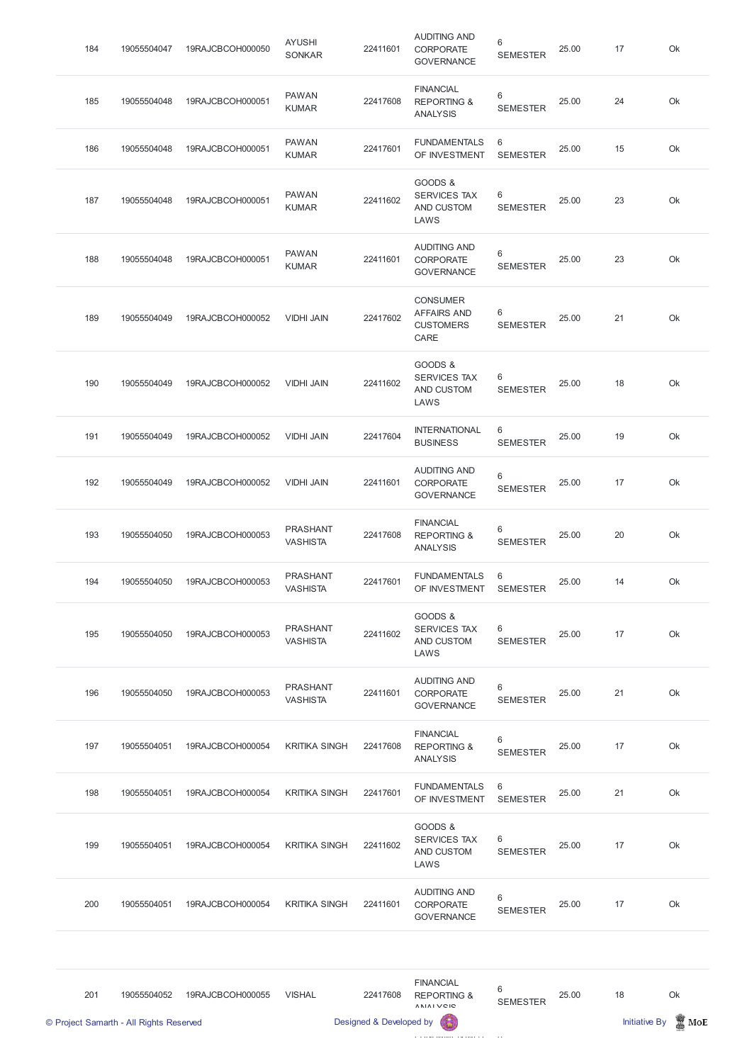| 184 | 19055504047 | 19RAJCBCOH000050 | <b>AYUSHI</b><br><b>SONKAR</b>     | 22411601 | <b>AUDITING AND</b><br><b>CORPORATE</b><br><b>GOVERNANCE</b>      | 6<br><b>SEMESTER</b> | 25.00 | 17 | Ok |
|-----|-------------|------------------|------------------------------------|----------|-------------------------------------------------------------------|----------------------|-------|----|----|
| 185 | 19055504048 | 19RAJCBCOH000051 | <b>PAWAN</b><br><b>KUMAR</b>       | 22417608 | <b>FINANCIAL</b><br><b>REPORTING &amp;</b><br><b>ANALYSIS</b>     | 6<br><b>SEMESTER</b> | 25.00 | 24 | Ok |
| 186 | 19055504048 | 19RAJCBCOH000051 | <b>PAWAN</b><br><b>KUMAR</b>       | 22417601 | <b>FUNDAMENTALS</b><br>OF INVESTMENT                              | 6<br><b>SEMESTER</b> | 25.00 | 15 | Ok |
| 187 | 19055504048 | 19RAJCBCOH000051 | <b>PAWAN</b><br><b>KUMAR</b>       | 22411602 | GOODS &<br><b>SERVICES TAX</b><br>AND CUSTOM<br>LAWS              | 6<br><b>SEMESTER</b> | 25.00 | 23 | Ok |
| 188 | 19055504048 | 19RAJCBCOH000051 | <b>PAWAN</b><br><b>KUMAR</b>       | 22411601 | <b>AUDITING AND</b><br><b>CORPORATE</b><br><b>GOVERNANCE</b>      | 6<br><b>SEMESTER</b> | 25.00 | 23 | Ok |
| 189 | 19055504049 | 19RAJCBCOH000052 | <b>VIDHI JAIN</b>                  | 22417602 | <b>CONSUMER</b><br><b>AFFAIRS AND</b><br><b>CUSTOMERS</b><br>CARE | 6<br><b>SEMESTER</b> | 25.00 | 21 | Ok |
| 190 | 19055504049 | 19RAJCBCOH000052 | <b>VIDHI JAIN</b>                  | 22411602 | GOODS &<br><b>SERVICES TAX</b><br>AND CUSTOM<br>LAWS              | 6<br><b>SEMESTER</b> | 25.00 | 18 | Ok |
| 191 | 19055504049 | 19RAJCBCOH000052 | <b>VIDHI JAIN</b>                  | 22417604 | <b>INTERNATIONAL</b><br><b>BUSINESS</b>                           | 6<br><b>SEMESTER</b> | 25.00 | 19 | Ok |
| 192 | 19055504049 | 19RAJCBCOH000052 | <b>VIDHI JAIN</b>                  | 22411601 | <b>AUDITING AND</b><br><b>CORPORATE</b><br><b>GOVERNANCE</b>      | 6<br><b>SEMESTER</b> | 25.00 | 17 | Ok |
| 193 | 19055504050 | 19RAJCBCOH000053 | <b>PRASHANT</b><br><b>VASHISTA</b> | 22417608 | <b>FINANCIAL</b><br><b>REPORTING &amp;</b><br><b>ANALYSIS</b>     | 6<br><b>SEMESTER</b> | 25.00 | 20 | Ok |
| 194 | 19055504050 | 19RAJCBCOH000053 | <b>PRASHANT</b><br><b>VASHISTA</b> | 22417601 | <b>FUNDAMENTALS</b><br>OF INVESTMENT                              | 6<br><b>SEMESTER</b> | 25.00 | 14 | Ok |
| 195 | 19055504050 | 19RAJCBCOH000053 | <b>PRASHANT</b><br><b>VASHISTA</b> | 22411602 | GOODS &<br><b>SERVICES TAX</b><br>AND CUSTOM<br>LAWS              | 6<br><b>SEMESTER</b> | 25.00 | 17 | Ok |
| 196 | 19055504050 | 19RAJCBCOH000053 | <b>PRASHANT</b><br><b>VASHISTA</b> | 22411601 | <b>AUDITING AND</b><br>CORPORATE<br><b>GOVERNANCE</b>             | 6<br><b>SEMESTER</b> | 25.00 | 21 | Ok |
| 197 | 19055504051 | 19RAJCBCOH000054 | <b>KRITIKA SINGH</b>               | 22417608 | <b>FINANCIAL</b><br><b>REPORTING &amp;</b><br><b>ANALYSIS</b>     | 6<br><b>SEMESTER</b> | 25.00 | 17 | Ok |
| 198 | 19055504051 | 19RAJCBCOH000054 | <b>KRITIKA SINGH</b>               | 22417601 | <b>FUNDAMENTALS</b><br>OF INVESTMENT SEMESTER                     | 6                    | 25.00 | 21 | Ok |





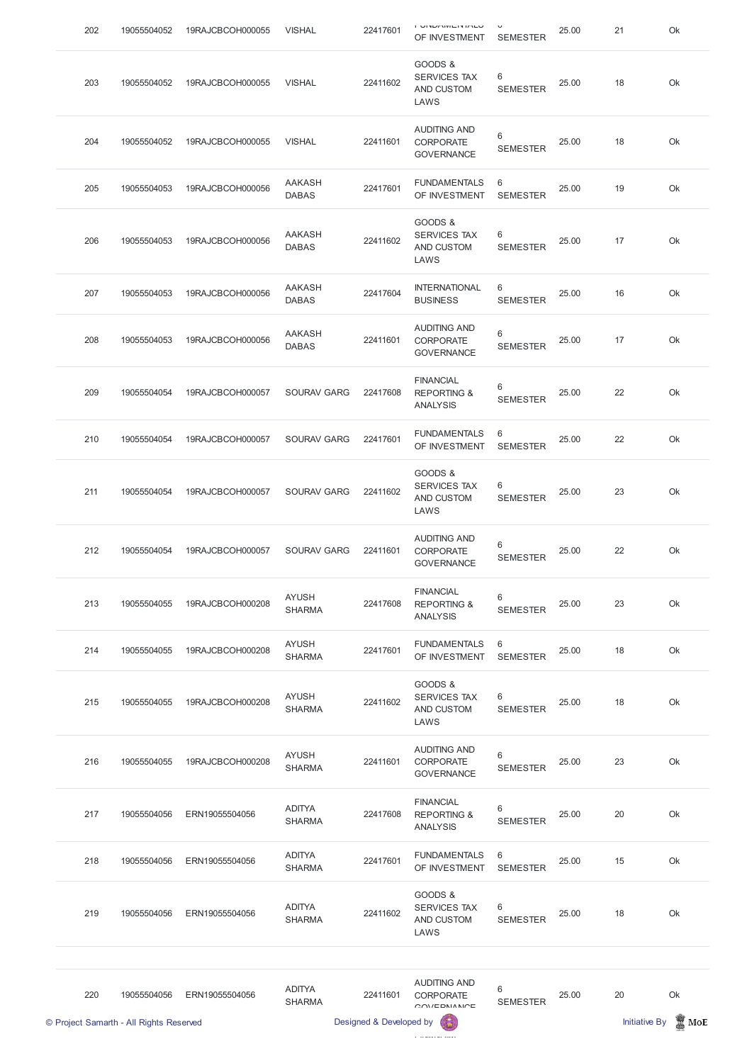|     | © Project Samarth - All Rights Reserved |                  |                                | Designed & Developed by | 6                                                             |                          |       | <b>Initiative By</b> | $\mathbb{R}$ MoE |
|-----|-----------------------------------------|------------------|--------------------------------|-------------------------|---------------------------------------------------------------|--------------------------|-------|----------------------|------------------|
| 220 | 19055504056                             | ERN19055504056   | <b>ADITYA</b><br><b>SHARMA</b> | 22411601                | <b>AUDITING AND</b><br><b>CORPORATE</b><br>OMIEDNIMN          | $6\,$<br><b>SEMESTER</b> | 25.00 | 20                   | Ok               |
| 219 | 19055504056                             | ERN19055504056   | <b>ADITYA</b><br><b>SHARMA</b> | 22411602                | GOODS &<br>SERVICES TAX<br>AND CUSTOM<br>LAWS                 | 6<br><b>SEMESTER</b>     | 25.00 | 18                   | Ok               |
| 218 | 19055504056                             | ERN19055504056   | <b>ADITYA</b><br><b>SHARMA</b> | 22417601                | <b>FUNDAMENTALS</b><br>OF INVESTMENT                          | $6\,$<br><b>SEMESTER</b> | 25.00 | 15                   | Ok               |
| 217 | 19055504056                             | ERN19055504056   | <b>ADITYA</b><br><b>SHARMA</b> | 22417608                | <b>FINANCIAL</b><br><b>REPORTING &amp;</b><br><b>ANALYSIS</b> | 6<br><b>SEMESTER</b>     | 25.00 | 20                   | Ok               |
| 216 | 19055504055                             | 19RAJCBCOH000208 | <b>AYUSH</b><br><b>SHARMA</b>  | 22411601                | <b>AUDITING AND</b><br><b>CORPORATE</b><br><b>GOVERNANCE</b>  | 6<br><b>SEMESTER</b>     | 25.00 | 23                   | Ok               |
| 215 | 19055504055                             | 19RAJCBCOH000208 | <b>AYUSH</b><br><b>SHARMA</b>  | 22411602                | GOODS &<br><b>SERVICES TAX</b><br>AND CUSTOM<br>LAWS          | 6<br><b>SEMESTER</b>     | 25.00 | 18                   | Ok               |
| 214 | 19055504055                             | 19RAJCBCOH000208 | <b>AYUSH</b><br><b>SHARMA</b>  | 22417601                | <b>FUNDAMENTALS</b><br>OF INVESTMENT                          | 6<br><b>SEMESTER</b>     | 25.00 | 18                   | Ok               |
| 213 | 19055504055                             | 19RAJCBCOH000208 | <b>AYUSH</b><br><b>SHARMA</b>  | 22417608                | <b>FINANCIAL</b><br><b>REPORTING &amp;</b><br><b>ANALYSIS</b> | $6\,$<br><b>SEMESTER</b> | 25.00 | 23                   | Ok               |
| 212 | 19055504054                             | 19RAJCBCOH000057 | <b>SOURAV GARG</b>             | 22411601                | <b>AUDITING AND</b><br><b>CORPORATE</b><br><b>GOVERNANCE</b>  | $6\,$<br><b>SEMESTER</b> | 25.00 | 22                   | Ok               |
| 211 | 19055504054                             | 19RAJCBCOH000057 | <b>SOURAV GARG</b>             | 22411602                | GOODS &<br><b>SERVICES TAX</b><br>AND CUSTOM<br>LAWS          | 6<br><b>SEMESTER</b>     | 25.00 | 23                   | Ok               |
| 210 | 19055504054                             | 19RAJCBCOH000057 | <b>SOURAV GARG</b>             | 22417601                | <b>FUNDAMENTALS</b><br>OF INVESTMENT                          | 6<br><b>SEMESTER</b>     | 25.00 | 22                   | Ok               |
| 209 | 19055504054                             | 19RAJCBCOH000057 | <b>SOURAV GARG</b>             | 22417608                | <b>FINANCIAL</b><br><b>REPORTING &amp;</b><br><b>ANALYSIS</b> | 6<br><b>SEMESTER</b>     | 25.00 | 22                   | Ok               |
| 208 | 19055504053                             | 19RAJCBCOH000056 | <b>AAKASH</b><br><b>DABAS</b>  | 22411601                | <b>AUDITING AND</b><br><b>CORPORATE</b><br><b>GOVERNANCE</b>  | 6<br><b>SEMESTER</b>     | 25.00 | 17                   | Ok               |
| 207 | 19055504053                             | 19RAJCBCOH000056 | <b>AAKASH</b><br><b>DABAS</b>  | 22417604                | <b>INTERNATIONAL</b><br><b>BUSINESS</b>                       | 6<br><b>SEMESTER</b>     | 25.00 | 16                   | Ok               |
| 206 | 19055504053                             | 19RAJCBCOH000056 | <b>AAKASH</b><br><b>DABAS</b>  | 22411602                | GOODS &<br><b>SERVICES TAX</b><br>AND CUSTOM<br>LAWS          | 6<br><b>SEMESTER</b>     | 25.00 | 17                   | Ok               |
| 205 | 19055504053                             | 19RAJCBCOH000056 | <b>AAKASH</b><br><b>DABAS</b>  | 22417601                | <b>FUNDAMENTALS</b><br>OF INVESTMENT                          | 6<br><b>SEMESTER</b>     | 25.00 | 19                   | Ok               |
| 204 | 19055504052                             | 19RAJCBCOH000055 | <b>VISHAL</b>                  | 22411601                | <b>AUDITING AND</b><br><b>CORPORATE</b><br><b>GOVERNANCE</b>  | $6\,$<br><b>SEMESTER</b> | 25.00 | 18                   | Ok               |
| 203 | 19055504052                             | 19RAJCBCOH000055 | <b>VISHAL</b>                  | 22411602                | GOODS &<br><b>SERVICES TAX</b><br>AND CUSTOM<br>LAWS          | 6<br><b>SEMESTER</b>     | 25.00 | 18                   | Ok               |
| 202 | 19055504052                             | 19RAJCBCOH000055 | <b>VISHAL</b>                  | 22417601                | י שו אוםואת לשרוש ו<br>OF INVESTMENT                          | <b>SEMESTER</b>          | 25.00 | 21                   | Ok               |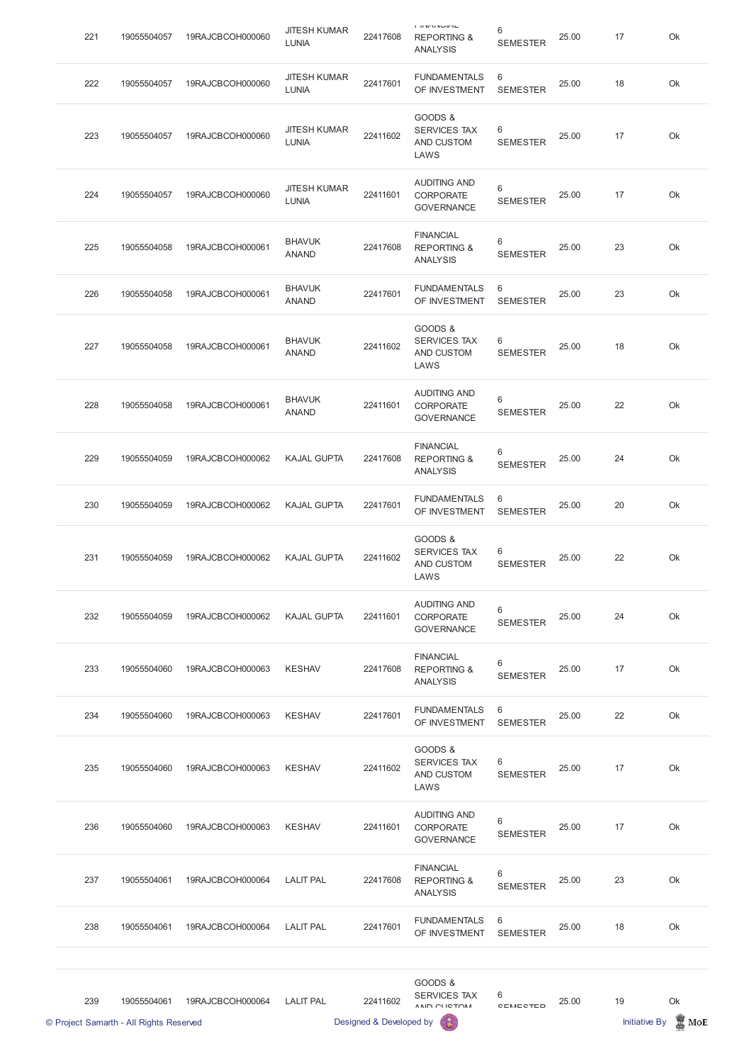| 221 | 19055504057 | 19RAJCBCOH000060 | <b>JITESH KUMAR</b><br><b>LUNIA</b> | 22417608 | $1.033$ M N $9.04$ M $1.0$<br><b>REPORTING &amp;</b><br><b>ANALYSIS</b> | 6<br><b>SEMESTER</b>     | 25.00 | 17 | Ok |
|-----|-------------|------------------|-------------------------------------|----------|-------------------------------------------------------------------------|--------------------------|-------|----|----|
| 222 | 19055504057 | 19RAJCBCOH000060 | <b>JITESH KUMAR</b><br><b>LUNIA</b> | 22417601 | <b>FUNDAMENTALS</b><br>OF INVESTMENT                                    | 6<br><b>SEMESTER</b>     | 25.00 | 18 | Ok |
| 223 | 19055504057 | 19RAJCBCOH000060 | <b>JITESH KUMAR</b><br><b>LUNIA</b> | 22411602 | GOODS &<br><b>SERVICES TAX</b><br>AND CUSTOM<br>LAWS                    | 6<br><b>SEMESTER</b>     | 25.00 | 17 | Ok |
| 224 | 19055504057 | 19RAJCBCOH000060 | <b>JITESH KUMAR</b><br><b>LUNIA</b> | 22411601 | <b>AUDITING AND</b><br><b>CORPORATE</b><br><b>GOVERNANCE</b>            | 6<br><b>SEMESTER</b>     | 25.00 | 17 | Ok |
| 225 | 19055504058 | 19RAJCBCOH000061 | <b>BHAVUK</b><br><b>ANAND</b>       | 22417608 | <b>FINANCIAL</b><br><b>REPORTING &amp;</b><br><b>ANALYSIS</b>           | 6<br><b>SEMESTER</b>     | 25.00 | 23 | Ok |
| 226 | 19055504058 | 19RAJCBCOH000061 | <b>BHAVUK</b><br><b>ANAND</b>       | 22417601 | <b>FUNDAMENTALS</b><br>OF INVESTMENT                                    | 6<br><b>SEMESTER</b>     | 25.00 | 23 | Ok |
| 227 | 19055504058 | 19RAJCBCOH000061 | <b>BHAVUK</b><br><b>ANAND</b>       | 22411602 | GOODS &<br><b>SERVICES TAX</b><br>AND CUSTOM<br>LAWS                    | 6<br><b>SEMESTER</b>     | 25.00 | 18 | Ok |
| 228 | 19055504058 | 19RAJCBCOH000061 | <b>BHAVUK</b><br><b>ANAND</b>       | 22411601 | <b>AUDITING AND</b><br><b>CORPORATE</b><br><b>GOVERNANCE</b>            | 6<br><b>SEMESTER</b>     | 25.00 | 22 | Ok |
| 229 | 19055504059 | 19RAJCBCOH000062 | <b>KAJAL GUPTA</b>                  | 22417608 | <b>FINANCIAL</b><br><b>REPORTING &amp;</b><br><b>ANALYSIS</b>           | $6\,$<br><b>SEMESTER</b> | 25.00 | 24 | Ok |
| 230 | 19055504059 | 19RAJCBCOH000062 | <b>KAJAL GUPTA</b>                  | 22417601 | <b>FUNDAMENTALS</b><br>OF INVESTMENT                                    | 6<br><b>SEMESTER</b>     | 25.00 | 20 | Ok |
| 231 | 19055504059 | 19RAJCBCOH000062 | <b>KAJAL GUPTA</b>                  | 22411602 | GOODS &<br>SERVICES TAX<br>AND CUSTOM<br>LAWS                           | 6<br><b>SEMESTER</b>     | 25.00 | 22 | Ok |
| 232 | 19055504059 | 19RAJCBCOH000062 | <b>KAJAL GUPTA</b>                  | 22411601 | <b>AUDITING AND</b><br><b>CORPORATE</b><br><b>GOVERNANCE</b>            | 6<br><b>SEMESTER</b>     | 25.00 | 24 | Ok |
| 233 | 19055504060 | 19RAJCBCOH000063 | <b>KESHAV</b>                       | 22417608 | <b>FINANCIAL</b><br><b>REPORTING &amp;</b><br><b>ANALYSIS</b>           | $6\,$<br><b>SEMESTER</b> | 25.00 | 17 | Ok |
| 234 | 19055504060 | 19RAJCBCOH000063 | <b>KESHAV</b>                       | 22417601 | <b>FUNDAMENTALS</b><br>OF INVESTMENT                                    | 6<br><b>SEMESTER</b>     | 25.00 | 22 | Ok |
| 235 | 19055504060 | 19RAJCBCOH000063 | <b>KESHAV</b>                       | 22411602 | GOODS &<br><b>SERVICES TAX</b><br>AND CUSTOM<br>LAWS                    | 6<br><b>SEMESTER</b>     | 25.00 | 17 | Ok |

|     | © Project Samarth - All Rights Reserved |                  |                  | Designed & Developed by |                                                               |                      |       | <b>Initiative By</b> | MoE |
|-----|-----------------------------------------|------------------|------------------|-------------------------|---------------------------------------------------------------|----------------------|-------|----------------------|-----|
| 239 | 19055504061                             | 19RAJCBCOH000064 | <b>LALIT PAL</b> | 22411602                | GOODS &<br>SERVICES TAX<br>AND CHICTOM                        | 6<br>CEMECTED        | 25.00 | 19                   | Ok  |
| 238 | 19055504061                             | 19RAJCBCOH000064 | <b>LALIT PAL</b> | 22417601                | <b>FUNDAMENTALS</b><br>OF INVESTMENT                          | 6<br><b>SEMESTER</b> | 25.00 | 18                   | Ok  |
| 237 | 19055504061                             | 19RAJCBCOH000064 | <b>LALIT PAL</b> | 22417608                | <b>FINANCIAL</b><br><b>REPORTING &amp;</b><br><b>ANALYSIS</b> | 6<br><b>SEMESTER</b> | 25.00 | 23                   | Ok  |
| 236 | 19055504060                             | 19RAJCBCOH000063 | <b>KESHAV</b>    | 22411601                | <b>AUDITING AND</b><br><b>CORPORATE</b><br><b>GOVERNANCE</b>  | 6<br><b>SEMESTER</b> | 25.00 | 17                   | Ok  |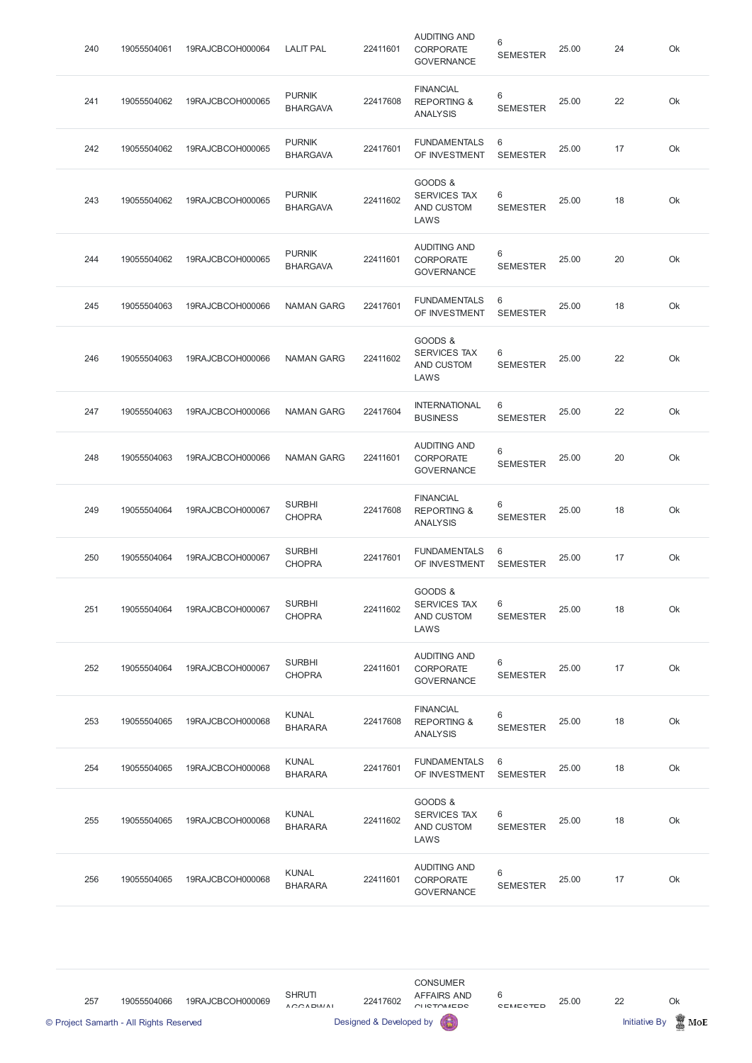| <b>FINANCIAL</b><br><b>PURNIK</b><br>6<br>25.00<br>22<br>Ok<br>241<br>19055504062<br>19RAJCBCOH000065<br>22417608<br><b>REPORTING &amp;</b><br><b>BHARGAVA</b><br><b>SEMESTER</b><br><b>ANALYSIS</b><br><b>PURNIK</b><br>6<br><b>FUNDAMENTALS</b><br>22417601<br>Ok<br>242<br>19055504062<br>19RAJCBCOH000065<br>25.00<br>17<br>OF INVESTMENT<br><b>BHARGAVA</b><br><b>SEMESTER</b><br>GOODS &<br><b>PURNIK</b><br>6<br><b>SERVICES TAX</b><br>22411602<br>18<br>Ok<br>243<br>19055504062<br>19RAJCBCOH000065<br>25.00<br><b>BHARGAVA</b><br>AND CUSTOM<br><b>SEMESTER</b><br>LAWS<br><b>AUDITING AND</b><br><b>PURNIK</b><br>6<br>20<br>Ok<br>244<br>19055504062<br>19RAJCBCOH000065<br>22411601<br>25.00<br><b>CORPORATE</b><br><b>BHARGAVA</b><br><b>SEMESTER</b><br><b>GOVERNANCE</b><br>6<br><b>FUNDAMENTALS</b><br>245<br>19055504063<br>19RAJCBCOH000066<br><b>NAMAN GARG</b><br>22417601<br>25.00<br>18<br>Ok<br>OF INVESTMENT<br><b>SEMESTER</b><br>GOODS &<br>6<br><b>SERVICES TAX</b><br>246<br>19055504063<br>19RAJCBCOH000066<br><b>NAMAN GARG</b><br>22411602<br>25.00<br>22<br>Ok<br>AND CUSTOM<br><b>SEMESTER</b><br>LAWS<br><b>INTERNATIONAL</b><br>6<br>22417604<br>247<br>19055504063<br>19RAJCBCOH000066<br><b>NAMAN GARG</b><br>25.00<br>22<br>Ok<br><b>BUSINESS</b><br><b>SEMESTER</b><br><b>AUDITING AND</b><br>6<br>Ok<br>248<br>25.00<br>20<br>19055504063<br>19RAJCBCOH000066<br><b>NAMAN GARG</b><br>22411601<br><b>CORPORATE</b><br><b>SEMESTER</b><br><b>GOVERNANCE</b><br><b>FINANCIAL</b><br><b>SURBHI</b><br>6<br>Ok<br>249<br>19RAJCBCOH000067<br>25.00<br>18<br>19055504064<br>22417608<br><b>REPORTING &amp;</b><br><b>CHOPRA</b><br><b>SEMESTER</b><br><b>ANALYSIS</b><br><b>SURBHI</b><br><b>FUNDAMENTALS</b><br>6<br>22417601<br>25.00<br>Ok<br>250<br>19055504064<br>19RAJCBCOH000067<br>17<br><b>CHOPRA</b><br>OF INVESTMENT<br><b>SEMESTER</b><br>GOODS &<br><b>SURBHI</b><br><b>SERVICES TAX</b><br>6<br>22411602<br>19RAJCBCOH000067<br>18<br>Ok<br>251<br>19055504064<br>25.00<br><b>CHOPRA</b><br>AND CUSTOM<br><b>SEMESTER</b><br>LAWS<br><b>AUDITING AND</b><br>6<br><b>SURBHI</b><br>19RAJCBCOH000067<br>17<br>Ok<br>252<br>19055504064<br>22411601<br>25.00<br><b>CORPORATE</b><br><b>CHOPRA</b><br><b>SEMESTER</b><br><b>GOVERNANCE</b><br><b>FINANCIAL</b><br>6<br><b>KUNAL</b><br>25.00<br>18<br>Ok<br>253<br>19055504065<br>19RAJCBCOH000068<br>22417608<br><b>REPORTING &amp;</b><br><b>SEMESTER</b><br><b>BHARARA</b><br><b>ANALYSIS</b><br><b>KUNAL</b><br><b>FUNDAMENTALS</b><br>6<br>254<br>25.00<br>18<br>Ok<br>19055504065<br>19RAJCBCOH000068<br>22417601<br>OF INVESTMENT<br><b>BHARARA</b><br><b>SEMESTER</b> | 240 | 19055504061 | 19RAJCBCOH000064 | <b>LALIT PAL</b> | 22411601 | <b>AUDITING AND</b><br>CORPORATE<br><b>GOVERNANCE</b> | 6<br><b>SEMESTER</b> | 25.00 | 24 | Ok |
|------------------------------------------------------------------------------------------------------------------------------------------------------------------------------------------------------------------------------------------------------------------------------------------------------------------------------------------------------------------------------------------------------------------------------------------------------------------------------------------------------------------------------------------------------------------------------------------------------------------------------------------------------------------------------------------------------------------------------------------------------------------------------------------------------------------------------------------------------------------------------------------------------------------------------------------------------------------------------------------------------------------------------------------------------------------------------------------------------------------------------------------------------------------------------------------------------------------------------------------------------------------------------------------------------------------------------------------------------------------------------------------------------------------------------------------------------------------------------------------------------------------------------------------------------------------------------------------------------------------------------------------------------------------------------------------------------------------------------------------------------------------------------------------------------------------------------------------------------------------------------------------------------------------------------------------------------------------------------------------------------------------------------------------------------------------------------------------------------------------------------------------------------------------------------------------------------------------------------------------------------------------------------------------------------------------------------------------------------------------------------------------------------------------------------------------------------------------------------------------------------------------------------------------------------------------------------------------------------------------------------------------------------------------------------|-----|-------------|------------------|------------------|----------|-------------------------------------------------------|----------------------|-------|----|----|
|                                                                                                                                                                                                                                                                                                                                                                                                                                                                                                                                                                                                                                                                                                                                                                                                                                                                                                                                                                                                                                                                                                                                                                                                                                                                                                                                                                                                                                                                                                                                                                                                                                                                                                                                                                                                                                                                                                                                                                                                                                                                                                                                                                                                                                                                                                                                                                                                                                                                                                                                                                                                                                                                              |     |             |                  |                  |          |                                                       |                      |       |    |    |
|                                                                                                                                                                                                                                                                                                                                                                                                                                                                                                                                                                                                                                                                                                                                                                                                                                                                                                                                                                                                                                                                                                                                                                                                                                                                                                                                                                                                                                                                                                                                                                                                                                                                                                                                                                                                                                                                                                                                                                                                                                                                                                                                                                                                                                                                                                                                                                                                                                                                                                                                                                                                                                                                              |     |             |                  |                  |          |                                                       |                      |       |    |    |
|                                                                                                                                                                                                                                                                                                                                                                                                                                                                                                                                                                                                                                                                                                                                                                                                                                                                                                                                                                                                                                                                                                                                                                                                                                                                                                                                                                                                                                                                                                                                                                                                                                                                                                                                                                                                                                                                                                                                                                                                                                                                                                                                                                                                                                                                                                                                                                                                                                                                                                                                                                                                                                                                              |     |             |                  |                  |          |                                                       |                      |       |    |    |
|                                                                                                                                                                                                                                                                                                                                                                                                                                                                                                                                                                                                                                                                                                                                                                                                                                                                                                                                                                                                                                                                                                                                                                                                                                                                                                                                                                                                                                                                                                                                                                                                                                                                                                                                                                                                                                                                                                                                                                                                                                                                                                                                                                                                                                                                                                                                                                                                                                                                                                                                                                                                                                                                              |     |             |                  |                  |          |                                                       |                      |       |    |    |
|                                                                                                                                                                                                                                                                                                                                                                                                                                                                                                                                                                                                                                                                                                                                                                                                                                                                                                                                                                                                                                                                                                                                                                                                                                                                                                                                                                                                                                                                                                                                                                                                                                                                                                                                                                                                                                                                                                                                                                                                                                                                                                                                                                                                                                                                                                                                                                                                                                                                                                                                                                                                                                                                              |     |             |                  |                  |          |                                                       |                      |       |    |    |
|                                                                                                                                                                                                                                                                                                                                                                                                                                                                                                                                                                                                                                                                                                                                                                                                                                                                                                                                                                                                                                                                                                                                                                                                                                                                                                                                                                                                                                                                                                                                                                                                                                                                                                                                                                                                                                                                                                                                                                                                                                                                                                                                                                                                                                                                                                                                                                                                                                                                                                                                                                                                                                                                              |     |             |                  |                  |          |                                                       |                      |       |    |    |
|                                                                                                                                                                                                                                                                                                                                                                                                                                                                                                                                                                                                                                                                                                                                                                                                                                                                                                                                                                                                                                                                                                                                                                                                                                                                                                                                                                                                                                                                                                                                                                                                                                                                                                                                                                                                                                                                                                                                                                                                                                                                                                                                                                                                                                                                                                                                                                                                                                                                                                                                                                                                                                                                              |     |             |                  |                  |          |                                                       |                      |       |    |    |
|                                                                                                                                                                                                                                                                                                                                                                                                                                                                                                                                                                                                                                                                                                                                                                                                                                                                                                                                                                                                                                                                                                                                                                                                                                                                                                                                                                                                                                                                                                                                                                                                                                                                                                                                                                                                                                                                                                                                                                                                                                                                                                                                                                                                                                                                                                                                                                                                                                                                                                                                                                                                                                                                              |     |             |                  |                  |          |                                                       |                      |       |    |    |
|                                                                                                                                                                                                                                                                                                                                                                                                                                                                                                                                                                                                                                                                                                                                                                                                                                                                                                                                                                                                                                                                                                                                                                                                                                                                                                                                                                                                                                                                                                                                                                                                                                                                                                                                                                                                                                                                                                                                                                                                                                                                                                                                                                                                                                                                                                                                                                                                                                                                                                                                                                                                                                                                              |     |             |                  |                  |          |                                                       |                      |       |    |    |
|                                                                                                                                                                                                                                                                                                                                                                                                                                                                                                                                                                                                                                                                                                                                                                                                                                                                                                                                                                                                                                                                                                                                                                                                                                                                                                                                                                                                                                                                                                                                                                                                                                                                                                                                                                                                                                                                                                                                                                                                                                                                                                                                                                                                                                                                                                                                                                                                                                                                                                                                                                                                                                                                              |     |             |                  |                  |          |                                                       |                      |       |    |    |
|                                                                                                                                                                                                                                                                                                                                                                                                                                                                                                                                                                                                                                                                                                                                                                                                                                                                                                                                                                                                                                                                                                                                                                                                                                                                                                                                                                                                                                                                                                                                                                                                                                                                                                                                                                                                                                                                                                                                                                                                                                                                                                                                                                                                                                                                                                                                                                                                                                                                                                                                                                                                                                                                              |     |             |                  |                  |          |                                                       |                      |       |    |    |
|                                                                                                                                                                                                                                                                                                                                                                                                                                                                                                                                                                                                                                                                                                                                                                                                                                                                                                                                                                                                                                                                                                                                                                                                                                                                                                                                                                                                                                                                                                                                                                                                                                                                                                                                                                                                                                                                                                                                                                                                                                                                                                                                                                                                                                                                                                                                                                                                                                                                                                                                                                                                                                                                              |     |             |                  |                  |          |                                                       |                      |       |    |    |
|                                                                                                                                                                                                                                                                                                                                                                                                                                                                                                                                                                                                                                                                                                                                                                                                                                                                                                                                                                                                                                                                                                                                                                                                                                                                                                                                                                                                                                                                                                                                                                                                                                                                                                                                                                                                                                                                                                                                                                                                                                                                                                                                                                                                                                                                                                                                                                                                                                                                                                                                                                                                                                                                              |     |             |                  |                  |          |                                                       |                      |       |    |    |
|                                                                                                                                                                                                                                                                                                                                                                                                                                                                                                                                                                                                                                                                                                                                                                                                                                                                                                                                                                                                                                                                                                                                                                                                                                                                                                                                                                                                                                                                                                                                                                                                                                                                                                                                                                                                                                                                                                                                                                                                                                                                                                                                                                                                                                                                                                                                                                                                                                                                                                                                                                                                                                                                              |     |             |                  |                  |          |                                                       |                      |       |    |    |

| 255 | 19055504065 | 19RAJCBCOH000068 | <b>KUNAL</b><br><b>BHARARA</b> | 22411602 | <u>GUUDO &amp;</u><br><b>SERVICES TAX</b><br>AND CUSTOM<br>LAWS | 6<br><b>SEMESTER</b> | 25.00 | 18 | Ok |
|-----|-------------|------------------|--------------------------------|----------|-----------------------------------------------------------------|----------------------|-------|----|----|
| 256 | 19055504065 | 19RAJCBCOH000068 | <b>KUNAL</b><br><b>BHARARA</b> | 22411601 | <b>AUDITING AND</b><br><b>CORPORATE</b><br><b>GOVERNANCE</b>    | 6<br><b>SEMESTER</b> | 25.00 |    | Ok |

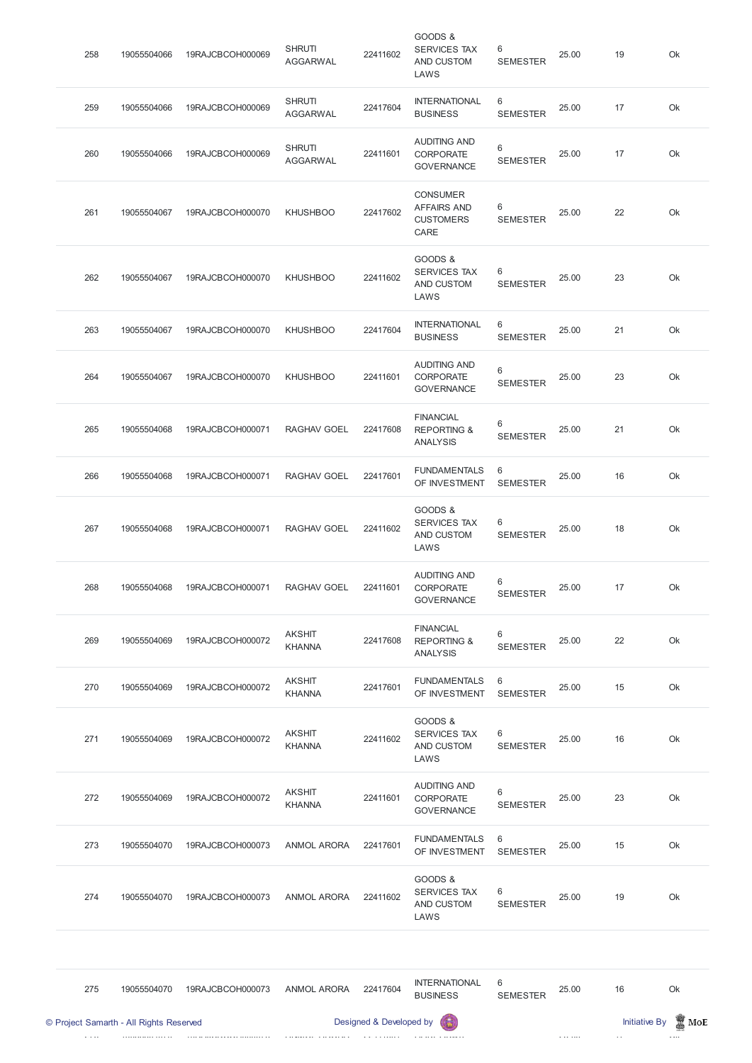| 258 | 19055504066 | 19RAJCBCOH000069 | <b>SHRUTI</b><br><b>AGGARWAL</b> | 22411602 | GOODS &<br><b>SERVICES TAX</b><br>AND CUSTOM<br>LAWS              | 6<br><b>SEMESTER</b> | 25.00 | 19 | Ok |
|-----|-------------|------------------|----------------------------------|----------|-------------------------------------------------------------------|----------------------|-------|----|----|
| 259 | 19055504066 | 19RAJCBCOH000069 | <b>SHRUTI</b><br><b>AGGARWAL</b> | 22417604 | <b>INTERNATIONAL</b><br><b>BUSINESS</b>                           | 6<br><b>SEMESTER</b> | 25.00 | 17 | Ok |
| 260 | 19055504066 | 19RAJCBCOH000069 | <b>SHRUTI</b><br><b>AGGARWAL</b> | 22411601 | <b>AUDITING AND</b><br>CORPORATE<br><b>GOVERNANCE</b>             | 6<br><b>SEMESTER</b> | 25.00 | 17 | Ok |
| 261 | 19055504067 | 19RAJCBCOH000070 | <b>KHUSHBOO</b>                  | 22417602 | <b>CONSUMER</b><br><b>AFFAIRS AND</b><br><b>CUSTOMERS</b><br>CARE | 6<br><b>SEMESTER</b> | 25.00 | 22 | Ok |
| 262 | 19055504067 | 19RAJCBCOH000070 | <b>KHUSHBOO</b>                  | 22411602 | GOODS &<br><b>SERVICES TAX</b><br>AND CUSTOM<br>LAWS              | 6<br><b>SEMESTER</b> | 25.00 | 23 | Ok |
| 263 | 19055504067 | 19RAJCBCOH000070 | <b>KHUSHBOO</b>                  | 22417604 | <b>INTERNATIONAL</b><br><b>BUSINESS</b>                           | 6<br><b>SEMESTER</b> | 25.00 | 21 | Ok |
| 264 | 19055504067 | 19RAJCBCOH000070 | <b>KHUSHBOO</b>                  | 22411601 | <b>AUDITING AND</b><br><b>CORPORATE</b><br><b>GOVERNANCE</b>      | 6<br><b>SEMESTER</b> | 25.00 | 23 | Ok |
| 265 | 19055504068 | 19RAJCBCOH000071 | RAGHAV GOEL                      | 22417608 | <b>FINANCIAL</b><br><b>REPORTING &amp;</b><br><b>ANALYSIS</b>     | 6<br><b>SEMESTER</b> | 25.00 | 21 | Ok |
| 266 | 19055504068 | 19RAJCBCOH000071 | RAGHAV GOEL                      | 22417601 | <b>FUNDAMENTALS</b><br>OF INVESTMENT                              | 6<br><b>SEMESTER</b> | 25.00 | 16 | Ok |
| 267 | 19055504068 | 19RAJCBCOH000071 | RAGHAV GOEL                      | 22411602 | GOODS &<br><b>SERVICES TAX</b><br>AND CUSTOM<br>LAWS              | 6<br><b>SEMESTER</b> | 25.00 | 18 | Ok |
| 268 | 19055504068 | 19RAJCBCOH000071 | RAGHAV GOEL                      | 22411601 | <b>AUDITING AND</b><br><b>CORPORATE</b><br><b>GOVERNANCE</b>      | 6<br><b>SEMESTER</b> | 25.00 | 17 | Ok |
| 269 | 19055504069 | 19RAJCBCOH000072 | <b>AKSHIT</b><br><b>KHANNA</b>   | 22417608 | <b>FINANCIAL</b><br><b>REPORTING &amp;</b><br><b>ANALYSIS</b>     | 6<br><b>SEMESTER</b> | 25.00 | 22 | Ok |
| 270 | 19055504069 | 19RAJCBCOH000072 | <b>AKSHIT</b><br><b>KHANNA</b>   | 22417601 | <b>FUNDAMENTALS</b><br>OF INVESTMENT                              | 6<br><b>SEMESTER</b> | 25.00 | 15 | Ok |
| 271 | 19055504069 | 19RAJCBCOH000072 | <b>AKSHIT</b><br><b>KHANNA</b>   | 22411602 | GOODS &<br><b>SERVICES TAX</b><br>AND CUSTOM<br>LAWS              | 6<br><b>SEMESTER</b> | 25.00 | 16 | Ok |
| 272 | 19055504069 | 19RAJCBCOH000072 | <b>AKSHIT</b><br><b>KHANNA</b>   | 22411601 | <b>AUDITING AND</b><br><b>CORPORATE</b><br><b>GOVERNANCE</b>      | 6<br><b>SEMESTER</b> | 25.00 | 23 | Ok |
| 273 | 19055504070 | 19RAJCBCOH000073 | <b>ANMOL ARORA</b>               | 22417601 | <b>FUNDAMENTALS</b><br>OF INVESTMENT                              | 6<br><b>SEMESTER</b> | 25.00 | 15 | Ok |
| 274 | 19055504070 | 19RAJCBCOH000073 | <b>ANMOL ARORA</b>               | 22411602 | GOODS &<br><b>SERVICES TAX</b><br>AND CUSTOM<br>LAWS              | 6<br><b>SEMESTER</b> | 25.00 | 19 | Ok |

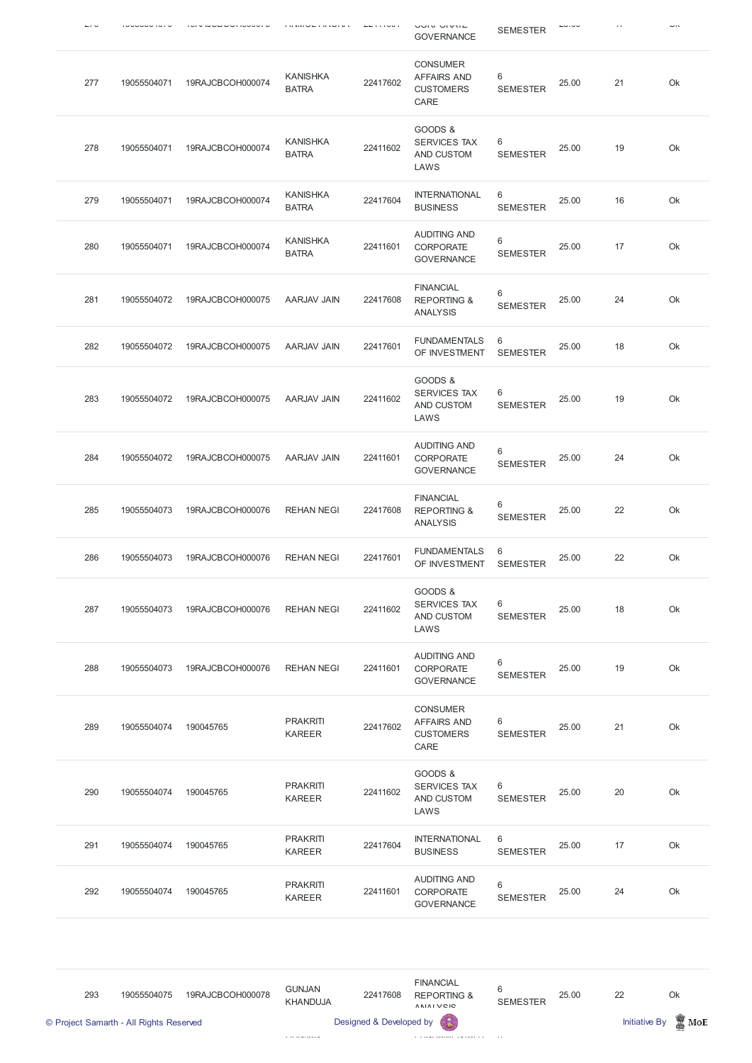|     |             |                  |                                  |          | <b>UUIN UIVIL</b><br><b>GOVERNANCE</b>                            | <b>SEMESTER</b>      |       |    | <b></b> |
|-----|-------------|------------------|----------------------------------|----------|-------------------------------------------------------------------|----------------------|-------|----|---------|
| 277 | 19055504071 | 19RAJCBCOH000074 | <b>KANISHKA</b><br><b>BATRA</b>  | 22417602 | <b>CONSUMER</b><br><b>AFFAIRS AND</b><br><b>CUSTOMERS</b><br>CARE | 6<br><b>SEMESTER</b> | 25.00 | 21 | Ok      |
| 278 | 19055504071 | 19RAJCBCOH000074 | <b>KANISHKA</b><br><b>BATRA</b>  | 22411602 | GOODS &<br><b>SERVICES TAX</b><br>AND CUSTOM<br>LAWS              | 6<br><b>SEMESTER</b> | 25.00 | 19 | Ok      |
| 279 | 19055504071 | 19RAJCBCOH000074 | <b>KANISHKA</b><br><b>BATRA</b>  | 22417604 | <b>INTERNATIONAL</b><br><b>BUSINESS</b>                           | 6<br><b>SEMESTER</b> | 25.00 | 16 | Ok      |
| 280 | 19055504071 | 19RAJCBCOH000074 | <b>KANISHKA</b><br><b>BATRA</b>  | 22411601 | <b>AUDITING AND</b><br><b>CORPORATE</b><br><b>GOVERNANCE</b>      | 6<br><b>SEMESTER</b> | 25.00 | 17 | Ok      |
| 281 | 19055504072 | 19RAJCBCOH000075 | AARJAV JAIN                      | 22417608 | <b>FINANCIAL</b><br><b>REPORTING &amp;</b><br><b>ANALYSIS</b>     | 6<br><b>SEMESTER</b> | 25.00 | 24 | Ok      |
| 282 | 19055504072 | 19RAJCBCOH000075 | AARJAV JAIN                      | 22417601 | <b>FUNDAMENTALS</b><br>OF INVESTMENT                              | 6<br><b>SEMESTER</b> | 25.00 | 18 | Ok      |
| 283 | 19055504072 | 19RAJCBCOH000075 | AARJAV JAIN                      | 22411602 | GOODS &<br><b>SERVICES TAX</b><br>AND CUSTOM<br>LAWS              | 6<br><b>SEMESTER</b> | 25.00 | 19 | Ok      |
| 284 | 19055504072 | 19RAJCBCOH000075 | AARJAV JAIN                      | 22411601 | <b>AUDITING AND</b><br><b>CORPORATE</b><br><b>GOVERNANCE</b>      | 6<br><b>SEMESTER</b> | 25.00 | 24 | Ok      |
| 285 | 19055504073 | 19RAJCBCOH000076 | <b>REHAN NEGI</b>                | 22417608 | <b>FINANCIAL</b><br><b>REPORTING &amp;</b><br><b>ANALYSIS</b>     | 6<br><b>SEMESTER</b> | 25.00 | 22 | Ok      |
| 286 | 19055504073 | 19RAJCBCOH000076 | <b>REHAN NEGI</b>                | 22417601 | <b>FUNDAMENTALS</b><br>OF INVESTMENT                              | 6<br><b>SEMESTER</b> | 25.00 | 22 | Ok      |
| 287 | 19055504073 | 19RAJCBCOH000076 | <b>REHAN NEGI</b>                | 22411602 | GOODS &<br><b>SERVICES TAX</b><br>AND CUSTOM<br>LAWS              | 6<br><b>SEMESTER</b> | 25.00 | 18 | Ok      |
| 288 | 19055504073 | 19RAJCBCOH000076 | <b>REHAN NEGI</b>                | 22411601 | <b>AUDITING AND</b><br><b>CORPORATE</b><br><b>GOVERNANCE</b>      | 6<br><b>SEMESTER</b> | 25.00 | 19 | Ok      |
| 289 | 19055504074 | 190045765        | <b>PRAKRITI</b><br><b>KAREER</b> | 22417602 | <b>CONSUMER</b><br><b>AFFAIRS AND</b><br><b>CUSTOMERS</b><br>CARE | 6<br><b>SEMESTER</b> | 25.00 | 21 | Ok      |
| 290 | 19055504074 | 190045765        | <b>PRAKRITI</b><br><b>KAREER</b> | 22411602 | GOODS &<br>SERVICES TAX<br>AND CUSTOM                             | 6<br><b>SEMESTER</b> | 25.00 | 20 | Ok      |

LAWS

| 291 | 19055504074 | 190045765 | <b>PRAKRITI</b><br><b>KAREER</b> | 22417604 | <b>INTERNATIONAL</b><br><b>BUSINESS</b>               | 6<br><b>SEMESTER</b> | 25.00 | 17 | Ok |
|-----|-------------|-----------|----------------------------------|----------|-------------------------------------------------------|----------------------|-------|----|----|
| 292 | 19055504074 | 190045765 | <b>PRAKRITI</b><br><b>KAREER</b> | 22411601 | AUDITING AND<br><b>CORPORATE</b><br><b>GOVERNANCE</b> | <b>SEMESTER</b>      | 25.00 | 24 | Ok |

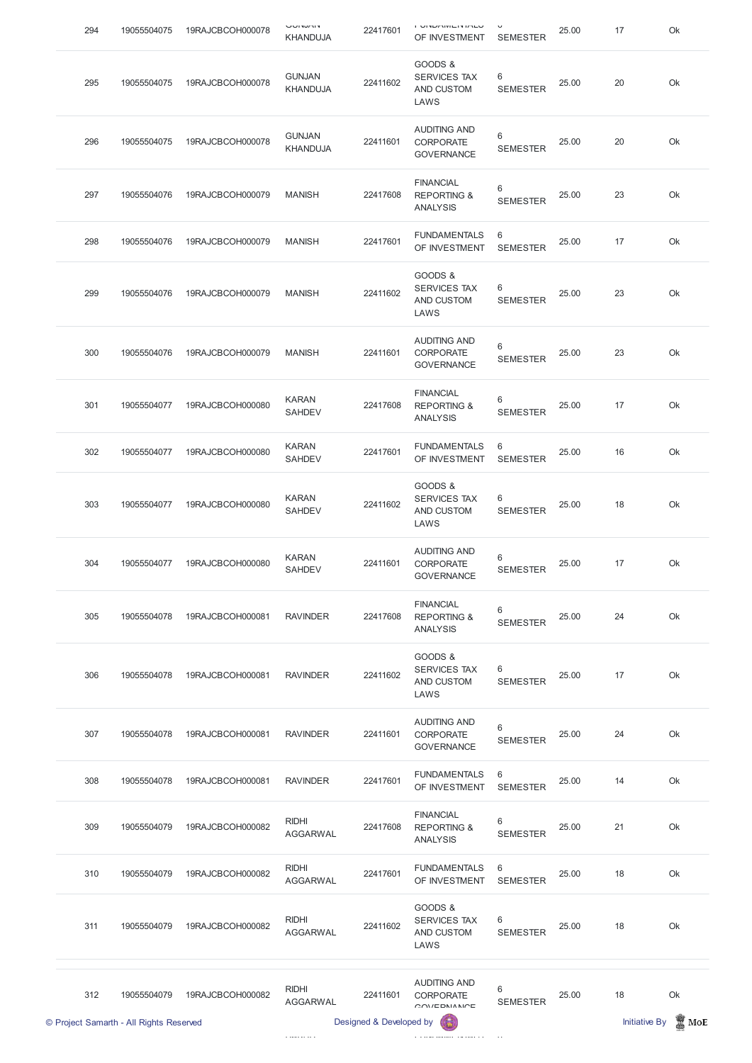| 294 | 19055504075 | 19RAJCBCOH000078 | י ווי זטו זו ע<br><b>KHANDUJA</b> | 22417601 | <b>I VITU INTERNATO</b><br>OF INVESTMENT                      | $\checkmark$<br><b>SEMESTER</b> | 25.00 | 17 | Ok |
|-----|-------------|------------------|-----------------------------------|----------|---------------------------------------------------------------|---------------------------------|-------|----|----|
| 295 | 19055504075 | 19RAJCBCOH000078 | <b>GUNJAN</b><br><b>KHANDUJA</b>  | 22411602 | GOODS &<br><b>SERVICES TAX</b><br>AND CUSTOM<br>LAWS          | 6<br><b>SEMESTER</b>            | 25.00 | 20 | Ok |
| 296 | 19055504075 | 19RAJCBCOH000078 | <b>GUNJAN</b><br><b>KHANDUJA</b>  | 22411601 | <b>AUDITING AND</b><br><b>CORPORATE</b><br><b>GOVERNANCE</b>  | $6\,$<br><b>SEMESTER</b>        | 25.00 | 20 | Ok |
| 297 | 19055504076 | 19RAJCBCOH000079 | <b>MANISH</b>                     | 22417608 | <b>FINANCIAL</b><br><b>REPORTING &amp;</b><br><b>ANALYSIS</b> | 6<br><b>SEMESTER</b>            | 25.00 | 23 | Ok |
| 298 | 19055504076 | 19RAJCBCOH000079 | <b>MANISH</b>                     | 22417601 | <b>FUNDAMENTALS</b><br>OF INVESTMENT                          | 6<br><b>SEMESTER</b>            | 25.00 | 17 | Ok |
| 299 | 19055504076 | 19RAJCBCOH000079 | <b>MANISH</b>                     | 22411602 | GOODS &<br><b>SERVICES TAX</b><br>AND CUSTOM<br>LAWS          | 6<br><b>SEMESTER</b>            | 25.00 | 23 | Ok |
| 300 | 19055504076 | 19RAJCBCOH000079 | <b>MANISH</b>                     | 22411601 | <b>AUDITING AND</b><br>CORPORATE<br><b>GOVERNANCE</b>         | $6\,$<br><b>SEMESTER</b>        | 25.00 | 23 | Ok |
| 301 | 19055504077 | 19RAJCBCOH000080 | <b>KARAN</b><br>SAHDEV            | 22417608 | <b>FINANCIAL</b><br><b>REPORTING &amp;</b><br><b>ANALYSIS</b> | 6<br><b>SEMESTER</b>            | 25.00 | 17 | Ok |
| 302 | 19055504077 | 19RAJCBCOH000080 | <b>KARAN</b><br><b>SAHDEV</b>     | 22417601 | <b>FUNDAMENTALS</b><br>OF INVESTMENT                          | 6<br><b>SEMESTER</b>            | 25.00 | 16 | Ok |
| 303 | 19055504077 | 19RAJCBCOH000080 | <b>KARAN</b><br><b>SAHDEV</b>     | 22411602 | GOODS &<br><b>SERVICES TAX</b><br>AND CUSTOM<br>LAWS          | 6<br><b>SEMESTER</b>            | 25.00 | 18 | Ok |
| 304 | 19055504077 | 19RAJCBCOH000080 | <b>KARAN</b><br><b>SAHDEV</b>     | 22411601 | <b>AUDITING AND</b><br><b>CORPORATE</b><br><b>GOVERNANCE</b>  | 6<br><b>SEMESTER</b>            | 25.00 | 17 | Ok |
| 305 | 19055504078 | 19RAJCBCOH000081 | <b>RAVINDER</b>                   | 22417608 | <b>FINANCIAL</b><br><b>REPORTING &amp;</b><br><b>ANALYSIS</b> | 6<br><b>SEMESTER</b>            | 25.00 | 24 | Ok |
| 306 | 19055504078 | 19RAJCBCOH000081 | <b>RAVINDER</b>                   | 22411602 | GOODS &<br><b>SERVICES TAX</b><br>AND CUSTOM<br>LAWS          | 6<br><b>SEMESTER</b>            | 25.00 | 17 | Ok |
| 307 | 19055504078 | 19RAJCBCOH000081 | <b>RAVINDER</b>                   | 22411601 | <b>AUDITING AND</b><br>CORPORATE<br><b>GOVERNANCE</b>         | 6<br><b>SEMESTER</b>            | 25.00 | 24 | Ok |
| 308 | 19055504078 | 19RAJCBCOH000081 | <b>RAVINDER</b>                   | 22417601 | <b>FUNDAMENTALS</b><br>OF INVESTMENT                          | 6<br><b>SEMESTER</b>            | 25.00 | 14 | Ok |

|     | © Project Samarth - All Rights Reserved |                  |                                 | Designed & Developed by |                                                               |                      |       | <b>Initiative By</b> | E<br>MoE |
|-----|-----------------------------------------|------------------|---------------------------------|-------------------------|---------------------------------------------------------------|----------------------|-------|----------------------|----------|
| 312 | 19055504079                             | 19RAJCBCOH000082 | <b>RIDHI</b><br><b>AGGARWAL</b> | 22411601                | <b>AUDITING AND</b><br><b>CORPORATE</b><br>OMIEDNIANICE       | 6<br><b>SEMESTER</b> | 25.00 | 18                   | Ok       |
| 311 | 19055504079                             | 19RAJCBCOH000082 | <b>RIDHI</b><br><b>AGGARWAL</b> | 22411602                | GOODS &<br><b>SERVICES TAX</b><br>AND CUSTOM<br>LAWS          | 6<br><b>SEMESTER</b> | 25.00 | 18                   | Ok       |
| 310 | 19055504079                             | 19RAJCBCOH000082 | <b>RIDHI</b><br><b>AGGARWAL</b> | 22417601                | <b>FUNDAMENTALS</b><br>OF INVESTMENT                          | 6<br><b>SEMESTER</b> | 25.00 | 18                   | Ok       |
| 309 | 19055504079                             | 19RAJCBCOH000082 | <b>RIDHI</b><br><b>AGGARWAL</b> | 22417608                | <b>FINANCIAL</b><br><b>REPORTING &amp;</b><br><b>ANALYSIS</b> | 6<br><b>SEMESTER</b> | 25.00 | 21                   | Ok       |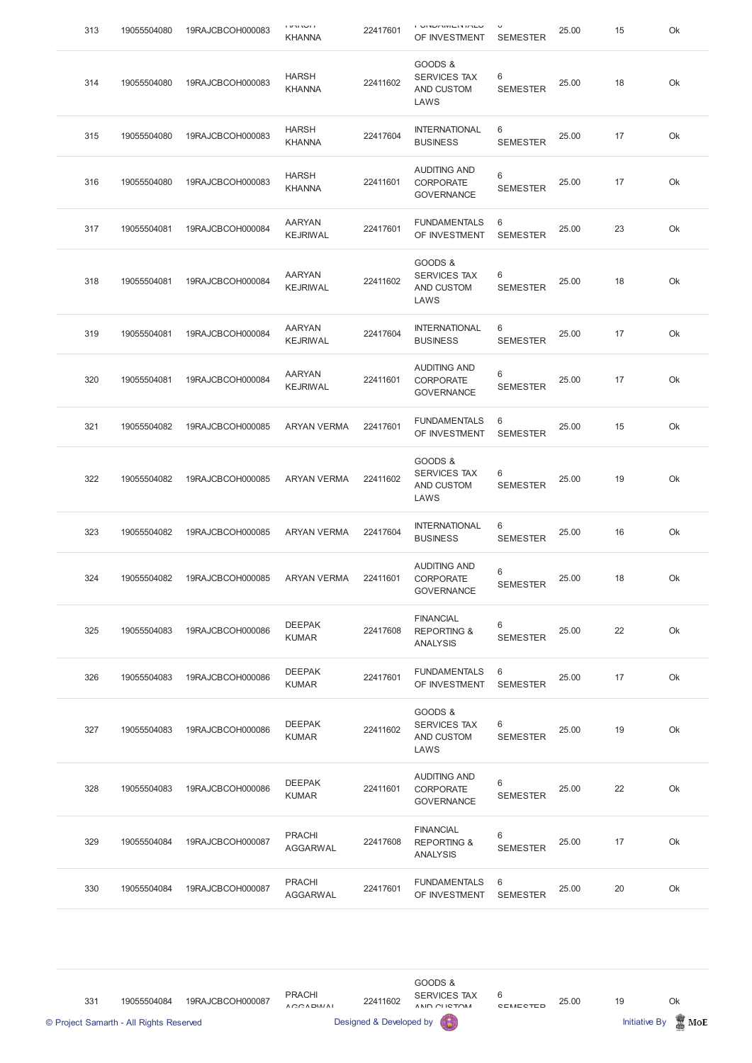| 313 | 19055504080 | 19RAJCBCOH000083 | דושרת ה<br><b>KHANNA</b>         | 22417601 | שם מיוחד המוניקים ו<br>OF INVESTMENT                          | <b>SEMESTER</b>      | 25.00 | 15 | Ok |
|-----|-------------|------------------|----------------------------------|----------|---------------------------------------------------------------|----------------------|-------|----|----|
| 314 | 19055504080 | 19RAJCBCOH000083 | <b>HARSH</b><br><b>KHANNA</b>    | 22411602 | GOODS &<br><b>SERVICES TAX</b><br>AND CUSTOM<br>LAWS          | 6<br><b>SEMESTER</b> | 25.00 | 18 | Ok |
| 315 | 19055504080 | 19RAJCBCOH000083 | <b>HARSH</b><br><b>KHANNA</b>    | 22417604 | <b>INTERNATIONAL</b><br><b>BUSINESS</b>                       | 6<br><b>SEMESTER</b> | 25.00 | 17 | Ok |
| 316 | 19055504080 | 19RAJCBCOH000083 | <b>HARSH</b><br><b>KHANNA</b>    | 22411601 | <b>AUDITING AND</b><br><b>CORPORATE</b><br><b>GOVERNANCE</b>  | 6<br><b>SEMESTER</b> | 25.00 | 17 | Ok |
| 317 | 19055504081 | 19RAJCBCOH000084 | <b>AARYAN</b><br><b>KEJRIWAL</b> | 22417601 | <b>FUNDAMENTALS</b><br>OF INVESTMENT                          | 6<br><b>SEMESTER</b> | 25.00 | 23 | Ok |
| 318 | 19055504081 | 19RAJCBCOH000084 | <b>AARYAN</b><br>KEJRIWAL        | 22411602 | GOODS &<br><b>SERVICES TAX</b><br>AND CUSTOM<br>LAWS          | 6<br><b>SEMESTER</b> | 25.00 | 18 | Ok |
| 319 | 19055504081 | 19RAJCBCOH000084 | <b>AARYAN</b><br><b>KEJRIWAL</b> | 22417604 | <b>INTERNATIONAL</b><br><b>BUSINESS</b>                       | 6<br><b>SEMESTER</b> | 25.00 | 17 | Ok |
| 320 | 19055504081 | 19RAJCBCOH000084 | <b>AARYAN</b><br><b>KEJRIWAL</b> | 22411601 | <b>AUDITING AND</b><br><b>CORPORATE</b><br><b>GOVERNANCE</b>  | 6<br><b>SEMESTER</b> | 25.00 | 17 | Ok |
| 321 | 19055504082 | 19RAJCBCOH000085 | <b>ARYAN VERMA</b>               | 22417601 | FUNDAMENTALS 6<br>OF INVESTMENT                               | <b>SEMESTER</b>      | 25.00 | 15 | Ok |
| 322 | 19055504082 | 19RAJCBCOH000085 | <b>ARYAN VERMA</b>               | 22411602 | GOODS &<br><b>SERVICES TAX</b><br>AND CUSTOM<br>LAWS          | 6<br><b>SEMESTER</b> | 25.00 | 19 | Ok |
| 323 | 19055504082 | 19RAJCBCOH000085 | <b>ARYAN VERMA</b>               | 22417604 | <b>INTERNATIONAL</b><br><b>BUSINESS</b>                       | 6<br><b>SEMESTER</b> | 25.00 | 16 | Ok |
| 324 | 19055504082 | 19RAJCBCOH000085 | <b>ARYAN VERMA</b>               | 22411601 | <b>AUDITING AND</b><br><b>CORPORATE</b><br><b>GOVERNANCE</b>  | 6<br><b>SEMESTER</b> | 25.00 | 18 | Ok |
| 325 | 19055504083 | 19RAJCBCOH000086 | <b>DEEPAK</b><br><b>KUMAR</b>    | 22417608 | <b>FINANCIAL</b><br><b>REPORTING &amp;</b><br><b>ANALYSIS</b> | 6<br><b>SEMESTER</b> | 25.00 | 22 | Ok |
| 326 | 19055504083 | 19RAJCBCOH000086 | <b>DEEPAK</b><br><b>KUMAR</b>    | 22417601 | <b>FUNDAMENTALS</b><br>OF INVESTMENT                          | 6<br><b>SEMESTER</b> | 25.00 | 17 | Ok |
| 327 | 19055504083 | 19RAJCBCOH000086 | <b>DEEPAK</b><br><b>KUMAR</b>    | 22411602 | GOODS &<br><b>SERVICES TAX</b><br>AND CUSTOM<br>LAWS          | 6<br><b>SEMESTER</b> | 25.00 | 19 | Ok |
| 328 | 19055504083 | 19RAJCBCOH000086 | <b>DEEPAK</b><br><b>KUMAR</b>    | 22411601 | <b>AUDITING AND</b><br><b>CORPORATE</b><br><b>GOVERNANCE</b>  | 6<br><b>SEMESTER</b> | 25.00 | 22 | Ok |

## GOVERNANCE

| 329 | 19055504084 | 19RAJCBCOH000087 | <b>PRACHI</b><br>AGGARWAL | 22417608 | <b>FINANCIAL</b><br><b>REPORTING &amp;</b><br><b>ANALYSIS</b> | <b>SEMESTER</b> | 25.00 | 17 | Ok |
|-----|-------------|------------------|---------------------------|----------|---------------------------------------------------------------|-----------------|-------|----|----|
| 330 | 19055504084 | 19RAJCBCOH000087 | <b>PRACHI</b><br>AGGARWAL | 22417601 | <b>FUNDAMENTALS</b><br>OF INVESTMENT                          | <b>SEMESTER</b> | 25.00 | 20 | Ok |

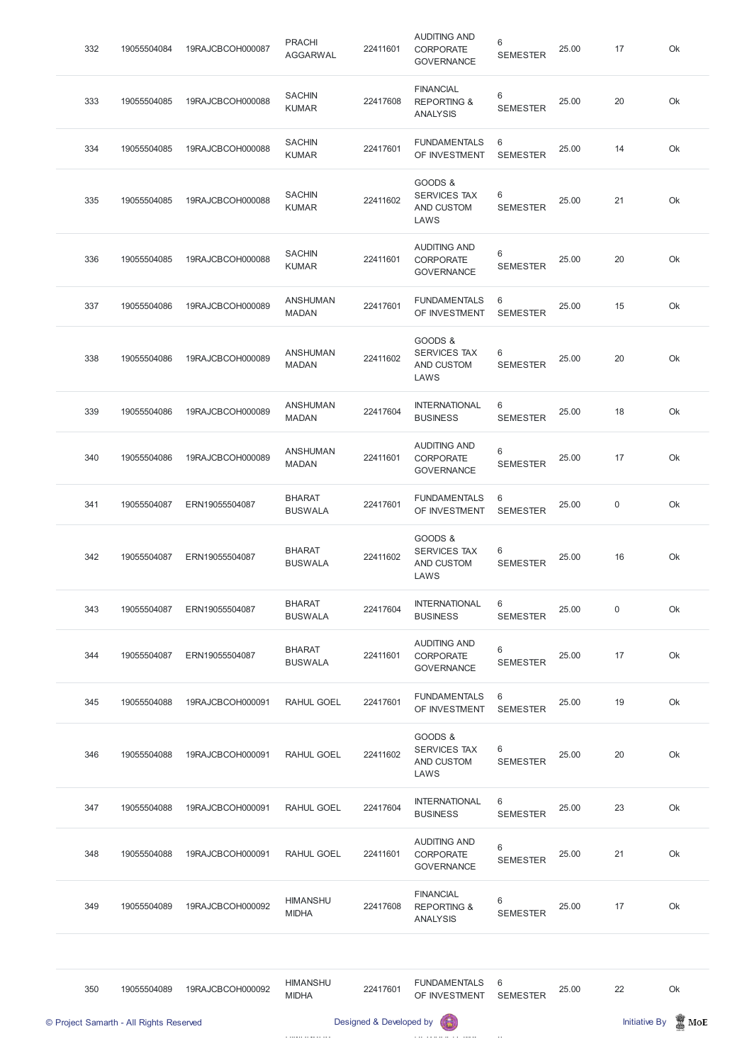| 332 | 19055504084 | 19RAJCBCOH000087 | <b>PRACHI</b><br><b>AGGARWAL</b> | 22411601 | <b>AUDITING AND</b><br>CORPORATE<br><b>GOVERNANCE</b>         | 6<br><b>SEMESTER</b> | 25.00 | 17          | Ok |
|-----|-------------|------------------|----------------------------------|----------|---------------------------------------------------------------|----------------------|-------|-------------|----|
| 333 | 19055504085 | 19RAJCBCOH000088 | <b>SACHIN</b><br><b>KUMAR</b>    | 22417608 | <b>FINANCIAL</b><br><b>REPORTING &amp;</b><br><b>ANALYSIS</b> | 6<br><b>SEMESTER</b> | 25.00 | 20          | Ok |
| 334 | 19055504085 | 19RAJCBCOH000088 | <b>SACHIN</b><br><b>KUMAR</b>    | 22417601 | <b>FUNDAMENTALS</b><br>OF INVESTMENT                          | 6<br><b>SEMESTER</b> | 25.00 | 14          | Ok |
| 335 | 19055504085 | 19RAJCBCOH000088 | <b>SACHIN</b><br><b>KUMAR</b>    | 22411602 | GOODS &<br><b>SERVICES TAX</b><br>AND CUSTOM<br>LAWS          | 6<br><b>SEMESTER</b> | 25.00 | 21          | Ok |
| 336 | 19055504085 | 19RAJCBCOH000088 | <b>SACHIN</b><br><b>KUMAR</b>    | 22411601 | <b>AUDITING AND</b><br><b>CORPORATE</b><br><b>GOVERNANCE</b>  | 6<br><b>SEMESTER</b> | 25.00 | 20          | Ok |
| 337 | 19055504086 | 19RAJCBCOH000089 | <b>ANSHUMAN</b><br><b>MADAN</b>  | 22417601 | <b>FUNDAMENTALS</b><br>OF INVESTMENT                          | 6<br><b>SEMESTER</b> | 25.00 | 15          | Ok |
| 338 | 19055504086 | 19RAJCBCOH000089 | <b>ANSHUMAN</b><br><b>MADAN</b>  | 22411602 | GOODS &<br><b>SERVICES TAX</b><br>AND CUSTOM<br>LAWS          | 6<br><b>SEMESTER</b> | 25.00 | 20          | Ok |
| 339 | 19055504086 | 19RAJCBCOH000089 | <b>ANSHUMAN</b><br><b>MADAN</b>  | 22417604 | <b>INTERNATIONAL</b><br><b>BUSINESS</b>                       | 6<br><b>SEMESTER</b> | 25.00 | 18          | Ok |
| 340 | 19055504086 | 19RAJCBCOH000089 | <b>ANSHUMAN</b><br><b>MADAN</b>  | 22411601 | <b>AUDITING AND</b><br><b>CORPORATE</b><br><b>GOVERNANCE</b>  | 6<br><b>SEMESTER</b> | 25.00 | 17          | Ok |
| 341 | 19055504087 | ERN19055504087   | <b>BHARAT</b><br><b>BUSWALA</b>  | 22417601 | <b>FUNDAMENTALS</b><br>OF INVESTMENT                          | 6<br><b>SEMESTER</b> | 25.00 | $\mathbf 0$ | Ok |
| 342 | 19055504087 | ERN19055504087   | <b>BHARAT</b><br><b>BUSWALA</b>  | 22411602 | GOODS &<br><b>SERVICES TAX</b><br>AND CUSTOM<br>LAWS          | 6<br><b>SEMESTER</b> | 25.00 | 16          | Ok |
| 343 | 19055504087 | ERN19055504087   | <b>BHARAT</b><br><b>BUSWALA</b>  | 22417604 | <b>INTERNATIONAL</b><br><b>BUSINESS</b>                       | 6<br><b>SEMESTER</b> | 25.00 | 0           | Ok |
| 344 | 19055504087 | ERN19055504087   | <b>BHARAT</b><br><b>BUSWALA</b>  | 22411601 | <b>AUDITING AND</b><br><b>CORPORATE</b><br><b>GOVERNANCE</b>  | 6<br><b>SEMESTER</b> | 25.00 | 17          | Ok |
| 345 | 19055504088 | 19RAJCBCOH000091 | RAHUL GOEL                       | 22417601 | <b>FUNDAMENTALS</b><br>OF INVESTMENT                          | 6<br><b>SEMESTER</b> | 25.00 | 19          | Ok |
| 346 | 19055504088 | 19RAJCBCOH000091 | <b>RAHUL GOEL</b>                | 22411602 | GOODS &<br><b>SERVICES TAX</b><br>AND CUSTOM<br>LAWS          | 6<br><b>SEMESTER</b> | 25.00 | 20          | Ok |
|     |             |                  |                                  |          |                                                               |                      |       |             |    |

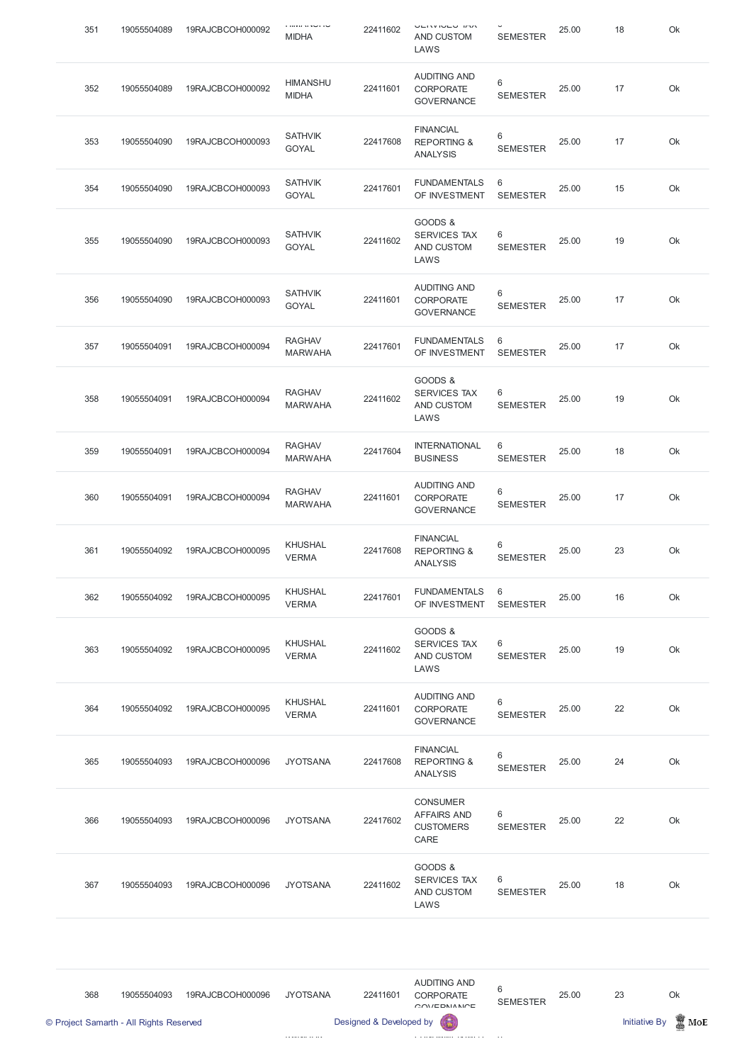| 351 | 19055504089 | 19RAJCBCOH000092 | <b>MIDHA</b>                    | 22411602 | <b>VEIVIVEY INV</b><br>AND CUSTOM<br>LAWS                     | <b>SEMESTER</b>          | 25.00 | 18 | Ok |
|-----|-------------|------------------|---------------------------------|----------|---------------------------------------------------------------|--------------------------|-------|----|----|
| 352 | 19055504089 | 19RAJCBCOH000092 | <b>HIMANSHU</b><br><b>MIDHA</b> | 22411601 | <b>AUDITING AND</b><br><b>CORPORATE</b><br><b>GOVERNANCE</b>  | 6<br><b>SEMESTER</b>     | 25.00 | 17 | Ok |
| 353 | 19055504090 | 19RAJCBCOH000093 | <b>SATHVIK</b><br>GOYAL         | 22417608 | <b>FINANCIAL</b><br><b>REPORTING &amp;</b><br><b>ANALYSIS</b> | 6<br><b>SEMESTER</b>     | 25.00 | 17 | Ok |
| 354 | 19055504090 | 19RAJCBCOH000093 | <b>SATHVIK</b><br><b>GOYAL</b>  | 22417601 | <b>FUNDAMENTALS</b><br>OF INVESTMENT                          | 6<br><b>SEMESTER</b>     | 25.00 | 15 | Ok |
| 355 | 19055504090 | 19RAJCBCOH000093 | <b>SATHVIK</b><br><b>GOYAL</b>  | 22411602 | GOODS &<br><b>SERVICES TAX</b><br>AND CUSTOM<br>LAWS          | 6<br><b>SEMESTER</b>     | 25.00 | 19 | Ok |
| 356 | 19055504090 | 19RAJCBCOH000093 | <b>SATHVIK</b><br><b>GOYAL</b>  | 22411601 | <b>AUDITING AND</b><br><b>CORPORATE</b><br><b>GOVERNANCE</b>  | 6<br><b>SEMESTER</b>     | 25.00 | 17 | Ok |
| 357 | 19055504091 | 19RAJCBCOH000094 | <b>RAGHAV</b><br><b>MARWAHA</b> | 22417601 | <b>FUNDAMENTALS</b><br>OF INVESTMENT                          | 6<br><b>SEMESTER</b>     | 25.00 | 17 | Ok |
| 358 | 19055504091 | 19RAJCBCOH000094 | <b>RAGHAV</b><br><b>MARWAHA</b> | 22411602 | GOODS &<br><b>SERVICES TAX</b><br>AND CUSTOM<br>LAWS          | 6<br><b>SEMESTER</b>     | 25.00 | 19 | Ok |
| 359 | 19055504091 | 19RAJCBCOH000094 | <b>RAGHAV</b><br><b>MARWAHA</b> | 22417604 | <b>INTERNATIONAL</b><br><b>BUSINESS</b>                       | 6<br><b>SEMESTER</b>     | 25.00 | 18 | Ok |
| 360 | 19055504091 | 19RAJCBCOH000094 | <b>RAGHAV</b><br><b>MARWAHA</b> | 22411601 | <b>AUDITING AND</b><br><b>CORPORATE</b><br><b>GOVERNANCE</b>  | $6\,$<br><b>SEMESTER</b> | 25.00 | 17 | Ok |
| 361 | 19055504092 | 19RAJCBCOH000095 | <b>KHUSHAL</b><br><b>VERMA</b>  | 22417608 | <b>FINANCIAL</b><br><b>REPORTING &amp;</b><br><b>ANALYSIS</b> | $6\,$<br><b>SEMESTER</b> | 25.00 | 23 | Ok |
| 362 | 19055504092 | 19RAJCBCOH000095 | <b>KHUSHAL</b><br><b>VERMA</b>  | 22417601 | <b>FUNDAMENTALS</b><br>OF INVESTMENT                          | 6<br><b>SEMESTER</b>     | 25.00 | 16 | Ok |
| 363 | 19055504092 | 19RAJCBCOH000095 | <b>KHUSHAL</b><br><b>VERMA</b>  | 22411602 | GOODS &<br><b>SERVICES TAX</b><br>AND CUSTOM<br>LAWS          | 6<br><b>SEMESTER</b>     | 25.00 | 19 | Ok |
| 364 | 19055504092 | 19RAJCBCOH000095 | <b>KHUSHAL</b><br><b>VERMA</b>  | 22411601 | <b>AUDITING AND</b><br><b>CORPORATE</b><br><b>GOVERNANCE</b>  | $6\,$<br><b>SEMESTER</b> | 25.00 | 22 | Ok |
| 365 | 19055504093 | 19RAJCBCOH000096 | <b>JYOTSANA</b>                 | 22417608 | <b>FINANCIAL</b><br><b>REPORTING &amp;</b><br><b>ANALYSIS</b> | 6<br><b>SEMESTER</b>     | 25.00 | 24 | Ok |
|     |             |                  |                                 |          |                                                               |                          |       |    |    |

| 366 | 19055504093 | 19RAJCBCOH000096 | <b>JYOTSANA</b> | 22417602 | <b>UUNSUMER</b><br><b>AFFAIRS AND</b><br><b>CUSTOMERS</b><br>CARE | 6<br><b>SEMESTER</b> | 25.00 | 22 | Ok |
|-----|-------------|------------------|-----------------|----------|-------------------------------------------------------------------|----------------------|-------|----|----|
| 367 | 19055504093 | 19RAJCBCOH000096 | <b>JYOTSANA</b> | 22411602 | GOODS &<br><b>SERVICES TAX</b><br>AND CUSTOM<br>LAWS              | 6<br><b>SEMESTER</b> | 25.00 | 18 | Ok |

CONCUMED

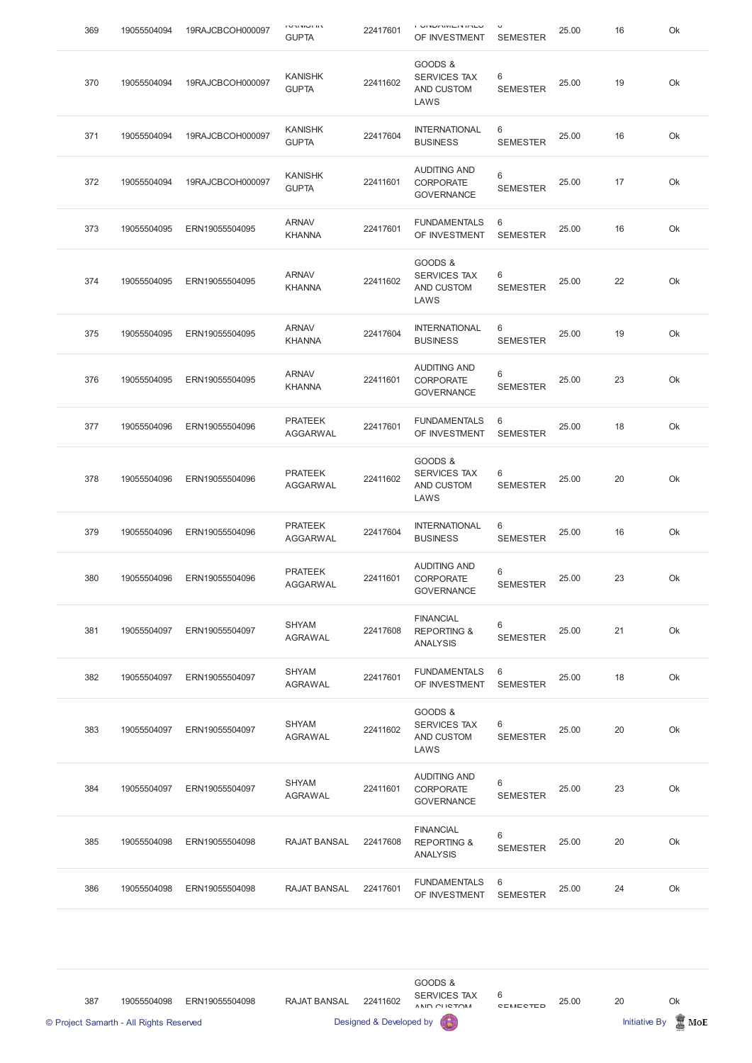| 369 | 19055504094 | 19RAJCBCOH000097 | י יי ישוי יי י<br><b>GUPTA</b>    | 22417601 | י טוזרוםומות שווט ו<br>OF INVESTMENT                          | <b>SEMESTER</b>      | 25.00 | 16 | Ok |
|-----|-------------|------------------|-----------------------------------|----------|---------------------------------------------------------------|----------------------|-------|----|----|
| 370 | 19055504094 | 19RAJCBCOH000097 | <b>KANISHK</b><br><b>GUPTA</b>    | 22411602 | GOODS &<br><b>SERVICES TAX</b><br>AND CUSTOM<br>LAWS          | 6<br><b>SEMESTER</b> | 25.00 | 19 | Ok |
| 371 | 19055504094 | 19RAJCBCOH000097 | <b>KANISHK</b><br><b>GUPTA</b>    | 22417604 | <b>INTERNATIONAL</b><br><b>BUSINESS</b>                       | 6<br><b>SEMESTER</b> | 25.00 | 16 | Ok |
| 372 | 19055504094 | 19RAJCBCOH000097 | <b>KANISHK</b><br><b>GUPTA</b>    | 22411601 | <b>AUDITING AND</b><br><b>CORPORATE</b><br><b>GOVERNANCE</b>  | 6<br><b>SEMESTER</b> | 25.00 | 17 | Ok |
| 373 | 19055504095 | ERN19055504095   | <b>ARNAV</b><br><b>KHANNA</b>     | 22417601 | <b>FUNDAMENTALS</b><br>OF INVESTMENT                          | 6<br><b>SEMESTER</b> | 25.00 | 16 | Ok |
| 374 | 19055504095 | ERN19055504095   | <b>ARNAV</b><br><b>KHANNA</b>     | 22411602 | GOODS &<br><b>SERVICES TAX</b><br>AND CUSTOM<br>LAWS          | 6<br><b>SEMESTER</b> | 25.00 | 22 | Ok |
| 375 | 19055504095 | ERN19055504095   | <b>ARNAV</b><br><b>KHANNA</b>     | 22417604 | <b>INTERNATIONAL</b><br><b>BUSINESS</b>                       | 6<br><b>SEMESTER</b> | 25.00 | 19 | Ok |
| 376 | 19055504095 | ERN19055504095   | <b>ARNAV</b><br><b>KHANNA</b>     | 22411601 | <b>AUDITING AND</b><br><b>CORPORATE</b><br><b>GOVERNANCE</b>  | 6<br><b>SEMESTER</b> | 25.00 | 23 | Ok |
| 377 | 19055504096 | ERN19055504096   | <b>PRATEEK</b><br><b>AGGARWAL</b> | 22417601 | FUNDAMENTALS 6<br>OF INVESTMENT                               | <b>SEMESTER</b>      | 25.00 | 18 | Ok |
| 378 | 19055504096 | ERN19055504096   | <b>PRATEEK</b><br><b>AGGARWAL</b> | 22411602 | GOODS &<br><b>SERVICES TAX</b><br>AND CUSTOM<br>LAWS          | 6<br><b>SEMESTER</b> | 25.00 | 20 | Ok |
| 379 | 19055504096 | ERN19055504096   | <b>PRATEEK</b><br><b>AGGARWAL</b> | 22417604 | <b>INTERNATIONAL</b><br><b>BUSINESS</b>                       | 6<br><b>SEMESTER</b> | 25.00 | 16 | Ok |
| 380 | 19055504096 | ERN19055504096   | <b>PRATEEK</b><br><b>AGGARWAL</b> | 22411601 | <b>AUDITING AND</b><br>CORPORATE<br><b>GOVERNANCE</b>         | 6<br><b>SEMESTER</b> | 25.00 | 23 | Ok |
| 381 | 19055504097 | ERN19055504097   | <b>SHYAM</b><br><b>AGRAWAL</b>    | 22417608 | <b>FINANCIAL</b><br><b>REPORTING &amp;</b><br><b>ANALYSIS</b> | 6<br><b>SEMESTER</b> | 25.00 | 21 | Ok |
| 382 | 19055504097 | ERN19055504097   | <b>SHYAM</b><br><b>AGRAWAL</b>    | 22417601 | <b>FUNDAMENTALS</b><br>OF INVESTMENT                          | 6<br><b>SEMESTER</b> | 25.00 | 18 | Ok |
| 383 | 19055504097 | ERN19055504097   | <b>SHYAM</b><br><b>AGRAWAL</b>    | 22411602 | GOODS &<br><b>SERVICES TAX</b><br>AND CUSTOM<br>LAWS          | 6<br><b>SEMESTER</b> | 25.00 | 20 | Ok |
| 384 | 19055504097 | ERN19055504097   | <b>SHYAM</b><br><b>AGRAWAL</b>    | 22411601 | <b>AUDITING AND</b><br><b>CORPORATE</b><br>COVEDNANCE         | 6<br><b>SEMESTER</b> | 25.00 | 23 | Ok |

## **GOVERIVANCE**



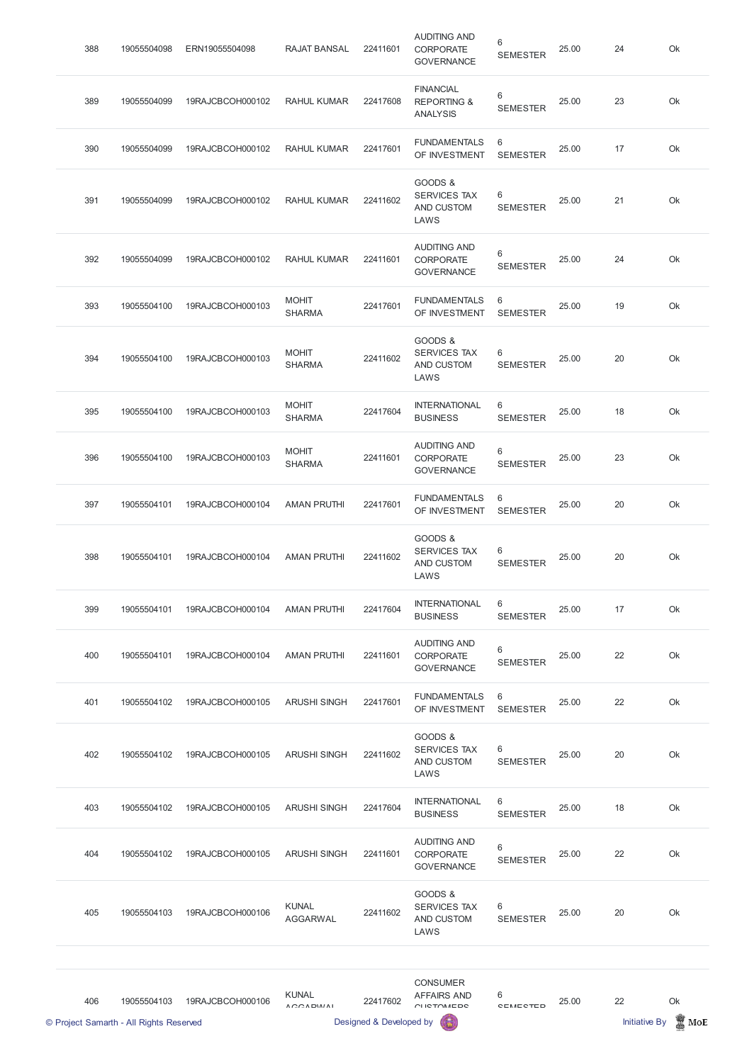| 388 | 19055504098 | ERN19055504098   | <b>RAJAT BANSAL</b>           | 22411601 | <b>AUDITING AND</b><br><b>CORPORATE</b><br><b>GOVERNANCE</b>  | 6<br><b>SEMESTER</b> | 25.00 | 24 | Ok |
|-----|-------------|------------------|-------------------------------|----------|---------------------------------------------------------------|----------------------|-------|----|----|
| 389 | 19055504099 | 19RAJCBCOH000102 | <b>RAHUL KUMAR</b>            | 22417608 | <b>FINANCIAL</b><br><b>REPORTING &amp;</b><br><b>ANALYSIS</b> | 6<br><b>SEMESTER</b> | 25.00 | 23 | Ok |
| 390 | 19055504099 | 19RAJCBCOH000102 | <b>RAHUL KUMAR</b>            | 22417601 | <b>FUNDAMENTALS</b><br>OF INVESTMENT                          | 6<br><b>SEMESTER</b> | 25.00 | 17 | Ok |
| 391 | 19055504099 | 19RAJCBCOH000102 | <b>RAHUL KUMAR</b>            | 22411602 | GOODS &<br><b>SERVICES TAX</b><br>AND CUSTOM<br>LAWS          | 6<br><b>SEMESTER</b> | 25.00 | 21 | Ok |
| 392 | 19055504099 | 19RAJCBCOH000102 | <b>RAHUL KUMAR</b>            | 22411601 | <b>AUDITING AND</b><br><b>CORPORATE</b><br><b>GOVERNANCE</b>  | 6<br><b>SEMESTER</b> | 25.00 | 24 | Ok |
| 393 | 19055504100 | 19RAJCBCOH000103 | <b>MOHIT</b><br><b>SHARMA</b> | 22417601 | <b>FUNDAMENTALS</b><br>OF INVESTMENT                          | 6<br><b>SEMESTER</b> | 25.00 | 19 | Ok |
| 394 | 19055504100 | 19RAJCBCOH000103 | <b>MOHIT</b><br><b>SHARMA</b> | 22411602 | GOODS &<br><b>SERVICES TAX</b><br>AND CUSTOM<br>LAWS          | 6<br><b>SEMESTER</b> | 25.00 | 20 | Ok |
| 395 | 19055504100 | 19RAJCBCOH000103 | <b>MOHIT</b><br><b>SHARMA</b> | 22417604 | <b>INTERNATIONAL</b><br><b>BUSINESS</b>                       | 6<br><b>SEMESTER</b> | 25.00 | 18 | Ok |
| 396 | 19055504100 | 19RAJCBCOH000103 | <b>MOHIT</b><br><b>SHARMA</b> | 22411601 | <b>AUDITING AND</b><br><b>CORPORATE</b><br><b>GOVERNANCE</b>  | 6<br><b>SEMESTER</b> | 25.00 | 23 | Ok |
| 397 | 19055504101 | 19RAJCBCOH000104 | <b>AMAN PRUTHI</b>            | 22417601 | <b>FUNDAMENTALS</b><br>OF INVESTMENT                          | 6<br><b>SEMESTER</b> | 25.00 | 20 | Ok |
| 398 | 19055504101 | 19RAJCBCOH000104 | <b>AMAN PRUTHI</b>            | 22411602 | GOODS &<br><b>SERVICES TAX</b><br>AND CUSTOM<br>LAWS          | 6<br><b>SEMESTER</b> | 25.00 | 20 | Ok |
| 399 | 19055504101 | 19RAJCBCOH000104 | <b>AMAN PRUTHI</b>            | 22417604 | <b>INTERNATIONAL</b><br><b>BUSINESS</b>                       | 6<br><b>SEMESTER</b> | 25.00 | 17 | Ok |
| 400 | 19055504101 | 19RAJCBCOH000104 | <b>AMAN PRUTHI</b>            | 22411601 | <b>AUDITING AND</b><br><b>CORPORATE</b><br><b>GOVERNANCE</b>  | 6<br><b>SEMESTER</b> | 25.00 | 22 | Ok |
| 401 | 19055504102 | 19RAJCBCOH000105 | <b>ARUSHI SINGH</b>           | 22417601 | <b>FUNDAMENTALS</b><br>OF INVESTMENT                          | 6<br><b>SEMESTER</b> | 25.00 | 22 | Ok |
| 402 | 19055504102 | 19RAJCBCOH000105 | <b>ARUSHI SINGH</b>           | 22411602 | GOODS &<br><b>SERVICES TAX</b><br>AND CUSTOM<br>LAWS          | 6<br><b>SEMESTER</b> | 25.00 | 20 | Ok |
|     |             |                  |                               |          |                                                               |                      |       |    |    |

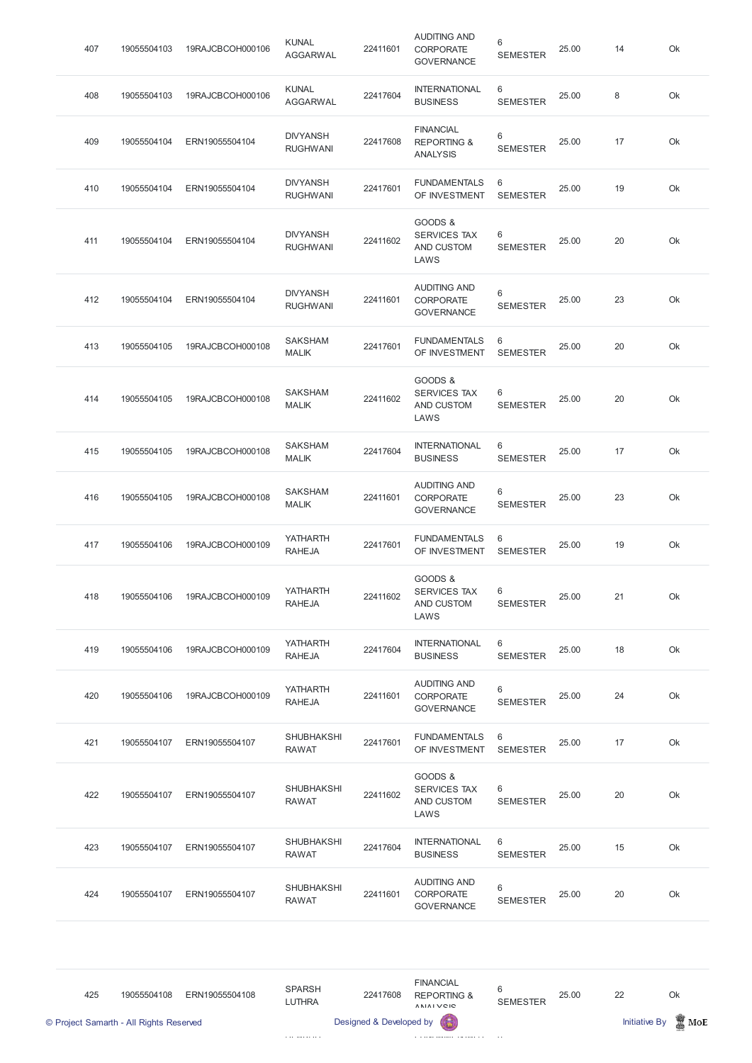| 407 | 19055504103 | 19RAJCBCOH000106 | <b>KUNAL</b><br><b>AGGARWAL</b>    | 22411601 | <b>AUDITING AND</b><br><b>CORPORATE</b><br><b>GOVERNANCE</b>  | 6<br><b>SEMESTER</b>              | 25.00 | 14 | Ok |
|-----|-------------|------------------|------------------------------------|----------|---------------------------------------------------------------|-----------------------------------|-------|----|----|
| 408 | 19055504103 | 19RAJCBCOH000106 | <b>KUNAL</b><br><b>AGGARWAL</b>    | 22417604 | <b>INTERNATIONAL</b><br><b>BUSINESS</b>                       | 6<br><b>SEMESTER</b>              | 25.00 | 8  | Ok |
| 409 | 19055504104 | ERN19055504104   | <b>DIVYANSH</b><br><b>RUGHWANI</b> | 22417608 | <b>FINANCIAL</b><br><b>REPORTING &amp;</b><br><b>ANALYSIS</b> | 6<br><b>SEMESTER</b>              | 25.00 | 17 | Ok |
| 410 | 19055504104 | ERN19055504104   | <b>DIVYANSH</b><br><b>RUGHWANI</b> | 22417601 | <b>FUNDAMENTALS</b><br>OF INVESTMENT                          | 6<br><b>SEMESTER</b>              | 25.00 | 19 | Ok |
| 411 | 19055504104 | ERN19055504104   | <b>DIVYANSH</b><br><b>RUGHWANI</b> | 22411602 | GOODS &<br><b>SERVICES TAX</b><br>AND CUSTOM<br>LAWS          | 6<br><b>SEMESTER</b>              | 25.00 | 20 | Ok |
| 412 | 19055504104 | ERN19055504104   | <b>DIVYANSH</b><br><b>RUGHWANI</b> | 22411601 | <b>AUDITING AND</b><br><b>CORPORATE</b><br><b>GOVERNANCE</b>  | 6<br><b>SEMESTER</b>              | 25.00 | 23 | Ok |
| 413 | 19055504105 | 19RAJCBCOH000108 | <b>SAKSHAM</b><br><b>MALIK</b>     | 22417601 | <b>FUNDAMENTALS</b><br>OF INVESTMENT                          | 6<br><b>SEMESTER</b>              | 25.00 | 20 | Ok |
| 414 | 19055504105 | 19RAJCBCOH000108 | <b>SAKSHAM</b><br><b>MALIK</b>     | 22411602 | GOODS &<br><b>SERVICES TAX</b><br>AND CUSTOM<br>LAWS          | 6<br><b>SEMESTER</b>              | 25.00 | 20 | Ok |
| 415 | 19055504105 | 19RAJCBCOH000108 | <b>SAKSHAM</b><br><b>MALIK</b>     | 22417604 | <b>INTERNATIONAL</b><br><b>BUSINESS</b>                       | 6<br><b>SEMESTER</b>              | 25.00 | 17 | Ok |
| 416 | 19055504105 | 19RAJCBCOH000108 | <b>SAKSHAM</b><br><b>MALIK</b>     | 22411601 | <b>AUDITING AND</b><br><b>CORPORATE</b><br><b>GOVERNANCE</b>  | $6\phantom{1}$<br><b>SEMESTER</b> | 25.00 | 23 | Ok |
| 417 | 19055504106 | 19RAJCBCOH000109 | <b>YATHARTH</b><br><b>RAHEJA</b>   | 22417601 | <b>FUNDAMENTALS</b><br>OF INVESTMENT                          | 6<br><b>SEMESTER</b>              | 25.00 | 19 | Ok |
| 418 | 19055504106 | 19RAJCBCOH000109 | <b>YATHARTH</b><br><b>RAHEJA</b>   | 22411602 | GOODS &<br><b>SERVICES TAX</b><br>AND CUSTOM<br>LAWS          | 6<br><b>SEMESTER</b>              | 25.00 | 21 | Ok |
| 419 | 19055504106 | 19RAJCBCOH000109 | <b>YATHARTH</b><br><b>RAHEJA</b>   | 22417604 | <b>INTERNATIONAL</b><br><b>BUSINESS</b>                       | 6<br><b>SEMESTER</b>              | 25.00 | 18 | Ok |
| 420 | 19055504106 | 19RAJCBCOH000109 | <b>YATHARTH</b><br><b>RAHEJA</b>   | 22411601 | <b>AUDITING AND</b><br><b>CORPORATE</b><br><b>GOVERNANCE</b>  | 6<br><b>SEMESTER</b>              | 25.00 | 24 | Ok |
| 421 | 19055504107 | ERN19055504107   | <b>SHUBHAKSHI</b><br><b>RAWAT</b>  | 22417601 | <b>FUNDAMENTALS</b><br>OF INVESTMENT                          | 6<br><b>SEMESTER</b>              | 25.00 | 17 | Ok |
| 422 | 19055504107 | ERN19055504107   | <b>SHUBHAKSHI</b><br><b>RAWAT</b>  | 22411602 | GOODS &<br><b>SERVICES TAX</b><br>AND CUSTOM<br>LAWS          | 6<br><b>SEMESTER</b>              | 25.00 | 20 | Ok |
| 423 | 19055504107 | ERN19055504107   | <b>SHUBHAKSHI</b><br><b>RAWAT</b>  | 22417604 | <b>INTERNATIONAL</b><br><b>BUSINESS</b>                       | 6<br><b>SEMESTER</b>              | 25.00 | 15 | Ok |
| 424 | 19055504107 | ERN19055504107   | <b>SHUBHAKSHI</b><br><b>RAWAT</b>  | 22411601 | <b>AUDITING AND</b><br>CORPORATE<br><b>GOVERNANCE</b>         | 6<br><b>SEMESTER</b>              | 25.00 | 20 | Ok |

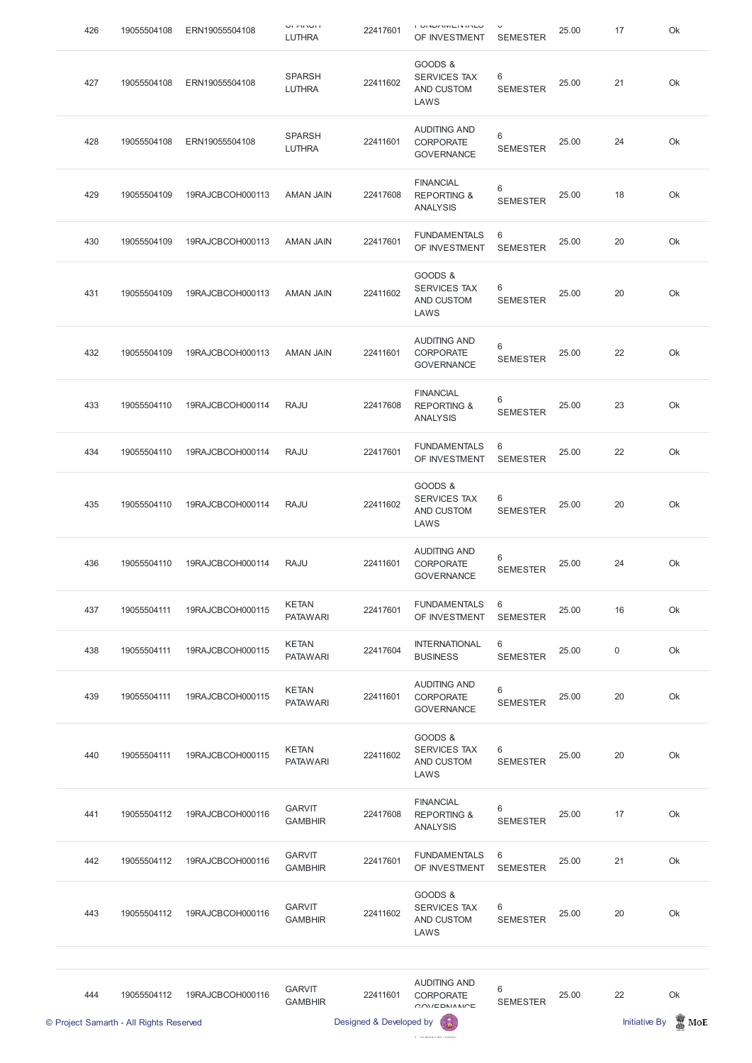| 426 | 19055504108 | ERN19055504108   | י ושרת וש<br><b>LUTHRA</b>      | 22417601 | י טוזרחומות שווט ו<br>OF INVESTMENT                           | $\check{ }$<br><b>SEMESTER</b> | 25.00 | 17          | Ok |
|-----|-------------|------------------|---------------------------------|----------|---------------------------------------------------------------|--------------------------------|-------|-------------|----|
| 427 | 19055504108 | ERN19055504108   | <b>SPARSH</b><br><b>LUTHRA</b>  | 22411602 | GOODS &<br><b>SERVICES TAX</b><br>AND CUSTOM<br>LAWS          | 6<br><b>SEMESTER</b>           | 25.00 | 21          | Ok |
| 428 | 19055504108 | ERN19055504108   | <b>SPARSH</b><br><b>LUTHRA</b>  | 22411601 | <b>AUDITING AND</b><br><b>CORPORATE</b><br><b>GOVERNANCE</b>  | 6<br><b>SEMESTER</b>           | 25.00 | 24          | Ok |
| 429 | 19055504109 | 19RAJCBCOH000113 | <b>AMAN JAIN</b>                | 22417608 | <b>FINANCIAL</b><br><b>REPORTING &amp;</b><br><b>ANALYSIS</b> | 6<br><b>SEMESTER</b>           | 25.00 | 18          | Ok |
| 430 | 19055504109 | 19RAJCBCOH000113 | <b>AMAN JAIN</b>                | 22417601 | <b>FUNDAMENTALS</b><br>OF INVESTMENT                          | 6<br><b>SEMESTER</b>           | 25.00 | 20          | Ok |
| 431 | 19055504109 | 19RAJCBCOH000113 | <b>AMAN JAIN</b>                | 22411602 | GOODS &<br><b>SERVICES TAX</b><br>AND CUSTOM<br>LAWS          | 6<br><b>SEMESTER</b>           | 25.00 | 20          | Ok |
| 432 | 19055504109 | 19RAJCBCOH000113 | <b>AMAN JAIN</b>                | 22411601 | <b>AUDITING AND</b><br><b>CORPORATE</b><br><b>GOVERNANCE</b>  | 6<br><b>SEMESTER</b>           | 25.00 | 22          | Ok |
| 433 | 19055504110 | 19RAJCBCOH000114 | <b>RAJU</b>                     | 22417608 | <b>FINANCIAL</b><br><b>REPORTING &amp;</b><br><b>ANALYSIS</b> | 6<br><b>SEMESTER</b>           | 25.00 | 23          | Ok |
| 434 | 19055504110 | 19RAJCBCOH000114 | <b>RAJU</b>                     | 22417601 | <b>FUNDAMENTALS</b><br>OF INVESTMENT                          | 6<br><b>SEMESTER</b>           | 25.00 | 22          | Ok |
| 435 | 19055504110 | 19RAJCBCOH000114 | <b>RAJU</b>                     | 22411602 | GOODS &<br><b>SERVICES TAX</b><br>AND CUSTOM<br>LAWS          | 6<br><b>SEMESTER</b>           | 25.00 | 20          | Ok |
| 436 | 19055504110 | 19RAJCBCOH000114 | <b>RAJU</b>                     | 22411601 | <b>AUDITING AND</b><br><b>CORPORATE</b><br><b>GOVERNANCE</b>  | 6<br><b>SEMESTER</b>           | 25.00 | 24          | Ok |
| 437 | 19055504111 | 19RAJCBCOH000115 | <b>KETAN</b><br><b>PATAWARI</b> | 22417601 | <b>FUNDAMENTALS</b><br>OF INVESTMENT                          | 6<br><b>SEMESTER</b>           | 25.00 | 16          | Ok |
| 438 | 19055504111 | 19RAJCBCOH000115 | <b>KETAN</b><br><b>PATAWARI</b> | 22417604 | <b>INTERNATIONAL</b><br><b>BUSINESS</b>                       | 6<br><b>SEMESTER</b>           | 25.00 | $\mathbf 0$ | Ok |
| 439 | 19055504111 | 19RAJCBCOH000115 | <b>KETAN</b><br><b>PATAWARI</b> | 22411601 | <b>AUDITING AND</b><br><b>CORPORATE</b><br><b>GOVERNANCE</b>  | 6<br><b>SEMESTER</b>           | 25.00 | 20          | Ok |
| 440 | 19055504111 | 19RAJCBCOH000115 | <b>KETAN</b><br><b>PATAWARI</b> | 22411602 | GOODS &<br><b>SERVICES TAX</b><br>AND CUSTOM<br>LAWS          | 6<br><b>SEMESTER</b>           | 25.00 | 20          | Ok |
|     |             |                  |                                 |          |                                                               |                                |       |             |    |

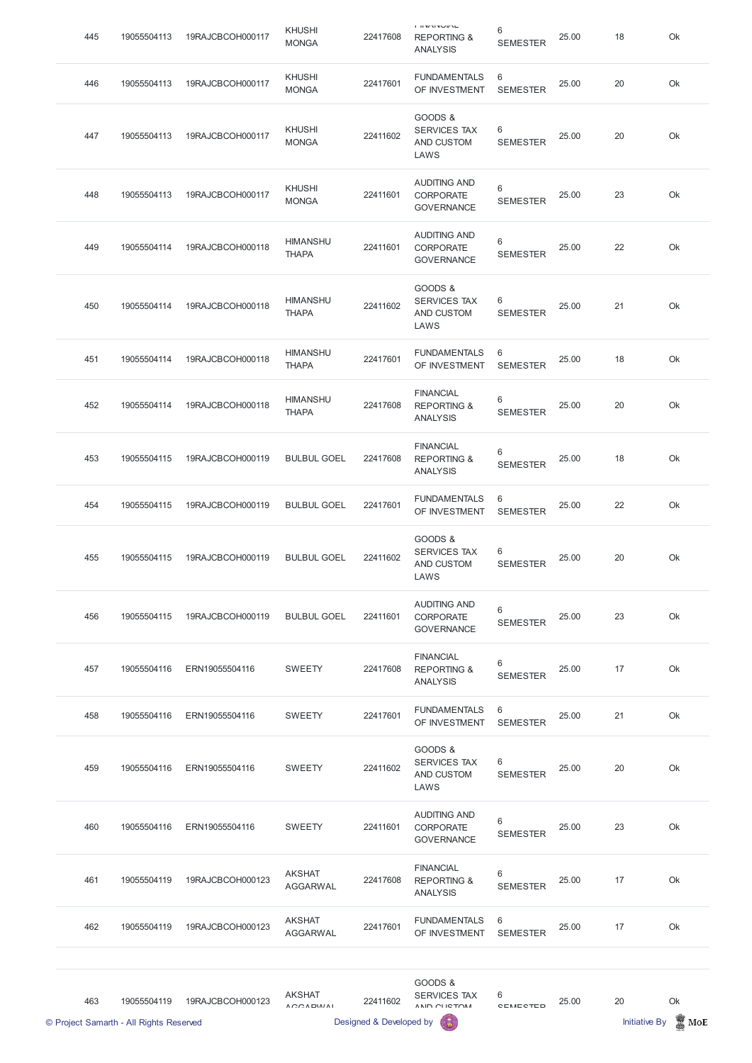| 445 | 19055504113 | 19RAJCBCOH000117 | <b>KHUSHI</b><br><b>MONGA</b>   | 22417608 | <b>COMMITMENT</b><br><b>REPORTING &amp;</b><br><b>ANALYSIS</b> | 6<br><b>SEMESTER</b>              | 25.00 | 18 | Ok |
|-----|-------------|------------------|---------------------------------|----------|----------------------------------------------------------------|-----------------------------------|-------|----|----|
| 446 | 19055504113 | 19RAJCBCOH000117 | <b>KHUSHI</b><br><b>MONGA</b>   | 22417601 | <b>FUNDAMENTALS</b><br>OF INVESTMENT                           | 6<br><b>SEMESTER</b>              | 25.00 | 20 | Ok |
| 447 | 19055504113 | 19RAJCBCOH000117 | <b>KHUSHI</b><br><b>MONGA</b>   | 22411602 | GOODS &<br><b>SERVICES TAX</b><br>AND CUSTOM<br>LAWS           | 6<br><b>SEMESTER</b>              | 25.00 | 20 | Ok |
| 448 | 19055504113 | 19RAJCBCOH000117 | <b>KHUSHI</b><br><b>MONGA</b>   | 22411601 | <b>AUDITING AND</b><br><b>CORPORATE</b><br><b>GOVERNANCE</b>   | $6\,$<br><b>SEMESTER</b>          | 25.00 | 23 | Ok |
| 449 | 19055504114 | 19RAJCBCOH000118 | <b>HIMANSHU</b><br><b>THAPA</b> | 22411601 | <b>AUDITING AND</b><br><b>CORPORATE</b><br><b>GOVERNANCE</b>   | 6<br><b>SEMESTER</b>              | 25.00 | 22 | Ok |
| 450 | 19055504114 | 19RAJCBCOH000118 | <b>HIMANSHU</b><br><b>THAPA</b> | 22411602 | GOODS &<br><b>SERVICES TAX</b><br>AND CUSTOM<br>LAWS           | 6<br><b>SEMESTER</b>              | 25.00 | 21 | Ok |
| 451 | 19055504114 | 19RAJCBCOH000118 | <b>HIMANSHU</b><br><b>THAPA</b> | 22417601 | <b>FUNDAMENTALS</b><br>OF INVESTMENT                           | 6<br><b>SEMESTER</b>              | 25.00 | 18 | Ok |
| 452 | 19055504114 | 19RAJCBCOH000118 | <b>HIMANSHU</b><br><b>THAPA</b> | 22417608 | <b>FINANCIAL</b><br><b>REPORTING &amp;</b><br><b>ANALYSIS</b>  | $6\phantom{1}$<br><b>SEMESTER</b> | 25.00 | 20 | Ok |
| 453 | 19055504115 | 19RAJCBCOH000119 | <b>BULBUL GOEL</b>              | 22417608 | <b>FINANCIAL</b><br><b>REPORTING &amp;</b><br><b>ANALYSIS</b>  | $6\,$<br><b>SEMESTER</b>          | 25.00 | 18 | Ok |
| 454 | 19055504115 | 19RAJCBCOH000119 | <b>BULBUL GOEL</b>              | 22417601 | <b>FUNDAMENTALS</b><br>OF INVESTMENT                           | 6<br><b>SEMESTER</b>              | 25.00 | 22 | Ok |
| 455 | 19055504115 | 19RAJCBCOH000119 | <b>BULBUL GOEL</b>              | 22411602 | GOODS &<br><b>SERVICES TAX</b><br>AND CUSTOM<br>LAWS           | 6<br><b>SEMESTER</b>              | 25.00 | 20 | Ok |
| 456 | 19055504115 | 19RAJCBCOH000119 | <b>BULBUL GOEL</b>              | 22411601 | <b>AUDITING AND</b><br><b>CORPORATE</b><br><b>GOVERNANCE</b>   | 6<br><b>SEMESTER</b>              | 25.00 | 23 | Ok |
| 457 | 19055504116 | ERN19055504116   | <b>SWEETY</b>                   | 22417608 | <b>FINANCIAL</b><br><b>REPORTING &amp;</b><br><b>ANALYSIS</b>  | $6\,$<br><b>SEMESTER</b>          | 25.00 | 17 | Ok |
| 458 | 19055504116 | ERN19055504116   | <b>SWEETY</b>                   | 22417601 | <b>FUNDAMENTALS</b><br>OF INVESTMENT                           | 6<br><b>SEMESTER</b>              | 25.00 | 21 | Ok |
| 459 | 19055504116 | ERN19055504116   | <b>SWEETY</b>                   | 22411602 | GOODS &<br><b>SERVICES TAX</b><br>AND CUSTOM<br>LAWS           | 6<br><b>SEMESTER</b>              | 25.00 | 20 | Ok |

|     | © Project Samarth - All Rights Reserved |                  |                                              | Designed & Developed by |                                                               |                          |       | <b>Initiative By</b> | MoE |
|-----|-----------------------------------------|------------------|----------------------------------------------|-------------------------|---------------------------------------------------------------|--------------------------|-------|----------------------|-----|
| 463 | 19055504119                             | 19RAJCBCOH000123 | <b>AKSHAT</b><br>$A$ $C$ $A$ $D$ $M$ $A$ $I$ | 22411602                | GOODS &<br><b>SERVICES TAX</b><br>ANID OLICTOM                | $6\,$<br><b>CEMECTED</b> | 25.00 | 20                   | Ok  |
| 462 | 19055504119                             | 19RAJCBCOH000123 | <b>AKSHAT</b><br><b>AGGARWAL</b>             | 22417601                | <b>FUNDAMENTALS</b><br>OF INVESTMENT                          | 6<br><b>SEMESTER</b>     | 25.00 | 17                   | Ok  |
| 461 | 19055504119                             | 19RAJCBCOH000123 | <b>AKSHAT</b><br><b>AGGARWAL</b>             | 22417608                | <b>FINANCIAL</b><br><b>REPORTING &amp;</b><br><b>ANALYSIS</b> | 6<br><b>SEMESTER</b>     | 25.00 | 17                   | Ok  |
| 460 | 19055504116                             | ERN19055504116   | <b>SWEETY</b>                                | 22411601                | <b>AUDITING AND</b><br><b>CORPORATE</b><br><b>GOVERNANCE</b>  | 6<br><b>SEMESTER</b>     | 25.00 | 23                   | Ok  |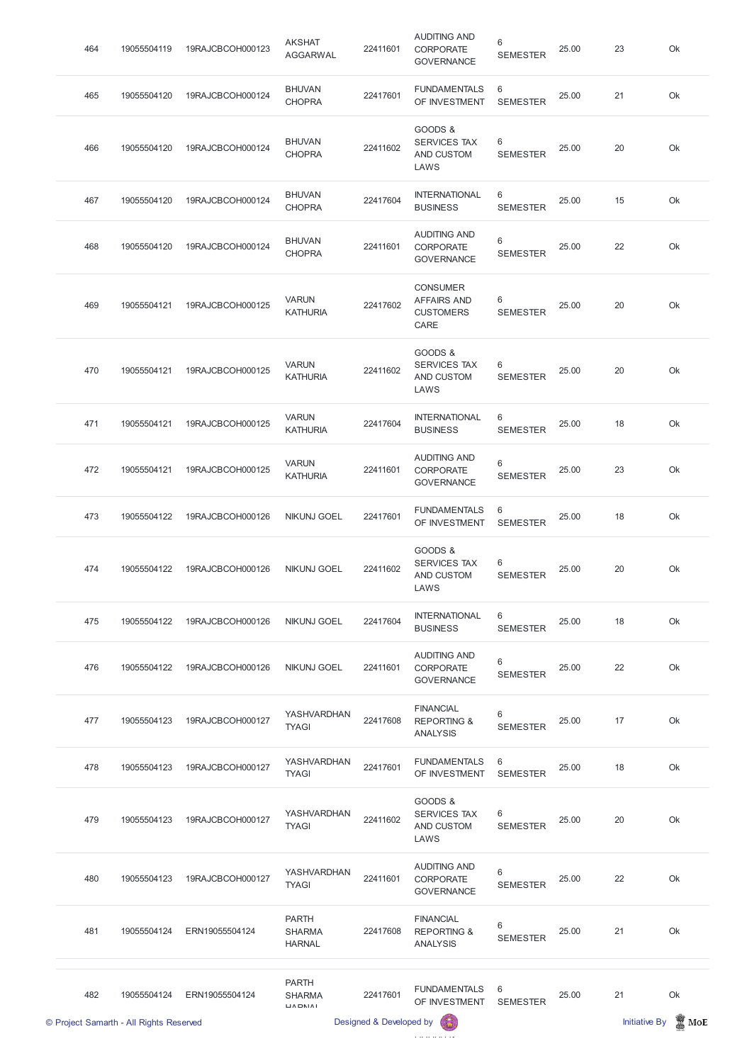|     | © Project Samarth - All Rights Reserved |                  |                                                                                                                            | Designed & Developed by |                                                                   |                      |       | <b>Initiative By</b> | MoE |
|-----|-----------------------------------------|------------------|----------------------------------------------------------------------------------------------------------------------------|-------------------------|-------------------------------------------------------------------|----------------------|-------|----------------------|-----|
| 482 | 19055504124                             | ERN19055504124   | <b>PARTH</b><br><b>SHARMA</b><br>$\begin{array}{c}\n\blacksquare \wedge \square \wedge \square \wedge \square \end{array}$ | 22417601                | <b>FUNDAMENTALS</b><br>OF INVESTMENT                              | 6<br><b>SEMESTER</b> | 25.00 | 21                   | Ok  |
| 481 | 19055504124                             | ERN19055504124   | <b>PARTH</b><br><b>SHARMA</b><br><b>HARNAL</b>                                                                             | 22417608                | <b>FINANCIAL</b><br><b>REPORTING &amp;</b><br><b>ANALYSIS</b>     | 6<br><b>SEMESTER</b> | 25.00 | 21                   | Ok  |
| 480 | 19055504123                             | 19RAJCBCOH000127 | YASHVARDHAN<br><b>TYAGI</b>                                                                                                | 22411601                | <b>AUDITING AND</b><br>CORPORATE<br><b>GOVERNANCE</b>             | 6<br><b>SEMESTER</b> | 25.00 | 22                   | Ok  |
| 479 | 19055504123                             | 19RAJCBCOH000127 | YASHVARDHAN<br><b>TYAGI</b>                                                                                                | 22411602                | GOODS &<br><b>SERVICES TAX</b><br>AND CUSTOM<br>LAWS              | 6<br><b>SEMESTER</b> | 25.00 | 20                   | Ok  |
| 478 | 19055504123                             | 19RAJCBCOH000127 | YASHVARDHAN<br><b>TYAGI</b>                                                                                                | 22417601                | <b>FUNDAMENTALS</b><br>OF INVESTMENT                              | 6<br><b>SEMESTER</b> | 25.00 | 18                   | Ok  |
| 477 | 19055504123                             | 19RAJCBCOH000127 | YASHVARDHAN<br><b>TYAGI</b>                                                                                                | 22417608                | <b>FINANCIAL</b><br><b>REPORTING &amp;</b><br><b>ANALYSIS</b>     | 6<br><b>SEMESTER</b> | 25.00 | 17                   | Ok  |
| 476 | 19055504122                             | 19RAJCBCOH000126 | <b>NIKUNJ GOEL</b>                                                                                                         | 22411601                | <b>AUDITING AND</b><br><b>CORPORATE</b><br><b>GOVERNANCE</b>      | 6<br><b>SEMESTER</b> | 25.00 | 22                   | Ok  |
| 475 | 19055504122                             | 19RAJCBCOH000126 | <b>NIKUNJ GOEL</b>                                                                                                         | 22417604                | <b>INTERNATIONAL</b><br><b>BUSINESS</b>                           | 6<br><b>SEMESTER</b> | 25.00 | 18                   | Ok  |
| 474 | 19055504122                             | 19RAJCBCOH000126 | <b>NIKUNJ GOEL</b>                                                                                                         | 22411602                | GOODS &<br>SERVICES TAX<br>AND CUSTOM<br>LAWS                     | 6<br><b>SEMESTER</b> | 25.00 | 20                   | Ok  |
| 473 | 19055504122                             | 19RAJCBCOH000126 | <b>NIKUNJ GOEL</b>                                                                                                         | 22417601                | <b>FUNDAMENTALS</b><br>OF INVESTMENT                              | 6<br><b>SEMESTER</b> | 25.00 | 18                   | Ok  |
| 472 | 19055504121                             | 19RAJCBCOH000125 | <b>VARUN</b><br><b>KATHURIA</b>                                                                                            | 22411601                | <b>AUDITING AND</b><br><b>CORPORATE</b><br><b>GOVERNANCE</b>      | 6<br><b>SEMESTER</b> | 25.00 | 23                   | Ok  |
| 471 | 19055504121                             | 19RAJCBCOH000125 | <b>VARUN</b><br><b>KATHURIA</b>                                                                                            | 22417604                | <b>INTERNATIONAL</b><br><b>BUSINESS</b>                           | 6<br><b>SEMESTER</b> | 25.00 | 18                   | Ok  |
| 470 | 19055504121                             | 19RAJCBCOH000125 | <b>VARUN</b><br><b>KATHURIA</b>                                                                                            | 22411602                | GOODS &<br><b>SERVICES TAX</b><br>AND CUSTOM<br>LAWS              | 6<br><b>SEMESTER</b> | 25.00 | 20                   | Ok  |
| 469 | 19055504121                             | 19RAJCBCOH000125 | <b>VARUN</b><br><b>KATHURIA</b>                                                                                            | 22417602                | <b>CONSUMER</b><br><b>AFFAIRS AND</b><br><b>CUSTOMERS</b><br>CARE | 6<br><b>SEMESTER</b> | 25.00 | 20                   | Ok  |
| 468 | 19055504120                             | 19RAJCBCOH000124 | <b>BHUVAN</b><br><b>CHOPRA</b>                                                                                             | 22411601                | <b>AUDITING AND</b><br><b>CORPORATE</b><br><b>GOVERNANCE</b>      | 6<br><b>SEMESTER</b> | 25.00 | 22                   | Ok  |
| 467 | 19055504120                             | 19RAJCBCOH000124 | <b>BHUVAN</b><br><b>CHOPRA</b>                                                                                             | 22417604                | <b>INTERNATIONAL</b><br><b>BUSINESS</b>                           | 6<br><b>SEMESTER</b> | 25.00 | 15                   | Ok  |
| 466 | 19055504120                             | 19RAJCBCOH000124 | <b>BHUVAN</b><br><b>CHOPRA</b>                                                                                             | 22411602                | GOODS &<br><b>SERVICES TAX</b><br>AND CUSTOM<br>LAWS              | 6<br><b>SEMESTER</b> | 25.00 | 20                   | Ok  |
| 465 | 19055504120                             | 19RAJCBCOH000124 | <b>BHUVAN</b><br><b>CHOPRA</b>                                                                                             | 22417601                | <b>FUNDAMENTALS</b><br>OF INVESTMENT                              | 6<br><b>SEMESTER</b> | 25.00 | 21                   | Ok  |
| 464 | 19055504119                             | 19RAJCBCOH000123 | <b>AKSHAT</b><br><b>AGGARWAL</b>                                                                                           | 22411601                | <b>AUDITING AND</b><br>CORPORATE<br><b>GOVERNANCE</b>             | 6<br><b>SEMESTER</b> | 25.00 | 23                   | Ok  |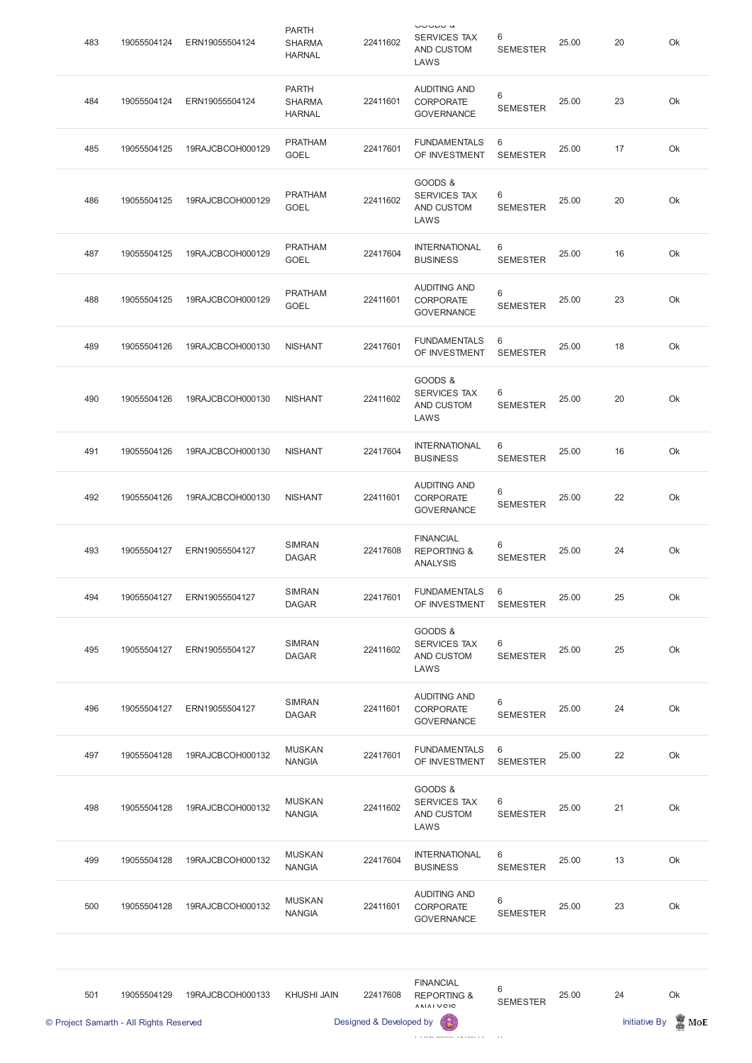| 483 | 19055504124 | ERN19055504124   | <b>PARTH</b><br><b>SHARMA</b><br><b>HARNAL</b> | 22411602 | しししレし い<br><b>SERVICES TAX</b><br>AND CUSTOM<br>LAWS          | 6<br><b>SEMESTER</b> | 25.00 | 20 | Ok |
|-----|-------------|------------------|------------------------------------------------|----------|---------------------------------------------------------------|----------------------|-------|----|----|
| 484 | 19055504124 | ERN19055504124   | <b>PARTH</b><br><b>SHARMA</b><br><b>HARNAL</b> | 22411601 | <b>AUDITING AND</b><br><b>CORPORATE</b><br><b>GOVERNANCE</b>  | 6<br><b>SEMESTER</b> | 25.00 | 23 | Ok |
| 485 | 19055504125 | 19RAJCBCOH000129 | <b>PRATHAM</b><br><b>GOEL</b>                  | 22417601 | <b>FUNDAMENTALS</b><br>OF INVESTMENT                          | 6<br><b>SEMESTER</b> | 25.00 | 17 | Ok |
| 486 | 19055504125 | 19RAJCBCOH000129 | <b>PRATHAM</b><br><b>GOEL</b>                  | 22411602 | GOODS &<br><b>SERVICES TAX</b><br>AND CUSTOM<br>LAWS          | 6<br><b>SEMESTER</b> | 25.00 | 20 | Ok |
| 487 | 19055504125 | 19RAJCBCOH000129 | <b>PRATHAM</b><br><b>GOEL</b>                  | 22417604 | <b>INTERNATIONAL</b><br><b>BUSINESS</b>                       | 6<br><b>SEMESTER</b> | 25.00 | 16 | Ok |
| 488 | 19055504125 | 19RAJCBCOH000129 | <b>PRATHAM</b><br><b>GOEL</b>                  | 22411601 | <b>AUDITING AND</b><br><b>CORPORATE</b><br><b>GOVERNANCE</b>  | 6<br><b>SEMESTER</b> | 25.00 | 23 | Ok |
| 489 | 19055504126 | 19RAJCBCOH000130 | <b>NISHANT</b>                                 | 22417601 | <b>FUNDAMENTALS</b><br>OF INVESTMENT                          | 6<br><b>SEMESTER</b> | 25.00 | 18 | Ok |
| 490 | 19055504126 | 19RAJCBCOH000130 | <b>NISHANT</b>                                 | 22411602 | GOODS &<br><b>SERVICES TAX</b><br>AND CUSTOM<br>LAWS          | 6<br><b>SEMESTER</b> | 25.00 | 20 | Ok |
| 491 | 19055504126 | 19RAJCBCOH000130 | <b>NISHANT</b>                                 | 22417604 | <b>INTERNATIONAL</b><br><b>BUSINESS</b>                       | 6<br><b>SEMESTER</b> | 25.00 | 16 | Ok |
| 492 | 19055504126 | 19RAJCBCOH000130 | <b>NISHANT</b>                                 | 22411601 | <b>AUDITING AND</b><br><b>CORPORATE</b><br><b>GOVERNANCE</b>  | 6<br><b>SEMESTER</b> | 25.00 | 22 | Ok |
| 493 | 19055504127 | ERN19055504127   | <b>SIMRAN</b><br><b>DAGAR</b>                  | 22417608 | <b>FINANCIAL</b><br><b>REPORTING &amp;</b><br><b>ANALYSIS</b> | 6<br><b>SEMESTER</b> | 25.00 | 24 | Ok |
| 494 | 19055504127 | ERN19055504127   | <b>SIMRAN</b><br><b>DAGAR</b>                  | 22417601 | <b>FUNDAMENTALS</b><br>OF INVESTMENT                          | 6<br><b>SEMESTER</b> | 25.00 | 25 | Ok |
| 495 | 19055504127 | ERN19055504127   | <b>SIMRAN</b><br><b>DAGAR</b>                  | 22411602 | GOODS &<br><b>SERVICES TAX</b><br>AND CUSTOM<br>LAWS          | 6<br><b>SEMESTER</b> | 25.00 | 25 | Ok |
| 496 | 19055504127 | ERN19055504127   | <b>SIMRAN</b><br><b>DAGAR</b>                  | 22411601 | <b>AUDITING AND</b><br><b>CORPORATE</b><br><b>GOVERNANCE</b>  | 6<br><b>SEMESTER</b> | 25.00 | 24 | Ok |
| 497 | 19055504128 | 19RAJCBCOH000132 | <b>MUSKAN</b><br><b>NANGIA</b>                 | 22417601 | <b>FUNDAMENTALS</b><br>OF INVESTMENT                          | 6<br><b>SEMESTER</b> | 25.00 | 22 | Ok |
|     |             |                  | <b>MUSKAN</b>                                  |          | GOODS &<br><b>SERVICES TAX</b>                                | 6                    |       |    |    |

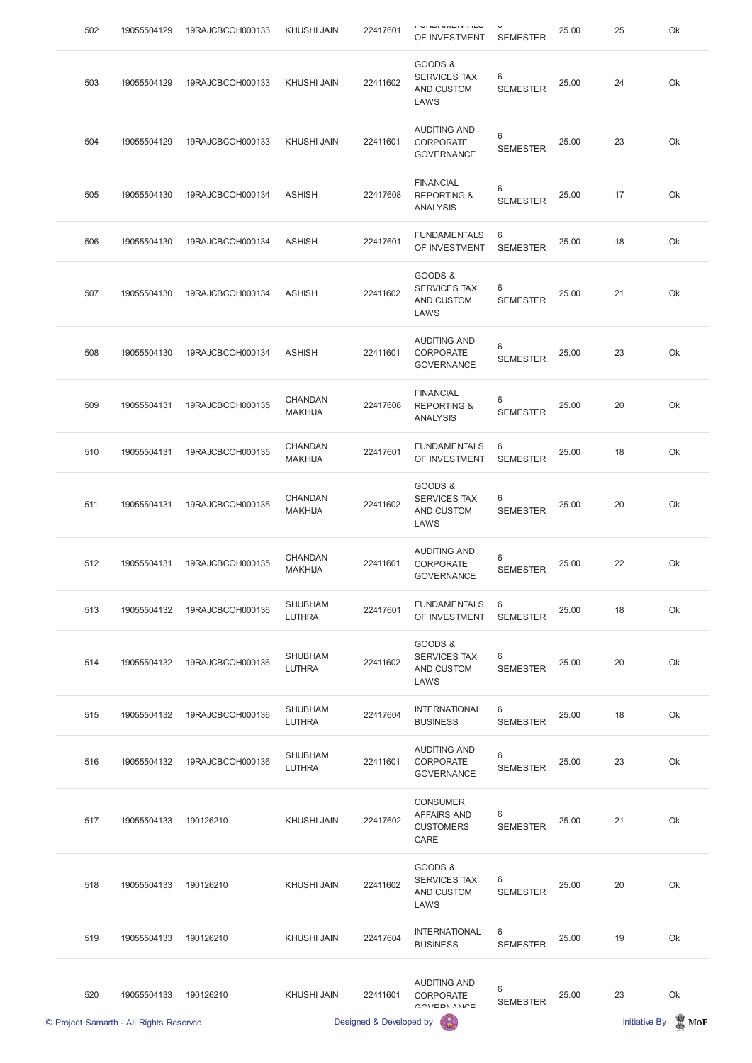| 502 | 19055504129                             | 19RAJCBCOH000133 | <b>KHUSHI JAIN</b>               | 22417601                            | OF INVESTMENT                                                     | <b>SEMESTER</b>                   | 25.00 | 25                         | Ok                     |
|-----|-----------------------------------------|------------------|----------------------------------|-------------------------------------|-------------------------------------------------------------------|-----------------------------------|-------|----------------------------|------------------------|
| 503 | 19055504129                             | 19RAJCBCOH000133 | <b>KHUSHI JAIN</b>               | 22411602                            | GOODS &<br>SERVICES TAX<br>AND CUSTOM<br>LAWS                     | 6<br><b>SEMESTER</b>              | 25.00 | 24                         | Ok                     |
| 504 | 19055504129                             | 19RAJCBCOH000133 | <b>KHUSHI JAIN</b>               | 22411601                            | <b>AUDITING AND</b><br><b>CORPORATE</b><br><b>GOVERNANCE</b>      | 6<br><b>SEMESTER</b>              | 25.00 | 23                         | Ok                     |
| 505 | 19055504130                             | 19RAJCBCOH000134 | <b>ASHISH</b>                    | 22417608                            | <b>FINANCIAL</b><br><b>REPORTING &amp;</b><br><b>ANALYSIS</b>     | 6<br><b>SEMESTER</b>              | 25.00 | 17                         | Ok                     |
| 506 | 19055504130                             | 19RAJCBCOH000134 | <b>ASHISH</b>                    | 22417601                            | <b>FUNDAMENTALS</b><br>OF INVESTMENT                              | 6<br><b>SEMESTER</b>              | 25.00 | 18                         | Ok                     |
| 507 | 19055504130                             | 19RAJCBCOH000134 | <b>ASHISH</b>                    | 22411602                            | GOODS &<br><b>SERVICES TAX</b><br>AND CUSTOM<br>LAWS              | 6<br><b>SEMESTER</b>              | 25.00 | 21                         | Ok                     |
| 508 | 19055504130                             | 19RAJCBCOH000134 | <b>ASHISH</b>                    | 22411601                            | <b>AUDITING AND</b><br><b>CORPORATE</b><br><b>GOVERNANCE</b>      | $6\phantom{1}$<br><b>SEMESTER</b> | 25.00 | 23                         | Ok                     |
| 509 | 19055504131                             | 19RAJCBCOH000135 | <b>CHANDAN</b><br><b>MAKHIJA</b> | 22417608                            | <b>FINANCIAL</b><br><b>REPORTING &amp;</b><br><b>ANALYSIS</b>     | 6<br><b>SEMESTER</b>              | 25.00 | 20                         | Ok                     |
| 510 | 19055504131                             | 19RAJCBCOH000135 | CHANDAN<br><b>MAKHIJA</b>        | 22417601                            | <b>FUNDAMENTALS</b><br>OF INVESTMENT                              | 6<br><b>SEMESTER</b>              | 25.00 | 18                         | Ok                     |
| 511 | 19055504131                             | 19RAJCBCOH000135 | <b>CHANDAN</b><br><b>MAKHIJA</b> | 22411602                            | GOODS &<br><b>SERVICES TAX</b><br>AND CUSTOM<br>LAWS              | 6<br><b>SEMESTER</b>              | 25.00 | 20                         | Ok                     |
| 512 | 19055504131                             | 19RAJCBCOH000135 | <b>CHANDAN</b><br><b>MAKHIJA</b> | 22411601                            | <b>AUDITING AND</b><br><b>CORPORATE</b><br><b>GOVERNANCE</b>      | $6\phantom{1}$<br><b>SEMESTER</b> | 25.00 | 22                         | Ok                     |
| 513 | 19055504132                             | 19RAJCBCOH000136 | <b>SHUBHAM</b><br><b>LUTHRA</b>  | 22417601                            | <b>FUNDAMENTALS</b><br>OF INVESTMENT                              | 6<br><b>SEMESTER</b>              | 25.00 | 18                         | Ok                     |
| 514 | 19055504132                             | 19RAJCBCOH000136 | <b>SHUBHAM</b><br><b>LUTHRA</b>  | 22411602                            | GOODS &<br><b>SERVICES TAX</b><br>AND CUSTOM<br>LAWS              | 6<br><b>SEMESTER</b>              | 25.00 | 20                         | Ok                     |
| 515 | 19055504132                             | 19RAJCBCOH000136 | <b>SHUBHAM</b><br><b>LUTHRA</b>  | 22417604                            | <b>INTERNATIONAL</b><br><b>BUSINESS</b>                           | 6<br><b>SEMESTER</b>              | 25.00 | 18                         | Ok                     |
| 516 | 19055504132                             | 19RAJCBCOH000136 | <b>SHUBHAM</b><br><b>LUTHRA</b>  | 22411601                            | <b>AUDITING AND</b><br><b>CORPORATE</b><br><b>GOVERNANCE</b>      | 6<br><b>SEMESTER</b>              | 25.00 | 23                         | Ok                     |
| 517 | 19055504133  190126210                  |                  | KHUSHI JAIN                      | 22417602                            | <b>CONSUMER</b><br><b>AFFAIRS AND</b><br><b>CUSTOMERS</b><br>CARE | 6<br><b>SEMESTER</b>              | 25.00 | 21                         | Ok                     |
| 518 | 19055504133                             | 190126210        | <b>KHUSHI JAIN</b>               | 22411602                            | GOODS &<br>SERVICES TAX<br>AND CUSTOM<br>LAWS                     | $\,6$<br><b>SEMESTER</b>          | 25.00 | 20                         | Ok                     |
| 519 | 19055504133                             | 190126210        | <b>KHUSHI JAIN</b>               | 22417604                            | <b>INTERNATIONAL</b><br><b>BUSINESS</b>                           | $\,6\,$<br><b>SEMESTER</b>        | 25.00 | 19                         | Ok                     |
| 520 | 19055504133                             | 190126210        | <b>KHUSHI JAIN</b>               | 22411601<br>Designed & Developed by | <b>AUDITING AND</b><br><b>CORPORATE</b><br>OM/EDMANICE            | 6<br><b>SEMESTER</b>              | 25.00 | 23<br><b>Initiative By</b> | Ok<br>$\mathbb{Z}$ MoE |
|     | © Project Samarth - All Rights Reserved |                  |                                  |                                     |                                                                   |                                   |       |                            |                        |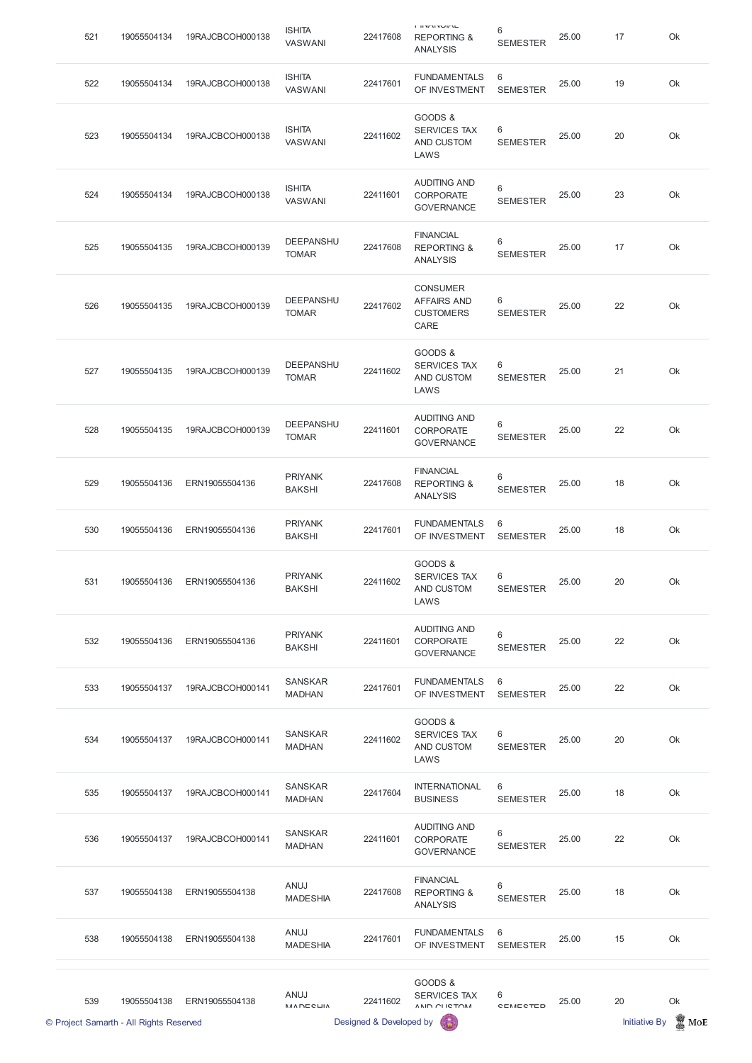|     | © Project Samarth - All Rights Reserved |                  |                                 | Designed & Developed by |                                                                                                                                                                                                                                                                                                                                                                                                                                                                                                                                                                                                                                                                                                                                     |                      |       | <b>Initiative By</b> | $\blacksquare$ MoE |
|-----|-----------------------------------------|------------------|---------------------------------|-------------------------|-------------------------------------------------------------------------------------------------------------------------------------------------------------------------------------------------------------------------------------------------------------------------------------------------------------------------------------------------------------------------------------------------------------------------------------------------------------------------------------------------------------------------------------------------------------------------------------------------------------------------------------------------------------------------------------------------------------------------------------|----------------------|-------|----------------------|--------------------|
| 539 | 19055504138                             | ERN19055504138   | ANUJ<br><b>MADECLIA</b>         | 22411602                | GOODS &<br><b>SERVICES TAX</b><br>ANID OLICTOM                                                                                                                                                                                                                                                                                                                                                                                                                                                                                                                                                                                                                                                                                      | 6<br><b>CEMECTED</b> | 25.00 | 20                   | Ok                 |
| 538 | 19055504138                             | ERN19055504138   | ANUJ<br><b>MADESHIA</b>         | 22417601                | <b>FUNDAMENTALS</b><br>OF INVESTMENT                                                                                                                                                                                                                                                                                                                                                                                                                                                                                                                                                                                                                                                                                                | 6<br><b>SEMESTER</b> | 25.00 | 15                   | Ok                 |
| 537 | 19055504138                             | ERN19055504138   | ANUJ<br><b>MADESHIA</b>         | 22417608                | <b>FINANCIAL</b><br><b>REPORTING &amp;</b><br><b>ANALYSIS</b>                                                                                                                                                                                                                                                                                                                                                                                                                                                                                                                                                                                                                                                                       | 6<br><b>SEMESTER</b> | 25.00 | 18                   | Ok                 |
| 536 | 19055504137                             | 19RAJCBCOH000141 | <b>SANSKAR</b><br><b>MADHAN</b> | 22411601                | <b>AUDITING AND</b><br>CORPORATE<br><b>GOVERNANCE</b>                                                                                                                                                                                                                                                                                                                                                                                                                                                                                                                                                                                                                                                                               | 6<br><b>SEMESTER</b> | 25.00 | 22                   | Ok                 |
| 535 | 19055504137                             | 19RAJCBCOH000141 | <b>SANSKAR</b><br><b>MADHAN</b> | 22417604                | <b>INTERNATIONAL</b><br><b>BUSINESS</b>                                                                                                                                                                                                                                                                                                                                                                                                                                                                                                                                                                                                                                                                                             | 6<br><b>SEMESTER</b> | 25.00 | 18                   | Ok                 |
| 534 | 19055504137                             | 19RAJCBCOH000141 | <b>SANSKAR</b><br><b>MADHAN</b> | 22411602                | GOODS &<br><b>SERVICES TAX</b><br>AND CUSTOM<br>LAWS                                                                                                                                                                                                                                                                                                                                                                                                                                                                                                                                                                                                                                                                                | 6<br><b>SEMESTER</b> | 25.00 | 20                   | Ok                 |
| 533 | 19055504137                             | 19RAJCBCOH000141 | <b>SANSKAR</b><br><b>MADHAN</b> | 22417601                | <b>FUNDAMENTALS</b><br>OF INVESTMENT                                                                                                                                                                                                                                                                                                                                                                                                                                                                                                                                                                                                                                                                                                | 6<br><b>SEMESTER</b> | 25.00 | 22                   | Ok                 |
| 532 | 19055504136                             | ERN19055504136   | <b>PRIYANK</b><br><b>BAKSHI</b> | 22411601                | <b>AUDITING AND</b><br>CORPORATE<br><b>GOVERNANCE</b>                                                                                                                                                                                                                                                                                                                                                                                                                                                                                                                                                                                                                                                                               | 6<br><b>SEMESTER</b> | 25.00 | 22                   | Ok                 |
| 531 | 19055504136                             | ERN19055504136   | <b>PRIYANK</b><br><b>BAKSHI</b> | 22411602                | GOODS &<br>SERVICES TAX<br>AND CUSTOM<br>LAWS                                                                                                                                                                                                                                                                                                                                                                                                                                                                                                                                                                                                                                                                                       | 6<br><b>SEMESTER</b> | 25.00 | 20                   | Ok                 |
| 530 | 19055504136                             | ERN19055504136   | <b>PRIYANK</b><br><b>BAKSHI</b> | 22417601                | <b>FUNDAMENTALS</b><br>OF INVESTMENT                                                                                                                                                                                                                                                                                                                                                                                                                                                                                                                                                                                                                                                                                                | 6<br><b>SEMESTER</b> | 25.00 | 18                   | Ok                 |
| 529 | 19055504136                             | ERN19055504136   | <b>PRIYANK</b><br><b>BAKSHI</b> | 22417608                | <b>FINANCIAL</b><br><b>REPORTING &amp;</b><br><b>ANALYSIS</b>                                                                                                                                                                                                                                                                                                                                                                                                                                                                                                                                                                                                                                                                       | 6<br><b>SEMESTER</b> | 25.00 | 18                   | Ok                 |
| 528 | 19055504135                             | 19RAJCBCOH000139 | DEEPANSHU<br><b>TOMAR</b>       | 22411601                | <b>AUDITING AND</b><br><b>CORPORATE</b><br><b>GOVERNANCE</b>                                                                                                                                                                                                                                                                                                                                                                                                                                                                                                                                                                                                                                                                        | 6<br><b>SEMESTER</b> | 25.00 | 22                   | Ok                 |
| 527 | 19055504135                             | 19RAJCBCOH000139 | DEEPANSHU<br><b>TOMAR</b>       | 22411602                | GOODS &<br><b>SERVICES TAX</b><br>AND CUSTOM<br>LAWS                                                                                                                                                                                                                                                                                                                                                                                                                                                                                                                                                                                                                                                                                | 6<br><b>SEMESTER</b> | 25.00 | 21                   | Ok                 |
| 526 | 19055504135                             | 19RAJCBCOH000139 | DEEPANSHU<br><b>TOMAR</b>       | 22417602                | <b>CONSUMER</b><br><b>AFFAIRS AND</b><br><b>CUSTOMERS</b><br>CARE                                                                                                                                                                                                                                                                                                                                                                                                                                                                                                                                                                                                                                                                   | 6<br><b>SEMESTER</b> | 25.00 | 22                   | Ok                 |
| 525 | 19055504135                             | 19RAJCBCOH000139 | DEEPANSHU<br><b>TOMAR</b>       | 22417608                | <b>FINANCIAL</b><br><b>REPORTING &amp;</b><br><b>ANALYSIS</b>                                                                                                                                                                                                                                                                                                                                                                                                                                                                                                                                                                                                                                                                       | 6<br><b>SEMESTER</b> | 25.00 | 17                   | Ok                 |
| 524 | 19055504134                             | 19RAJCBCOH000138 | <b>ISHITA</b><br><b>VASWANI</b> | 22411601                | <b>AUDITING AND</b><br><b>CORPORATE</b><br><b>GOVERNANCE</b>                                                                                                                                                                                                                                                                                                                                                                                                                                                                                                                                                                                                                                                                        | 6<br><b>SEMESTER</b> | 25.00 | 23                   | Ok                 |
| 523 | 19055504134                             | 19RAJCBCOH000138 | <b>ISHITA</b><br><b>VASWANI</b> | 22411602                | GOODS &<br><b>SERVICES TAX</b><br>AND CUSTOM<br>LAWS                                                                                                                                                                                                                                                                                                                                                                                                                                                                                                                                                                                                                                                                                | 6<br><b>SEMESTER</b> | 25.00 | 20                   | Ok                 |
| 522 | 19055504134                             | 19RAJCBCOH000138 | <b>ISHITA</b><br><b>VASWANI</b> | 22417601                | <b>FUNDAMENTALS</b><br>OF INVESTMENT                                                                                                                                                                                                                                                                                                                                                                                                                                                                                                                                                                                                                                                                                                | 6<br><b>SEMESTER</b> | 25.00 | 19                   | Ok                 |
| 521 | 19055504134                             | 19RAJCBCOH000138 | <b>ISHITA</b><br><b>VASWANI</b> | 22417608                | $\begin{array}{c} \blacksquare & \blacksquare & \blacksquare & \blacksquare & \blacksquare & \blacksquare \\ \blacksquare & \blacksquare & \blacksquare & \blacksquare & \blacksquare & \blacksquare & \blacksquare \\ \blacksquare & \blacksquare & \blacksquare & \blacksquare & \blacksquare & \blacksquare & \blacksquare \\ \blacksquare & \blacksquare & \blacksquare & \blacksquare & \blacksquare & \blacksquare & \blacksquare \\ \blacksquare & \blacksquare & \blacksquare & \blacksquare & \blacksquare & \blacksquare & \blacksquare \\ \blacksquare & \blacksquare & \blacksquare & \blacksquare & \blacksquare & \blacksquare & \blacksquare \\ \blacksquare & \blacks$<br><b>REPORTING &amp;</b><br><b>ANALYSIS</b> | 6<br><b>SEMESTER</b> | 25.00 | 17                   | Ok                 |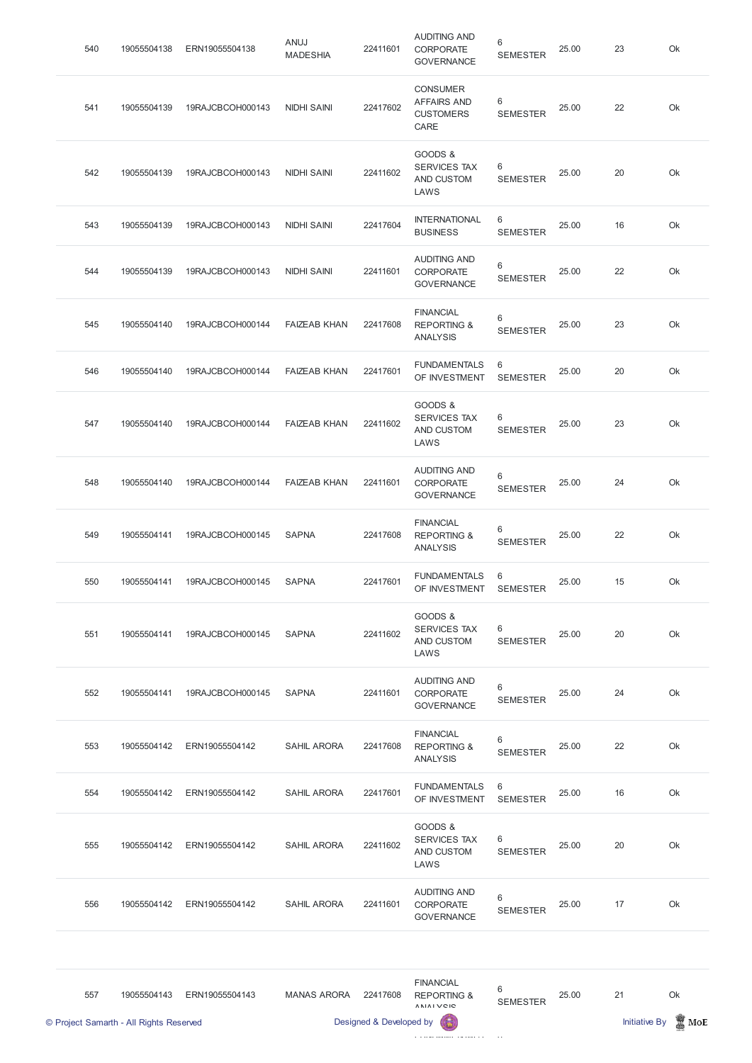| 540 | 19055504138 | ERN19055504138   | ANUJ<br><b>MADESHIA</b> | 22411601 | <b>AUDITING AND</b><br><b>CORPORATE</b><br><b>GOVERNANCE</b>      | 6<br><b>SEMESTER</b> | 25.00 | 23 | Ok |
|-----|-------------|------------------|-------------------------|----------|-------------------------------------------------------------------|----------------------|-------|----|----|
| 541 | 19055504139 | 19RAJCBCOH000143 | <b>NIDHI SAINI</b>      | 22417602 | <b>CONSUMER</b><br><b>AFFAIRS AND</b><br><b>CUSTOMERS</b><br>CARE | 6<br><b>SEMESTER</b> | 25.00 | 22 | Ok |
| 542 | 19055504139 | 19RAJCBCOH000143 | <b>NIDHI SAINI</b>      | 22411602 | GOODS &<br><b>SERVICES TAX</b><br>AND CUSTOM<br>LAWS              | 6<br><b>SEMESTER</b> | 25.00 | 20 | Ok |
| 543 | 19055504139 | 19RAJCBCOH000143 | <b>NIDHI SAINI</b>      | 22417604 | <b>INTERNATIONAL</b><br><b>BUSINESS</b>                           | 6<br><b>SEMESTER</b> | 25.00 | 16 | Ok |
| 544 | 19055504139 | 19RAJCBCOH000143 | <b>NIDHI SAINI</b>      | 22411601 | <b>AUDITING AND</b><br>CORPORATE<br><b>GOVERNANCE</b>             | 6<br><b>SEMESTER</b> | 25.00 | 22 | Ok |
| 545 | 19055504140 | 19RAJCBCOH000144 | <b>FAIZEAB KHAN</b>     | 22417608 | <b>FINANCIAL</b><br><b>REPORTING &amp;</b><br><b>ANALYSIS</b>     | 6<br><b>SEMESTER</b> | 25.00 | 23 | Ok |
| 546 | 19055504140 | 19RAJCBCOH000144 | <b>FAIZEAB KHAN</b>     | 22417601 | <b>FUNDAMENTALS</b><br>OF INVESTMENT                              | 6<br><b>SEMESTER</b> | 25.00 | 20 | Ok |
| 547 | 19055504140 | 19RAJCBCOH000144 | <b>FAIZEAB KHAN</b>     | 22411602 | GOODS &<br><b>SERVICES TAX</b><br>AND CUSTOM<br>LAWS              | 6<br><b>SEMESTER</b> | 25.00 | 23 | Ok |
| 548 | 19055504140 | 19RAJCBCOH000144 | <b>FAIZEAB KHAN</b>     | 22411601 | <b>AUDITING AND</b><br><b>CORPORATE</b><br><b>GOVERNANCE</b>      | 6<br><b>SEMESTER</b> | 25.00 | 24 | Ok |
| 549 | 19055504141 | 19RAJCBCOH000145 | <b>SAPNA</b>            | 22417608 | <b>FINANCIAL</b><br><b>REPORTING &amp;</b><br><b>ANALYSIS</b>     | 6<br><b>SEMESTER</b> | 25.00 | 22 | Ok |
| 550 | 19055504141 | 19RAJCBCOH000145 | <b>SAPNA</b>            | 22417601 | <b>FUNDAMENTALS</b><br>OF INVESTMENT                              | 6<br><b>SEMESTER</b> | 25.00 | 15 | Ok |
| 551 | 19055504141 | 19RAJCBCOH000145 | <b>SAPNA</b>            | 22411602 | GOODS &<br><b>SERVICES TAX</b><br>AND CUSTOM<br>LAWS              | 6<br><b>SEMESTER</b> | 25.00 | 20 | Ok |
| 552 | 19055504141 | 19RAJCBCOH000145 | <b>SAPNA</b>            | 22411601 | <b>AUDITING AND</b><br><b>CORPORATE</b><br><b>GOVERNANCE</b>      | 6<br><b>SEMESTER</b> | 25.00 | 24 | Ok |
| 553 | 19055504142 | ERN19055504142   | <b>SAHIL ARORA</b>      | 22417608 | <b>FINANCIAL</b><br><b>REPORTING &amp;</b><br><b>ANALYSIS</b>     | 6<br><b>SEMESTER</b> | 25.00 | 22 | Ok |
| 554 | 19055504142 | ERN19055504142   | <b>SAHIL ARORA</b>      | 22417601 | <b>FUNDAMENTALS</b><br>OF INVESTMENT                              | 6<br><b>SEMESTER</b> | 25.00 | 16 | Ok |





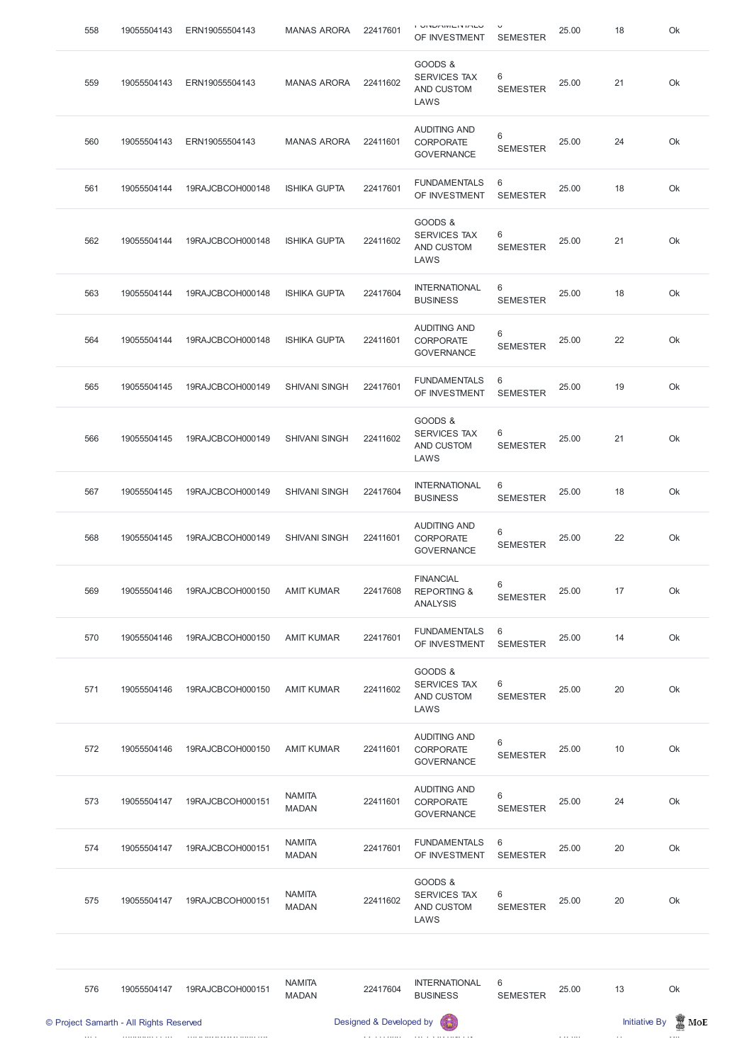| 558 | 19055504143                             | ERN19055504143   | <b>MANAS ARORA</b>            | 22417601                | י טוייטוייט שוניי<br>OF INVESTMENT                            | <b>SEMESTER</b>      | 25.00 | 18                   | Ok              |
|-----|-----------------------------------------|------------------|-------------------------------|-------------------------|---------------------------------------------------------------|----------------------|-------|----------------------|-----------------|
| 559 | 19055504143                             | ERN19055504143   | <b>MANAS ARORA</b>            | 22411602                | GOODS &<br><b>SERVICES TAX</b><br>AND CUSTOM<br>LAWS          | 6<br><b>SEMESTER</b> | 25.00 | 21                   | Ok              |
| 560 | 19055504143                             | ERN19055504143   | <b>MANAS ARORA</b>            | 22411601                | <b>AUDITING AND</b><br><b>CORPORATE</b><br><b>GOVERNANCE</b>  | 6<br><b>SEMESTER</b> | 25.00 | 24                   | Ok              |
| 561 | 19055504144                             | 19RAJCBCOH000148 | <b>ISHIKA GUPTA</b>           | 22417601                | <b>FUNDAMENTALS</b><br>OF INVESTMENT                          | 6<br><b>SEMESTER</b> | 25.00 | 18                   | Ok              |
| 562 | 19055504144                             | 19RAJCBCOH000148 | <b>ISHIKA GUPTA</b>           | 22411602                | GOODS &<br><b>SERVICES TAX</b><br>AND CUSTOM<br>LAWS          | 6<br><b>SEMESTER</b> | 25.00 | 21                   | Ok              |
| 563 | 19055504144                             | 19RAJCBCOH000148 | <b>ISHIKA GUPTA</b>           | 22417604                | <b>INTERNATIONAL</b><br><b>BUSINESS</b>                       | 6<br><b>SEMESTER</b> | 25.00 | 18                   | Ok              |
| 564 | 19055504144                             | 19RAJCBCOH000148 | <b>ISHIKA GUPTA</b>           | 22411601                | <b>AUDITING AND</b><br><b>CORPORATE</b><br><b>GOVERNANCE</b>  | 6<br><b>SEMESTER</b> | 25.00 | 22                   | Ok              |
| 565 | 19055504145                             | 19RAJCBCOH000149 | <b>SHIVANI SINGH</b>          | 22417601                | <b>FUNDAMENTALS</b><br>OF INVESTMENT                          | 6<br><b>SEMESTER</b> | 25.00 | 19                   | Ok              |
| 566 | 19055504145                             | 19RAJCBCOH000149 | <b>SHIVANI SINGH</b>          | 22411602                | GOODS &<br><b>SERVICES TAX</b><br>AND CUSTOM<br>LAWS          | 6<br><b>SEMESTER</b> | 25.00 | 21                   | Ok              |
| 567 | 19055504145                             | 19RAJCBCOH000149 | <b>SHIVANI SINGH</b>          | 22417604                | <b>INTERNATIONAL</b><br><b>BUSINESS</b>                       | 6<br><b>SEMESTER</b> | 25.00 | 18                   | Ok              |
| 568 | 19055504145                             | 19RAJCBCOH000149 | <b>SHIVANI SINGH</b>          | 22411601                | <b>AUDITING AND</b><br><b>CORPORATE</b><br><b>GOVERNANCE</b>  | 6<br><b>SEMESTER</b> | 25.00 | 22                   | Ok              |
| 569 | 19055504146                             | 19RAJCBCOH000150 | <b>AMIT KUMAR</b>             | 22417608                | <b>FINANCIAL</b><br><b>REPORTING &amp;</b><br><b>ANALYSIS</b> | 6<br><b>SEMESTER</b> | 25.00 | 17                   | Ok              |
| 570 | 19055504146                             | 19RAJCBCOH000150 | <b>AMIT KUMAR</b>             | 22417601                | <b>FUNDAMENTALS</b><br>OF INVESTMENT                          | 6<br><b>SEMESTER</b> | 25.00 | 14                   | Ok              |
| 571 | 19055504146                             | 19RAJCBCOH000150 | <b>AMIT KUMAR</b>             | 22411602                | GOODS &<br><b>SERVICES TAX</b><br>AND CUSTOM<br>LAWS          | 6<br><b>SEMESTER</b> | 25.00 | 20                   | Ok              |
| 572 | 19055504146                             | 19RAJCBCOH000150 | <b>AMIT KUMAR</b>             | 22411601                | <b>AUDITING AND</b><br><b>CORPORATE</b><br><b>GOVERNANCE</b>  | 6<br><b>SEMESTER</b> | 25.00 | 10                   | Ok              |
| 573 | 19055504147                             | 19RAJCBCOH000151 | <b>NAMITA</b><br><b>MADAN</b> | 22411601                | <b>AUDITING AND</b><br><b>CORPORATE</b><br><b>GOVERNANCE</b>  | 6<br><b>SEMESTER</b> | 25.00 | 24                   | Ok              |
| 574 | 19055504147                             | 19RAJCBCOH000151 | <b>NAMITA</b><br><b>MADAN</b> | 22417601                | <b>FUNDAMENTALS</b><br>OF INVESTMENT                          | 6<br><b>SEMESTER</b> | 25.00 | 20                   | Ok              |
| 575 | 19055504147                             | 19RAJCBCOH000151 | <b>NAMITA</b><br><b>MADAN</b> | 22411602                | GOODS &<br><b>SERVICES TAX</b><br>AND CUSTOM<br>LAWS          | 6<br><b>SEMESTER</b> | 25.00 | 20                   | Ok              |
|     |                                         |                  |                               |                         |                                                               |                      |       |                      |                 |
| 576 | 19055504147                             | 19RAJCBCOH000151 | <b>NAMITA</b><br><b>MADAN</b> | 22417604                | <b>INTERNATIONAL</b><br><b>BUSINESS</b>                       | 6<br><b>SEMESTER</b> | 25.00 | 13                   | Ok              |
|     | © Project Samarth - All Rights Reserved |                  |                               | Designed & Developed by |                                                               |                      |       | <b>Initiative By</b> | $\mathbb Z$ MoE |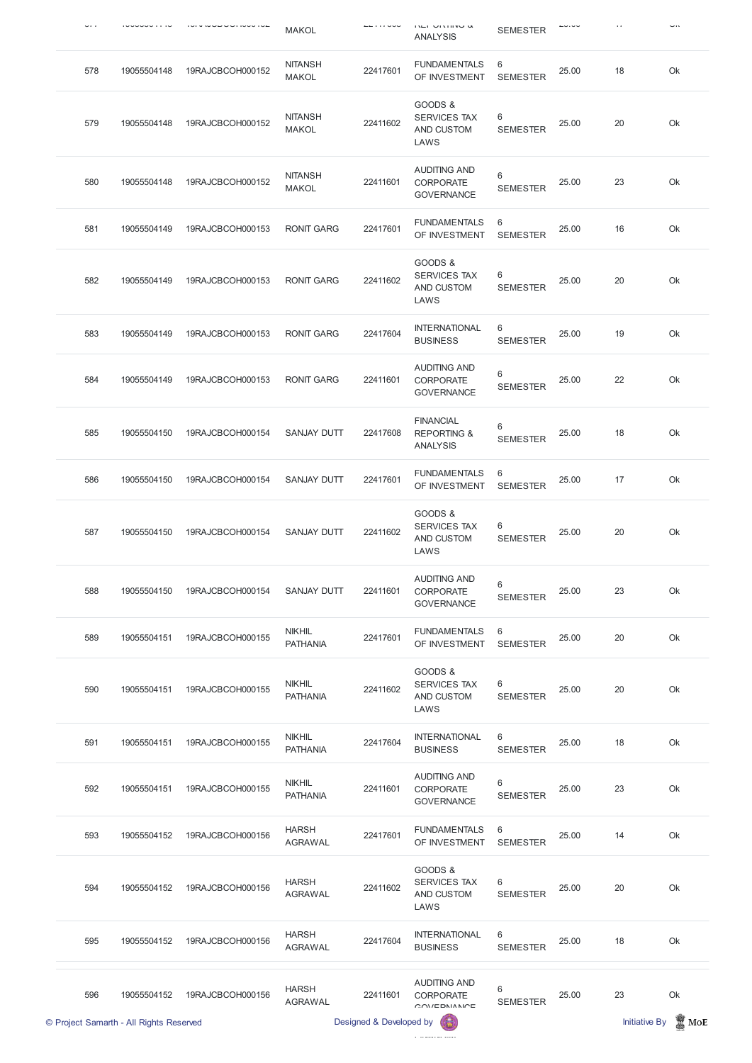| .   |             | -----------      | <b>MAKOL</b>                     |          | $\sim$<br><b>ANALYSIS</b>                                                     | <b>SEMESTER</b>      |       |    | <b></b> |
|-----|-------------|------------------|----------------------------------|----------|-------------------------------------------------------------------------------|----------------------|-------|----|---------|
| 578 | 19055504148 | 19RAJCBCOH000152 | <b>NITANSH</b><br><b>MAKOL</b>   | 22417601 | <b>FUNDAMENTALS</b><br>OF INVESTMENT                                          | 6<br><b>SEMESTER</b> | 25.00 | 18 | Ok      |
| 579 | 19055504148 | 19RAJCBCOH000152 | <b>NITANSH</b><br><b>MAKOL</b>   | 22411602 | GOODS &<br><b>SERVICES TAX</b><br>AND CUSTOM<br>LAWS                          | 6<br><b>SEMESTER</b> | 25.00 | 20 | Ok      |
| 580 | 19055504148 | 19RAJCBCOH000152 | <b>NITANSH</b><br><b>MAKOL</b>   | 22411601 | <b>AUDITING AND</b><br><b>CORPORATE</b><br><b>GOVERNANCE</b>                  | 6<br><b>SEMESTER</b> | 25.00 | 23 | Ok      |
| 581 | 19055504149 | 19RAJCBCOH000153 | <b>RONIT GARG</b>                | 22417601 | <b>FUNDAMENTALS</b><br>OF INVESTMENT                                          | 6<br><b>SEMESTER</b> | 25.00 | 16 | Ok      |
| 582 | 19055504149 | 19RAJCBCOH000153 | <b>RONIT GARG</b>                | 22411602 | GOODS &<br><b>SERVICES TAX</b><br>AND CUSTOM<br>LAWS                          | 6<br><b>SEMESTER</b> | 25.00 | 20 | Ok      |
| 583 | 19055504149 | 19RAJCBCOH000153 | <b>RONIT GARG</b>                | 22417604 | <b>INTERNATIONAL</b><br><b>BUSINESS</b>                                       | 6<br><b>SEMESTER</b> | 25.00 | 19 | Ok      |
| 584 | 19055504149 | 19RAJCBCOH000153 | <b>RONIT GARG</b>                | 22411601 | <b>AUDITING AND</b><br><b>CORPORATE</b><br><b>GOVERNANCE</b>                  | 6<br><b>SEMESTER</b> | 25.00 | 22 | Ok      |
| 585 | 19055504150 | 19RAJCBCOH000154 | <b>SANJAY DUTT</b>               | 22417608 | <b>FINANCIAL</b><br><b>REPORTING &amp;</b><br><b>ANALYSIS</b>                 | 6<br><b>SEMESTER</b> | 25.00 | 18 | Ok      |
| 586 | 19055504150 | 19RAJCBCOH000154 | SANJAY DUTT                      | 22417601 | <b>FUNDAMENTALS</b><br>OF INVESTMENT                                          | 6<br><b>SEMESTER</b> | 25.00 | 17 | Ok      |
| 587 | 19055504150 | 19RAJCBCOH000154 | <b>SANJAY DUTT</b>               | 22411602 | GOODS &<br><b>SERVICES TAX</b><br>AND CUSTOM<br>LAWS                          | 6<br><b>SEMESTER</b> | 25.00 | 20 | Ok      |
| 588 | 19055504150 | 19RAJCBCOH000154 | <b>SANJAY DUTT</b>               | 22411601 | <b>AUDITING AND</b><br><b>CORPORATE</b><br><b>GOVERNANCE</b>                  | 6<br><b>SEMESTER</b> | 25.00 | 23 | Ok      |
| 589 | 19055504151 | 19RAJCBCOH000155 | <b>NIKHIL</b><br><b>PATHANIA</b> | 22417601 | <b>FUNDAMENTALS</b><br>OF INVESTMENT                                          | 6<br><b>SEMESTER</b> | 25.00 | 20 | Ok      |
| 590 | 19055504151 | 19RAJCBCOH000155 | <b>NIKHIL</b><br><b>PATHANIA</b> | 22411602 | GOODS &<br><b>SERVICES TAX</b><br>AND CUSTOM<br>LAWS                          | 6<br><b>SEMESTER</b> | 25.00 | 20 | Ok      |
| 591 | 19055504151 | 19RAJCBCOH000155 | <b>NIKHIL</b><br><b>PATHANIA</b> | 22417604 | <b>INTERNATIONAL</b><br><b>BUSINESS</b>                                       | 6<br><b>SEMESTER</b> | 25.00 | 18 | Ok      |
| 592 | 19055504151 | 19RAJCBCOH000155 | <b>NIKHIL</b><br><b>PATHANIA</b> | 22411601 | <b>AUDITING AND</b><br><b>CORPORATE</b><br>$\sim$ $\sim$ $\sim$ $\sim$ $\sim$ | 6<br><b>SEMESTER</b> | 25.00 | 23 | Ok      |

## GOVERNANCE

|     | © Project Samarth - All Rights Reserved |                  |                                | Designed & Developed by |                                                       |                      |       | <b>Initiative By</b> | MoE |
|-----|-----------------------------------------|------------------|--------------------------------|-------------------------|-------------------------------------------------------|----------------------|-------|----------------------|-----|
| 596 | 19055504152                             | 19RAJCBCOH000156 | <b>HARSH</b><br><b>AGRAWAL</b> | 22411601                | <b>AUDITING AND</b><br><b>CORPORATE</b><br>COVEDNANCE | 6<br><b>SEMESTER</b> | 25.00 | 23                   | Ok  |
| 595 | 19055504152                             | 19RAJCBCOH000156 | <b>HARSH</b><br><b>AGRAWAL</b> | 22417604                | <b>INTERNATIONAL</b><br><b>BUSINESS</b>               | 6<br><b>SEMESTER</b> | 25.00 | 18                   | Ok  |
| 594 | 19055504152                             | 19RAJCBCOH000156 | <b>HARSH</b><br><b>AGRAWAL</b> | 22411602                | GOODS &<br><b>SERVICES TAX</b><br>AND CUSTOM<br>LAWS  | 6<br><b>SEMESTER</b> | 25.00 | 20                   | Ok  |
| 593 | 19055504152                             | 19RAJCBCOH000156 | <b>HARSH</b><br><b>AGRAWAL</b> | 22417601                | <b>FUNDAMENTALS</b><br>OF INVESTMENT                  | 6<br><b>SEMESTER</b> | 25.00 | 14                   | Ok  |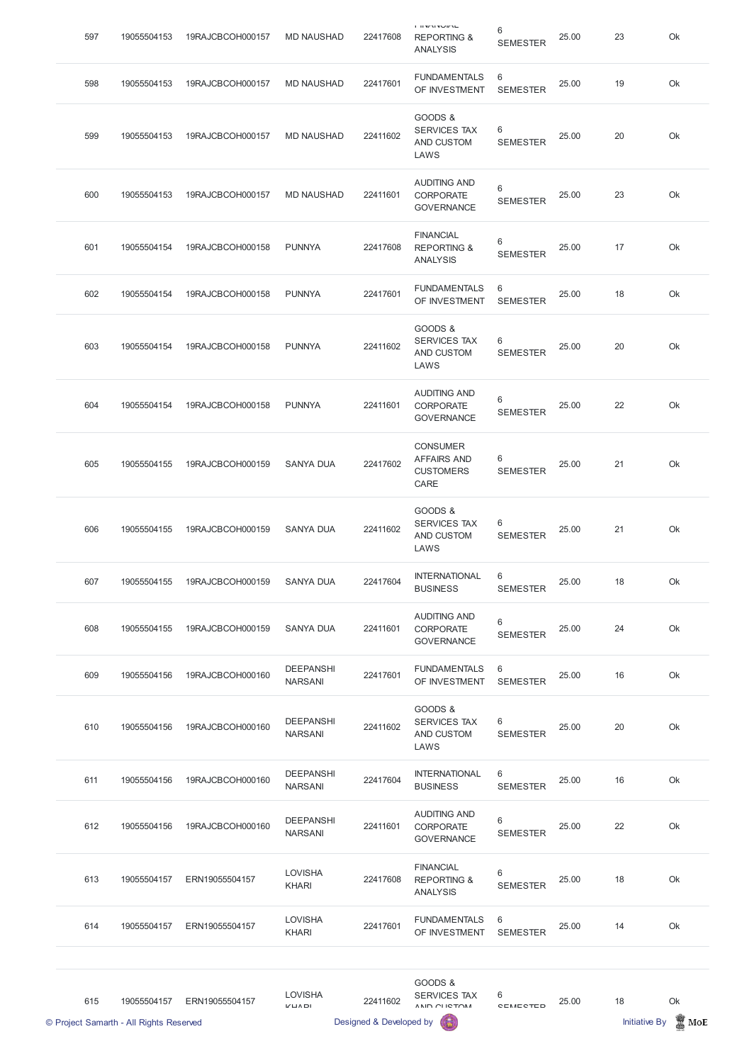| 597 | 19055504153 | 19RAJCBCOH000157 | <b>MD NAUSHAD</b>                  | 22417608 | $1.033$ M N $9.04$ M $1.0$<br><b>REPORTING &amp;</b><br><b>ANALYSIS</b> | 6<br><b>SEMESTER</b>     | 25.00 | 23 | Ok |
|-----|-------------|------------------|------------------------------------|----------|-------------------------------------------------------------------------|--------------------------|-------|----|----|
| 598 | 19055504153 | 19RAJCBCOH000157 | <b>MD NAUSHAD</b>                  | 22417601 | <b>FUNDAMENTALS</b><br>OF INVESTMENT                                    | 6<br><b>SEMESTER</b>     | 25.00 | 19 | Ok |
| 599 | 19055504153 | 19RAJCBCOH000157 | <b>MD NAUSHAD</b>                  | 22411602 | GOODS &<br><b>SERVICES TAX</b><br>AND CUSTOM<br>LAWS                    | 6<br><b>SEMESTER</b>     | 25.00 | 20 | Ok |
| 600 | 19055504153 | 19RAJCBCOH000157 | <b>MD NAUSHAD</b>                  | 22411601 | <b>AUDITING AND</b><br><b>CORPORATE</b><br><b>GOVERNANCE</b>            | $6\,$<br><b>SEMESTER</b> | 25.00 | 23 | Ok |
| 601 | 19055504154 | 19RAJCBCOH000158 | <b>PUNNYA</b>                      | 22417608 | <b>FINANCIAL</b><br><b>REPORTING &amp;</b><br><b>ANALYSIS</b>           | 6<br><b>SEMESTER</b>     | 25.00 | 17 | Ok |
| 602 | 19055504154 | 19RAJCBCOH000158 | <b>PUNNYA</b>                      | 22417601 | <b>FUNDAMENTALS</b><br>OF INVESTMENT                                    | 6<br><b>SEMESTER</b>     | 25.00 | 18 | Ok |
| 603 | 19055504154 | 19RAJCBCOH000158 | <b>PUNNYA</b>                      | 22411602 | GOODS &<br><b>SERVICES TAX</b><br>AND CUSTOM<br>LAWS                    | 6<br><b>SEMESTER</b>     | 25.00 | 20 | Ok |
| 604 | 19055504154 | 19RAJCBCOH000158 | <b>PUNNYA</b>                      | 22411601 | <b>AUDITING AND</b><br><b>CORPORATE</b><br><b>GOVERNANCE</b>            | 6<br><b>SEMESTER</b>     | 25.00 | 22 | Ok |
| 605 | 19055504155 | 19RAJCBCOH000159 | <b>SANYA DUA</b>                   | 22417602 | <b>CONSUMER</b><br><b>AFFAIRS AND</b><br><b>CUSTOMERS</b><br>CARE       | 6<br><b>SEMESTER</b>     | 25.00 | 21 | Ok |
| 606 | 19055504155 | 19RAJCBCOH000159 | <b>SANYA DUA</b>                   | 22411602 | GOODS &<br>SERVICES TAX<br>AND CUSTOM<br>LAWS                           | 6<br><b>SEMESTER</b>     | 25.00 | 21 | Ok |
| 607 | 19055504155 | 19RAJCBCOH000159 | <b>SANYA DUA</b>                   | 22417604 | <b>INTERNATIONAL</b><br><b>BUSINESS</b>                                 | 6<br><b>SEMESTER</b>     | 25.00 | 18 | Ok |
| 608 | 19055504155 | 19RAJCBCOH000159 | <b>SANYA DUA</b>                   | 22411601 | <b>AUDITING AND</b><br><b>CORPORATE</b><br><b>GOVERNANCE</b>            | 6<br><b>SEMESTER</b>     | 25.00 | 24 | Ok |
| 609 | 19055504156 | 19RAJCBCOH000160 | <b>DEEPANSHI</b><br><b>NARSANI</b> | 22417601 | <b>FUNDAMENTALS</b><br>OF INVESTMENT                                    | 6<br><b>SEMESTER</b>     | 25.00 | 16 | Ok |
| 610 | 19055504156 | 19RAJCBCOH000160 | <b>DEEPANSHI</b><br><b>NARSANI</b> | 22411602 | GOODS &<br>SERVICES TAX<br>AND CUSTOM<br>LAWS                           | 6<br><b>SEMESTER</b>     | 25.00 | 20 | Ok |
| 611 | 19055504156 | 19RAJCBCOH000160 | <b>DEEPANSHI</b><br><b>NARSANI</b> | 22417604 | <b>INTERNATIONAL</b><br><b>BUSINESS</b>                                 | 6<br><b>SEMESTER</b>     | 25.00 | 16 | Ok |

|     | © Project Samarth - All Rights Reserved |                  |                                              | Designed & Developed by |                                                               |                      |       | <b>Initiative By</b> | MoE |
|-----|-----------------------------------------|------------------|----------------------------------------------|-------------------------|---------------------------------------------------------------|----------------------|-------|----------------------|-----|
| 615 | 19055504157                             | ERN19055504157   | <b>LOVISHA</b><br>$V \sqcup \Lambda \square$ | 22411602                | GOODS &<br><b>SERVICES TAX</b><br>ANID OLICTOM                | $6\,$<br>CEMECTED    | 25.00 | 18                   | Ok  |
| 614 | 19055504157                             | ERN19055504157   | <b>LOVISHA</b><br><b>KHARI</b>               | 22417601                | <b>FUNDAMENTALS</b><br>OF INVESTMENT                          | 6<br><b>SEMESTER</b> | 25.00 | 14                   | Ok  |
| 613 | 19055504157                             | ERN19055504157   | <b>LOVISHA</b><br><b>KHARI</b>               | 22417608                | <b>FINANCIAL</b><br><b>REPORTING &amp;</b><br><b>ANALYSIS</b> | 6<br><b>SEMESTER</b> | 25.00 | 18                   | Ok  |
| 612 | 19055504156                             | 19RAJCBCOH000160 | <b>DEEPANSHI</b><br><b>NARSANI</b>           | 22411601                | <b>AUDITING AND</b><br><b>CORPORATE</b><br><b>GOVERNANCE</b>  | 6<br><b>SEMESTER</b> | 25.00 | 22                   | Ok  |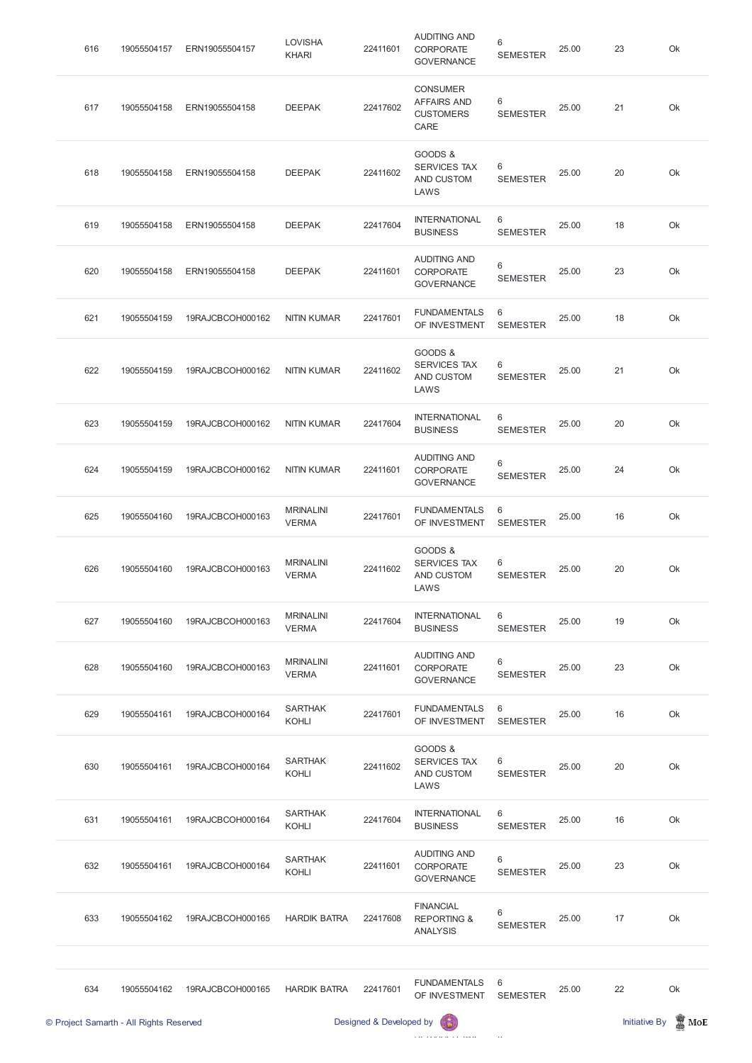| 616 | 19055504157 | ERN19055504157   | <b>LOVISHA</b><br><b>KHARI</b>   | 22411601 | <b>AUDITING AND</b><br><b>CORPORATE</b><br><b>GOVERNANCE</b>      | 6<br><b>SEMESTER</b> | 25.00 | 23 | Ok |
|-----|-------------|------------------|----------------------------------|----------|-------------------------------------------------------------------|----------------------|-------|----|----|
| 617 | 19055504158 | ERN19055504158   | <b>DEEPAK</b>                    | 22417602 | <b>CONSUMER</b><br><b>AFFAIRS AND</b><br><b>CUSTOMERS</b><br>CARE | 6<br><b>SEMESTER</b> | 25.00 | 21 | Ok |
| 618 | 19055504158 | ERN19055504158   | <b>DEEPAK</b>                    | 22411602 | GOODS &<br><b>SERVICES TAX</b><br>AND CUSTOM<br>LAWS              | 6<br><b>SEMESTER</b> | 25.00 | 20 | Ok |
| 619 | 19055504158 | ERN19055504158   | <b>DEEPAK</b>                    | 22417604 | <b>INTERNATIONAL</b><br><b>BUSINESS</b>                           | 6<br><b>SEMESTER</b> | 25.00 | 18 | Ok |
| 620 | 19055504158 | ERN19055504158   | <b>DEEPAK</b>                    | 22411601 | <b>AUDITING AND</b><br><b>CORPORATE</b><br><b>GOVERNANCE</b>      | 6<br><b>SEMESTER</b> | 25.00 | 23 | Ok |
| 621 | 19055504159 | 19RAJCBCOH000162 | <b>NITIN KUMAR</b>               | 22417601 | <b>FUNDAMENTALS</b><br>OF INVESTMENT                              | 6<br><b>SEMESTER</b> | 25.00 | 18 | Ok |
| 622 | 19055504159 | 19RAJCBCOH000162 | <b>NITIN KUMAR</b>               | 22411602 | GOODS &<br><b>SERVICES TAX</b><br>AND CUSTOM<br>LAWS              | 6<br><b>SEMESTER</b> | 25.00 | 21 | Ok |
| 623 | 19055504159 | 19RAJCBCOH000162 | <b>NITIN KUMAR</b>               | 22417604 | <b>INTERNATIONAL</b><br><b>BUSINESS</b>                           | 6<br><b>SEMESTER</b> | 25.00 | 20 | Ok |
| 624 | 19055504159 | 19RAJCBCOH000162 | <b>NITIN KUMAR</b>               | 22411601 | <b>AUDITING AND</b><br><b>CORPORATE</b><br><b>GOVERNANCE</b>      | 6<br><b>SEMESTER</b> | 25.00 | 24 | Ok |
| 625 | 19055504160 | 19RAJCBCOH000163 | <b>MRINALINI</b><br><b>VERMA</b> | 22417601 | <b>FUNDAMENTALS</b><br>OF INVESTMENT                              | 6<br><b>SEMESTER</b> | 25.00 | 16 | Ok |
| 626 | 19055504160 | 19RAJCBCOH000163 | <b>MRINALINI</b><br><b>VERMA</b> | 22411602 | GOODS &<br><b>SERVICES TAX</b><br>AND CUSTOM<br>LAWS              | 6<br><b>SEMESTER</b> | 25.00 | 20 | Ok |
| 627 | 19055504160 | 19RAJCBCOH000163 | <b>MRINALINI</b><br><b>VERMA</b> | 22417604 | <b>INTERNATIONAL</b><br><b>BUSINESS</b>                           | 6<br><b>SEMESTER</b> | 25.00 | 19 | Ok |
| 628 | 19055504160 | 19RAJCBCOH000163 | <b>MRINALINI</b><br><b>VERMA</b> | 22411601 | <b>AUDITING AND</b><br><b>CORPORATE</b><br><b>GOVERNANCE</b>      | 6<br><b>SEMESTER</b> | 25.00 | 23 | Ok |
| 629 | 19055504161 | 19RAJCBCOH000164 | <b>SARTHAK</b><br><b>KOHLI</b>   | 22417601 | <b>FUNDAMENTALS</b><br>OF INVESTMENT                              | 6<br><b>SEMESTER</b> | 25.00 | 16 | Ok |
| 630 | 19055504161 | 19RAJCBCOH000164 | <b>SARTHAK</b><br><b>KOHLI</b>   | 22411602 | GOODS &<br>SERVICES TAX<br>AND CUSTOM<br>LAWS                     | 6<br><b>SEMESTER</b> | 25.00 | 20 | Ok |

|     | © Project Samarth - All Rights Reserved |                  |                         | Designed & Developed by | 偏                                                             |                      |       | Initiative By | $\blacksquare$ MoE |
|-----|-----------------------------------------|------------------|-------------------------|-------------------------|---------------------------------------------------------------|----------------------|-------|---------------|--------------------|
| 634 | 19055504162                             | 19RAJCBCOH000165 | <b>HARDIK BATRA</b>     | 22417601                | <b>FUNDAMENTALS</b><br>OF INVESTMENT                          | 6<br><b>SEMESTER</b> | 25.00 | 22            | Ok                 |
| 633 | 19055504162                             | 19RAJCBCOH000165 | <b>HARDIK BATRA</b>     | 22417608                | <b>FINANCIAL</b><br><b>REPORTING &amp;</b><br><b>ANALYSIS</b> | 6<br><b>SEMESTER</b> | 25.00 | 17            | Ok                 |
| 632 | 19055504161                             | 19RAJCBCOH000164 | <b>SARTHAK</b><br>KOHLI | 22411601                | <b>AUDITING AND</b><br><b>CORPORATE</b><br><b>GOVERNANCE</b>  | 6<br><b>SEMESTER</b> | 25.00 | 23            | Ok                 |
| 631 | 19055504161                             | 19RAJCBCOH000164 | <b>SARTHAK</b><br>KOHLI | 22417604                | <b>INTERNATIONAL</b><br><b>BUSINESS</b>                       | 6<br><b>SEMESTER</b> | 25.00 | 16            | Ok                 |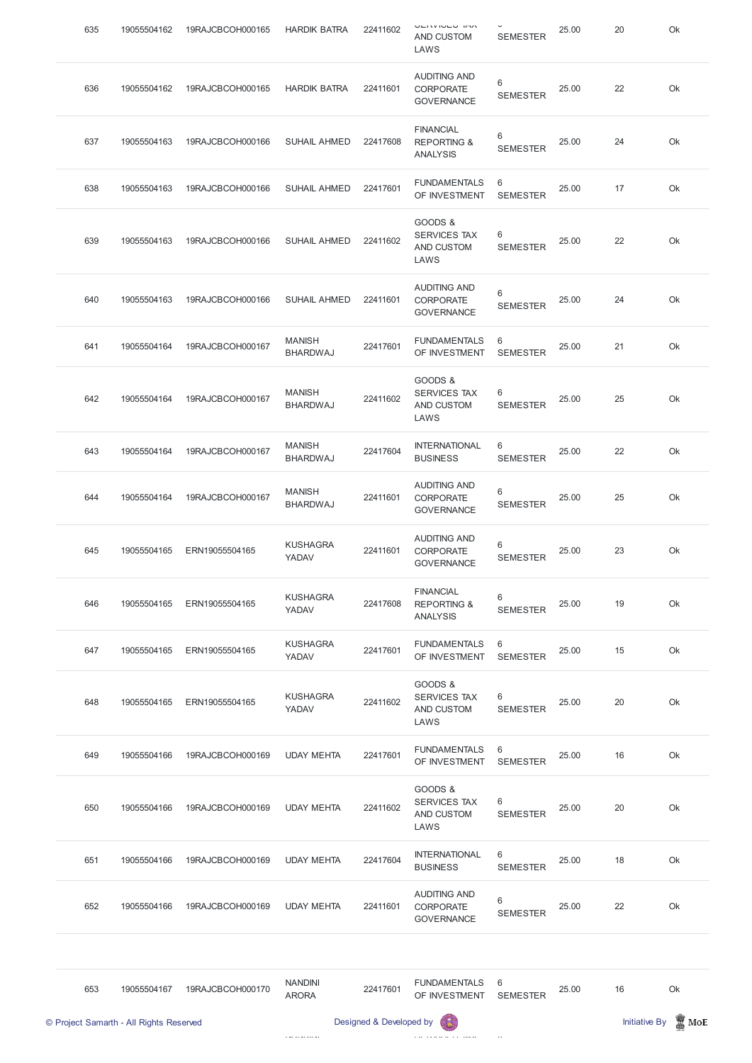| 635 | 19055504162 | 19RAJCBCOH000165 | <b>HARDIK BATRA</b>              | 22411602 | <b>VEIVIVEY INV</b><br>AND CUSTOM<br>LAWS                     | <b>SEMESTER</b>      | 25.00 | 20 | Ok |
|-----|-------------|------------------|----------------------------------|----------|---------------------------------------------------------------|----------------------|-------|----|----|
| 636 | 19055504162 | 19RAJCBCOH000165 | <b>HARDIK BATRA</b>              | 22411601 | <b>AUDITING AND</b><br><b>CORPORATE</b><br><b>GOVERNANCE</b>  | 6<br><b>SEMESTER</b> | 25.00 | 22 | Ok |
| 637 | 19055504163 | 19RAJCBCOH000166 | <b>SUHAIL AHMED</b>              | 22417608 | <b>FINANCIAL</b><br><b>REPORTING &amp;</b><br><b>ANALYSIS</b> | 6<br><b>SEMESTER</b> | 25.00 | 24 | Ok |
| 638 | 19055504163 | 19RAJCBCOH000166 | <b>SUHAIL AHMED</b>              | 22417601 | <b>FUNDAMENTALS</b><br>OF INVESTMENT                          | 6<br><b>SEMESTER</b> | 25.00 | 17 | Ok |
| 639 | 19055504163 | 19RAJCBCOH000166 | <b>SUHAIL AHMED</b>              | 22411602 | GOODS &<br><b>SERVICES TAX</b><br>AND CUSTOM<br>LAWS          | 6<br><b>SEMESTER</b> | 25.00 | 22 | Ok |
| 640 | 19055504163 | 19RAJCBCOH000166 | <b>SUHAIL AHMED</b>              | 22411601 | <b>AUDITING AND</b><br><b>CORPORATE</b><br><b>GOVERNANCE</b>  | 6<br><b>SEMESTER</b> | 25.00 | 24 | Ok |
| 641 | 19055504164 | 19RAJCBCOH000167 | <b>MANISH</b><br><b>BHARDWAJ</b> | 22417601 | <b>FUNDAMENTALS</b><br>OF INVESTMENT                          | 6<br><b>SEMESTER</b> | 25.00 | 21 | Ok |
| 642 | 19055504164 | 19RAJCBCOH000167 | <b>MANISH</b><br><b>BHARDWAJ</b> | 22411602 | GOODS &<br><b>SERVICES TAX</b><br>AND CUSTOM<br>LAWS          | 6<br><b>SEMESTER</b> | 25.00 | 25 | Ok |
| 643 | 19055504164 | 19RAJCBCOH000167 | <b>MANISH</b><br><b>BHARDWAJ</b> | 22417604 | <b>INTERNATIONAL</b><br><b>BUSINESS</b>                       | 6<br><b>SEMESTER</b> | 25.00 | 22 | Ok |
| 644 | 19055504164 | 19RAJCBCOH000167 | <b>MANISH</b><br><b>BHARDWAJ</b> | 22411601 | <b>AUDITING AND</b><br><b>CORPORATE</b><br><b>GOVERNANCE</b>  | 6<br><b>SEMESTER</b> | 25.00 | 25 | Ok |
| 645 | 19055504165 | ERN19055504165   | <b>KUSHAGRA</b><br>YADAV         | 22411601 | <b>AUDITING AND</b><br>CORPORATE<br><b>GOVERNANCE</b>         | 6<br><b>SEMESTER</b> | 25.00 | 23 | Ok |
| 646 | 19055504165 | ERN19055504165   | <b>KUSHAGRA</b><br>YADAV         | 22417608 | <b>FINANCIAL</b><br><b>REPORTING &amp;</b><br><b>ANALYSIS</b> | 6<br><b>SEMESTER</b> | 25.00 | 19 | Ok |
| 647 | 19055504165 | ERN19055504165   | <b>KUSHAGRA</b><br>YADAV         | 22417601 | <b>FUNDAMENTALS</b><br>OF INVESTMENT                          | 6<br><b>SEMESTER</b> | 25.00 | 15 | Ok |
| 648 | 19055504165 | ERN19055504165   | <b>KUSHAGRA</b><br>YADAV         | 22411602 | GOODS &<br><b>SERVICES TAX</b><br>AND CUSTOM<br>LAWS          | 6<br><b>SEMESTER</b> | 25.00 | 20 | Ok |
| 649 | 19055504166 | 19RAJCBCOH000169 | <b>UDAY MEHTA</b>                | 22417601 | <b>FUNDAMENTALS</b><br>OF INVESTMENT                          | 6<br><b>SEMESTER</b> | 25.00 | 16 | Ok |
|     |             |                  |                                  |          | GOODS &                                                       |                      |       |    |    |

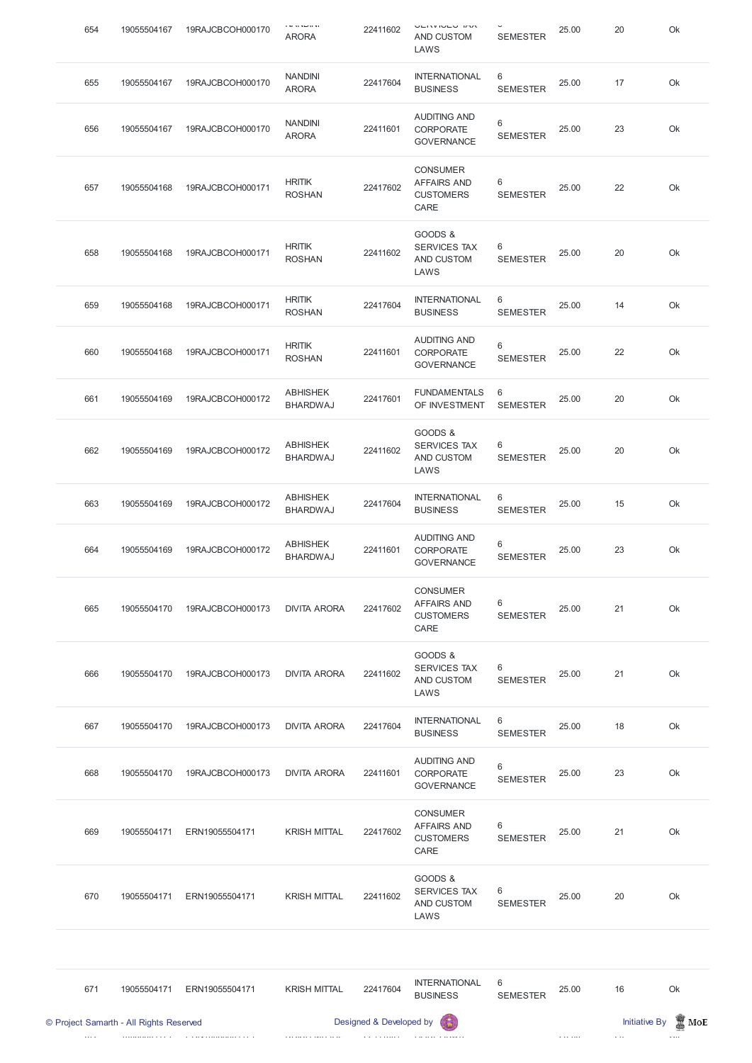| 654 | 19055504167 | 19RAJCBCOH000170 | i sa kacamatan sa<br><b>ARORA</b>  | 22411602 | <b>VEIVIVEY HW</b><br>AND CUSTOM<br>LAWS                          | $\check{\phantom{a}}$<br><b>SEMESTER</b> | 25.00 | 20 | Ok |
|-----|-------------|------------------|------------------------------------|----------|-------------------------------------------------------------------|------------------------------------------|-------|----|----|
| 655 | 19055504167 | 19RAJCBCOH000170 | <b>NANDINI</b><br><b>ARORA</b>     | 22417604 | <b>INTERNATIONAL</b><br><b>BUSINESS</b>                           | 6<br><b>SEMESTER</b>                     | 25.00 | 17 | Ok |
| 656 | 19055504167 | 19RAJCBCOH000170 | <b>NANDINI</b><br><b>ARORA</b>     | 22411601 | <b>AUDITING AND</b><br><b>CORPORATE</b><br><b>GOVERNANCE</b>      | $6\,$<br><b>SEMESTER</b>                 | 25.00 | 23 | Ok |
| 657 | 19055504168 | 19RAJCBCOH000171 | <b>HRITIK</b><br><b>ROSHAN</b>     | 22417602 | <b>CONSUMER</b><br><b>AFFAIRS AND</b><br><b>CUSTOMERS</b><br>CARE | 6<br><b>SEMESTER</b>                     | 25.00 | 22 | Ok |
| 658 | 19055504168 | 19RAJCBCOH000171 | <b>HRITIK</b><br><b>ROSHAN</b>     | 22411602 | GOODS &<br><b>SERVICES TAX</b><br>AND CUSTOM<br>LAWS              | 6<br><b>SEMESTER</b>                     | 25.00 | 20 | Ok |
| 659 | 19055504168 | 19RAJCBCOH000171 | <b>HRITIK</b><br><b>ROSHAN</b>     | 22417604 | <b>INTERNATIONAL</b><br><b>BUSINESS</b>                           | 6<br><b>SEMESTER</b>                     | 25.00 | 14 | Ok |
| 660 | 19055504168 | 19RAJCBCOH000171 | <b>HRITIK</b><br><b>ROSHAN</b>     | 22411601 | <b>AUDITING AND</b><br><b>CORPORATE</b><br><b>GOVERNANCE</b>      | 6<br><b>SEMESTER</b>                     | 25.00 | 22 | Ok |
| 661 | 19055504169 | 19RAJCBCOH000172 | <b>ABHISHEK</b><br><b>BHARDWAJ</b> | 22417601 | <b>FUNDAMENTALS</b><br>OF INVESTMENT                              | 6<br><b>SEMESTER</b>                     | 25.00 | 20 | Ok |
| 662 | 19055504169 | 19RAJCBCOH000172 | <b>ABHISHEK</b><br><b>BHARDWAJ</b> | 22411602 | GOODS &<br><b>SERVICES TAX</b><br>AND CUSTOM<br>LAWS              | 6<br><b>SEMESTER</b>                     | 25.00 | 20 | Ok |
| 663 | 19055504169 | 19RAJCBCOH000172 | <b>ABHISHEK</b><br><b>BHARDWAJ</b> | 22417604 | <b>INTERNATIONAL</b><br><b>BUSINESS</b>                           | 6<br><b>SEMESTER</b>                     | 25.00 | 15 | Ok |
| 664 | 19055504169 | 19RAJCBCOH000172 | <b>ABHISHEK</b><br><b>BHARDWAJ</b> | 22411601 | <b>AUDITING AND</b><br><b>CORPORATE</b><br><b>GOVERNANCE</b>      | 6<br><b>SEMESTER</b>                     | 25.00 | 23 | Ok |
| 665 | 19055504170 | 19RAJCBCOH000173 | <b>DIVITA ARORA</b>                | 22417602 | <b>CONSUMER</b><br><b>AFFAIRS AND</b><br><b>CUSTOMERS</b><br>CARE | 6<br><b>SEMESTER</b>                     | 25.00 | 21 | Ok |
| 666 | 19055504170 | 19RAJCBCOH000173 | <b>DIVITA ARORA</b>                | 22411602 | GOODS &<br><b>SERVICES TAX</b><br><b>AND CUSTOM</b><br>LAWS       | 6<br><b>SEMESTER</b>                     | 25.00 | 21 | Ok |
| 667 | 19055504170 | 19RAJCBCOH000173 | <b>DIVITA ARORA</b>                | 22417604 | <b>INTERNATIONAL</b><br><b>BUSINESS</b>                           | 6<br><b>SEMESTER</b>                     | 25.00 | 18 | Ok |
| 668 | 19055504170 | 19RAJCBCOH000173 | <b>DIVITA ARORA</b>                | 22411601 | <b>AUDITING AND</b><br><b>CORPORATE</b><br><b>GOVERNANCE</b>      | 6<br><b>SEMESTER</b>                     | 25.00 | 23 | Ok |





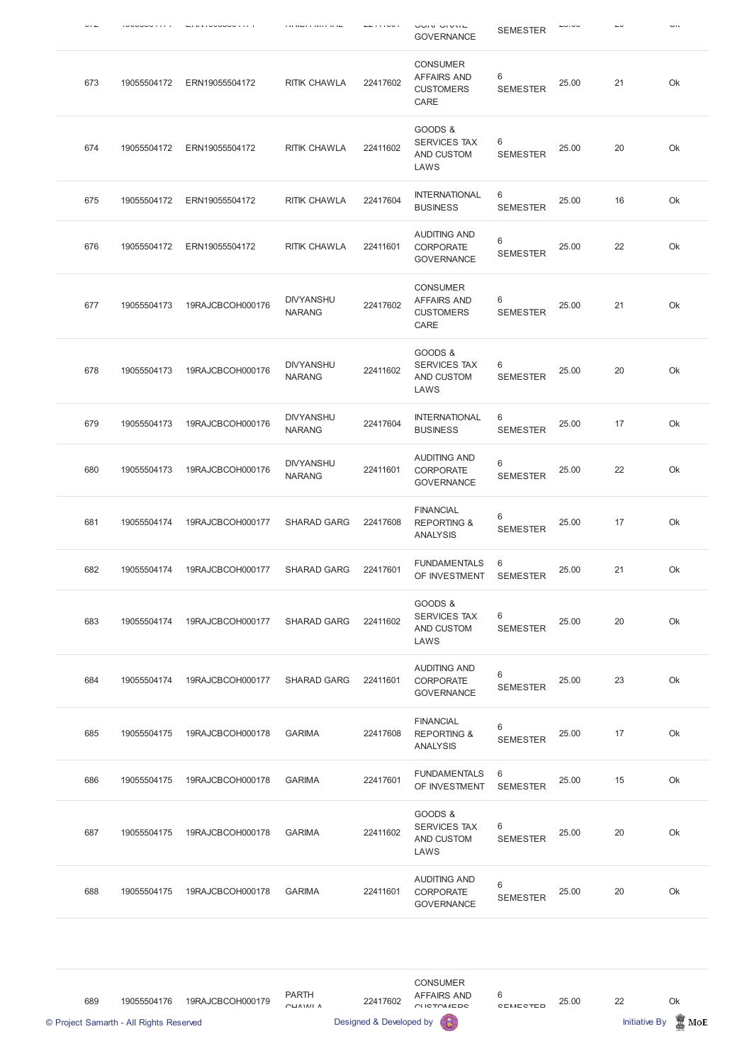|     |             |                  | sa sawa a tanah ta se             |          | <b>UUIN UIVIL</b><br><b>GOVERNANCE</b>                            | <b>SEMESTER</b>            |       |    | <b></b>       |
|-----|-------------|------------------|-----------------------------------|----------|-------------------------------------------------------------------|----------------------------|-------|----|---------------|
| 673 | 19055504172 | ERN19055504172   | <b>RITIK CHAWLA</b>               | 22417602 | <b>CONSUMER</b><br><b>AFFAIRS AND</b><br><b>CUSTOMERS</b><br>CARE | 6<br><b>SEMESTER</b>       | 25.00 | 21 | Ok            |
| 674 | 19055504172 | ERN19055504172   | <b>RITIK CHAWLA</b>               | 22411602 | GOODS &<br><b>SERVICES TAX</b><br>AND CUSTOM<br>LAWS              | 6<br><b>SEMESTER</b>       | 25.00 | 20 | Ok            |
| 675 | 19055504172 | ERN19055504172   | <b>RITIK CHAWLA</b>               | 22417604 | <b>INTERNATIONAL</b><br><b>BUSINESS</b>                           | 6<br><b>SEMESTER</b>       | 25.00 | 16 | Ok            |
| 676 | 19055504172 | ERN19055504172   | <b>RITIK CHAWLA</b>               | 22411601 | <b>AUDITING AND</b><br><b>CORPORATE</b><br><b>GOVERNANCE</b>      | 6<br><b>SEMESTER</b>       | 25.00 | 22 | Ok            |
| 677 | 19055504173 | 19RAJCBCOH000176 | <b>DIVYANSHU</b><br><b>NARANG</b> | 22417602 | <b>CONSUMER</b><br><b>AFFAIRS AND</b><br><b>CUSTOMERS</b><br>CARE | 6<br><b>SEMESTER</b>       | 25.00 | 21 | Ok            |
| 678 | 19055504173 | 19RAJCBCOH000176 | <b>DIVYANSHU</b><br><b>NARANG</b> | 22411602 | GOODS &<br><b>SERVICES TAX</b><br>AND CUSTOM<br>LAWS              | 6<br><b>SEMESTER</b>       | 25.00 | 20 | Ok            |
| 679 | 19055504173 | 19RAJCBCOH000176 | <b>DIVYANSHU</b><br><b>NARANG</b> | 22417604 | <b>INTERNATIONAL</b><br><b>BUSINESS</b>                           | 6<br><b>SEMESTER</b>       | 25.00 | 17 | Ok            |
| 680 | 19055504173 | 19RAJCBCOH000176 | <b>DIVYANSHU</b><br><b>NARANG</b> | 22411601 | <b>AUDITING AND</b><br><b>CORPORATE</b><br><b>GOVERNANCE</b>      | $6\,$<br><b>SEMESTER</b>   | 25.00 | 22 | Ok            |
| 681 | 19055504174 | 19RAJCBCOH000177 | <b>SHARAD GARG</b>                | 22417608 | <b>FINANCIAL</b><br><b>REPORTING &amp;</b><br><b>ANALYSIS</b>     | $\,6\,$<br><b>SEMESTER</b> | 25.00 | 17 | Ok            |
| 682 | 19055504174 | 19RAJCBCOH000177 | <b>SHARAD GARG</b>                | 22417601 | <b>FUNDAMENTALS</b><br>OF INVESTMENT                              | 6<br><b>SEMESTER</b>       | 25.00 | 21 | Ok            |
| 683 | 19055504174 | 19RAJCBCOH000177 | <b>SHARAD GARG</b>                | 22411602 | GOODS &<br><b>SERVICES TAX</b><br>AND CUSTOM<br>LAWS              | 6<br><b>SEMESTER</b>       | 25.00 | 20 | Ok            |
| 684 | 19055504174 | 19RAJCBCOH000177 | <b>SHARAD GARG</b>                | 22411601 | <b>AUDITING AND</b><br><b>CORPORATE</b><br><b>GOVERNANCE</b>      | 6<br><b>SEMESTER</b>       | 25.00 | 23 | Ok            |
| 685 | 19055504175 | 19RAJCBCOH000178 | <b>GARIMA</b>                     | 22417608 | <b>FINANCIAL</b><br><b>REPORTING &amp;</b><br><b>ANALYSIS</b>     | 6<br><b>SEMESTER</b>       | 25.00 | 17 | Ok            |
| 686 | 19055504175 | 19RAJCBCOH000178 | <b>GARIMA</b>                     | 22417601 | <b>FUNDAMENTALS</b><br>OF INVESTMENT                              | 6<br><b>SEMESTER</b>       | 25.00 | 15 | $\mathsf{Ok}$ |

| 687 | 19055504175 | 19RAJCBCOH000178 | <b>GARIMA</b> | 22411602 | GOODS &<br><b>SERVICES TAX</b><br>AND CUSTOM<br>LAWS         | 6<br><b>SEMESTER</b> | 25.00 | 20 | Ok |
|-----|-------------|------------------|---------------|----------|--------------------------------------------------------------|----------------------|-------|----|----|
| 688 | 19055504175 | 19RAJCBCOH000178 | <b>GARIMA</b> | 22411601 | <b>AUDITING AND</b><br><b>CORPORATE</b><br><b>GOVERNANCE</b> | 6<br><b>SEMESTER</b> | 25.00 | 20 | Ok |

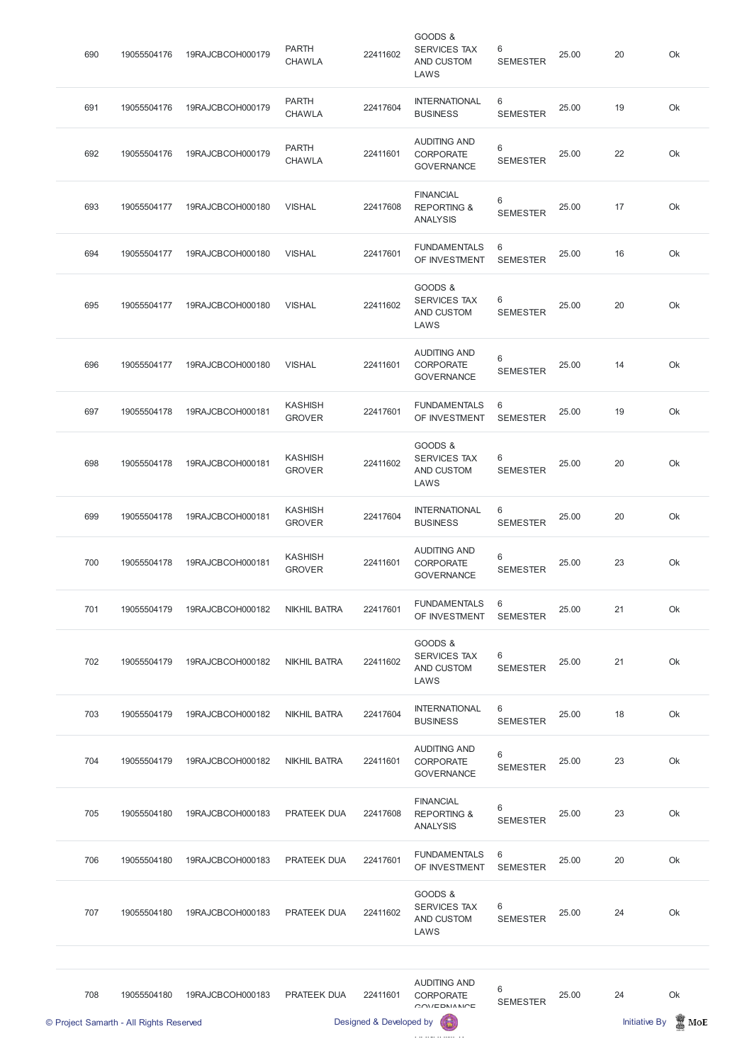| © Project Samarth - All Rights Reserved |             |                  |                                 | Designed & Developed by |                                                               |                                    |       | <b>Initiative By</b> | MoE |
|-----------------------------------------|-------------|------------------|---------------------------------|-------------------------|---------------------------------------------------------------|------------------------------------|-------|----------------------|-----|
| 708                                     | 19055504180 | 19RAJCBCOH000183 | PRATEEK DUA                     | 22411601                | <b>AUDITING AND</b><br><b>CORPORATE</b><br>OMIEDNIMN          | $6\,$<br><b>SEMESTER</b>           | 25.00 | 24                   | Ok  |
| 707                                     | 19055504180 | 19RAJCBCOH000183 | <b>PRATEEK DUA</b>              | 22411602                | GOODS &<br>SERVICES TAX<br>AND CUSTOM<br>LAWS                 | 6<br><b>SEMESTER</b>               | 25.00 | 24                   | Ok  |
| 706                                     | 19055504180 | 19RAJCBCOH000183 | <b>PRATEEK DUA</b>              | 22417601                | <b>FUNDAMENTALS</b><br>OF INVESTMENT                          | $6\phantom{1}6$<br><b>SEMESTER</b> | 25.00 | 20                   | Ok  |
| 705                                     | 19055504180 | 19RAJCBCOH000183 | <b>PRATEEK DUA</b>              | 22417608                | <b>FINANCIAL</b><br><b>REPORTING &amp;</b><br><b>ANALYSIS</b> | 6<br><b>SEMESTER</b>               | 25.00 | 23                   | Ok  |
| 704                                     | 19055504179 | 19RAJCBCOH000182 | <b>NIKHIL BATRA</b>             | 22411601                | <b>AUDITING AND</b><br><b>CORPORATE</b><br><b>GOVERNANCE</b>  | 6<br><b>SEMESTER</b>               | 25.00 | 23                   | Ok  |
| 703                                     | 19055504179 | 19RAJCBCOH000182 | <b>NIKHIL BATRA</b>             | 22417604                | <b>INTERNATIONAL</b><br><b>BUSINESS</b>                       | 6<br><b>SEMESTER</b>               | 25.00 | 18                   | Ok  |
| 702                                     | 19055504179 | 19RAJCBCOH000182 | <b>NIKHIL BATRA</b>             | 22411602                | GOODS &<br><b>SERVICES TAX</b><br>AND CUSTOM<br>LAWS          | 6<br><b>SEMESTER</b>               | 25.00 | 21                   | Ok  |
| 701                                     | 19055504179 | 19RAJCBCOH000182 | <b>NIKHIL BATRA</b>             | 22417601                | <b>FUNDAMENTALS</b><br>OF INVESTMENT                          | 6<br><b>SEMESTER</b>               | 25.00 | 21                   | Ok  |
| 700                                     | 19055504178 | 19RAJCBCOH000181 | <b>KASHISH</b><br><b>GROVER</b> | 22411601                | <b>AUDITING AND</b><br><b>CORPORATE</b><br><b>GOVERNANCE</b>  | $6\,$<br><b>SEMESTER</b>           | 25.00 | 23                   | Ok  |
| 699                                     | 19055504178 | 19RAJCBCOH000181 | <b>KASHISH</b><br><b>GROVER</b> | 22417604                | <b>INTERNATIONAL</b><br><b>BUSINESS</b>                       | 6<br><b>SEMESTER</b>               | 25.00 | 20                   | Ok  |
| 698                                     | 19055504178 | 19RAJCBCOH000181 | <b>KASHISH</b><br><b>GROVER</b> | 22411602                | GOODS &<br><b>SERVICES TAX</b><br>AND CUSTOM<br>LAWS          | $6\phantom{1}6$<br><b>SEMESTER</b> | 25.00 | 20                   | Ok  |
| 697                                     | 19055504178 | 19RAJCBCOH000181 | <b>KASHISH</b><br><b>GROVER</b> | 22417601                | <b>FUNDAMENTALS</b><br>OF INVESTMENT                          | 6<br><b>SEMESTER</b>               | 25.00 | 19                   | Ok  |
| 696                                     | 19055504177 | 19RAJCBCOH000180 | <b>VISHAL</b>                   | 22411601                | <b>AUDITING AND</b><br><b>CORPORATE</b><br><b>GOVERNANCE</b>  | $6\,$<br><b>SEMESTER</b>           | 25.00 | 14                   | Ok  |
| 695                                     | 19055504177 | 19RAJCBCOH000180 | <b>VISHAL</b>                   | 22411602                | GOODS &<br><b>SERVICES TAX</b><br>AND CUSTOM<br>LAWS          | 6<br><b>SEMESTER</b>               | 25.00 | 20                   | Ok  |
| 694                                     | 19055504177 | 19RAJCBCOH000180 | <b>VISHAL</b>                   | 22417601                | <b>FUNDAMENTALS</b><br>OF INVESTMENT                          | 6<br><b>SEMESTER</b>               | 25.00 | 16                   | Ok  |
| 693                                     | 19055504177 | 19RAJCBCOH000180 | <b>VISHAL</b>                   | 22417608                | <b>FINANCIAL</b><br><b>REPORTING &amp;</b><br><b>ANALYSIS</b> | $6\,$<br><b>SEMESTER</b>           | 25.00 | 17                   | Ok  |
| 692                                     | 19055504176 | 19RAJCBCOH000179 | <b>PARTH</b><br><b>CHAWLA</b>   | 22411601                | <b>AUDITING AND</b><br><b>CORPORATE</b><br><b>GOVERNANCE</b>  | 6<br><b>SEMESTER</b>               | 25.00 | 22                   | Ok  |
| 691                                     | 19055504176 | 19RAJCBCOH000179 | <b>PARTH</b><br><b>CHAWLA</b>   | 22417604                | <b>INTERNATIONAL</b><br><b>BUSINESS</b>                       | $6\,$<br><b>SEMESTER</b>           | 25.00 | 19                   | Ok  |
| 690                                     | 19055504176 | 19RAJCBCOH000179 | <b>PARTH</b><br><b>CHAWLA</b>   | 22411602                | GOODS &<br>SERVICES TAX<br>AND CUSTOM<br>LAWS                 | 6<br><b>SEMESTER</b>               | 25.00 | 20                   | Ok  |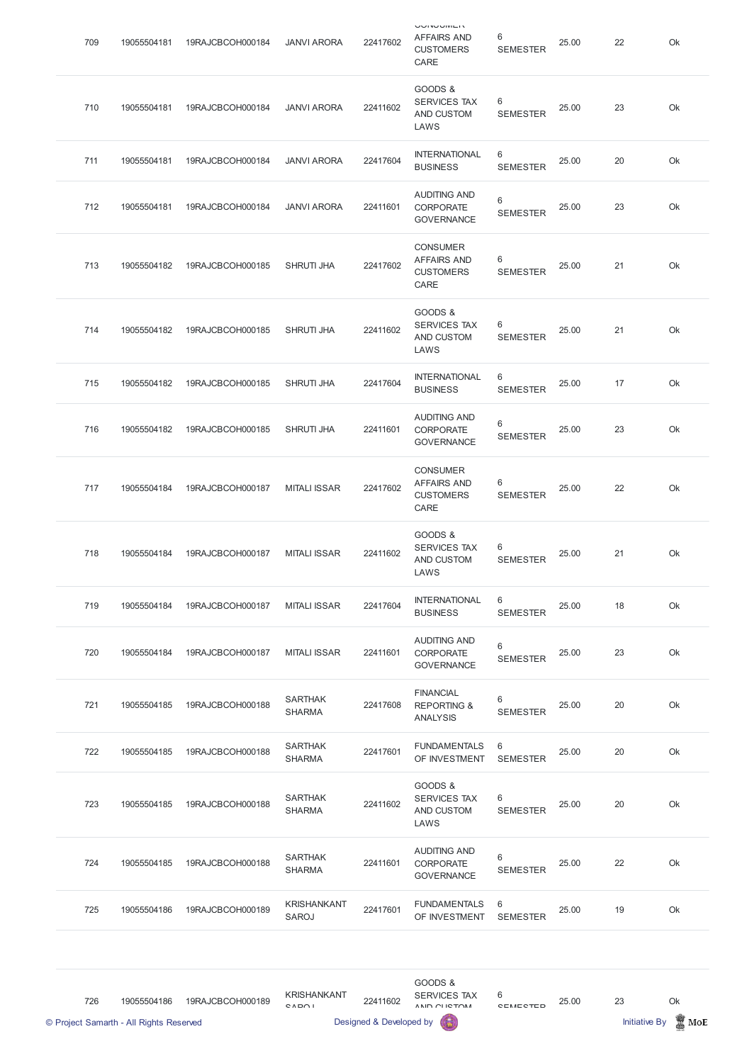|     | © Project Samarth - All Rights Reserved |                  |                                    | Designed & Developed by |                                                                   |                      |       | Initiative By | $\blacksquare$ MoE |
|-----|-----------------------------------------|------------------|------------------------------------|-------------------------|-------------------------------------------------------------------|----------------------|-------|---------------|--------------------|
| 726 | 19055504186                             | 19RAJCBCOH000189 | <b>KRISHANKANT</b><br>CADOI        | 22411602                | GOODS &<br><b>SERVICES TAX</b><br>ANID OF ICTOM                   | 6<br><b>CEMECTED</b> | 25.00 | 23            | Ok                 |
| 725 | 19055504186                             | 19RAJCBCOH000189 | <b>KRISHANKANT</b><br><b>SAROJ</b> | 22417601                | <b>FUNDAMENTALS</b><br>OF INVESTMENT                              | 6<br><b>SEMESTER</b> | 25.00 | 19            | Ok                 |
| 724 | 19055504185                             | 19RAJCBCOH000188 | <b>SARTHAK</b><br><b>SHARMA</b>    | 22411601                | <b>AUDITING AND</b><br>CORPORATE<br><b>GOVERNANCE</b>             | 6<br><b>SEMESTER</b> | 25.00 | 22            | Ok                 |
| 723 | 19055504185                             | 19RAJCBCOH000188 | <b>SARTHAK</b><br><b>SHARMA</b>    | 22411602                | GOODS &<br>SERVICES TAX<br>AND CUSTOM<br>LAWS                     | 6<br><b>SEMESTER</b> | 25.00 | 20            | Ok                 |
| 722 | 19055504185                             | 19RAJCBCOH000188 | <b>SARTHAK</b><br><b>SHARMA</b>    | 22417601                | <b>FUNDAMENTALS</b><br>OF INVESTMENT                              | 6<br><b>SEMESTER</b> | 25.00 | 20            | Ok                 |
| 721 | 19055504185                             | 19RAJCBCOH000188 | <b>SARTHAK</b><br><b>SHARMA</b>    | 22417608                | <b>FINANCIAL</b><br><b>REPORTING &amp;</b><br><b>ANALYSIS</b>     | 6<br><b>SEMESTER</b> | 25.00 | 20            | Ok                 |
| 720 | 19055504184                             | 19RAJCBCOH000187 | <b>MITALI ISSAR</b>                | 22411601                | <b>AUDITING AND</b><br><b>CORPORATE</b><br><b>GOVERNANCE</b>      | 6<br><b>SEMESTER</b> | 25.00 | 23            | Ok                 |
| 719 | 19055504184                             | 19RAJCBCOH000187 | <b>MITALI ISSAR</b>                | 22417604                | <b>INTERNATIONAL</b><br><b>BUSINESS</b>                           | 6<br><b>SEMESTER</b> | 25.00 | 18            | Ok                 |
| 718 | 19055504184                             | 19RAJCBCOH000187 | <b>MITALI ISSAR</b>                | 22411602                | GOODS &<br><b>SERVICES TAX</b><br>AND CUSTOM<br>LAWS              | 6<br><b>SEMESTER</b> | 25.00 | 21            | Ok                 |
| 717 | 19055504184                             | 19RAJCBCOH000187 | <b>MITALI ISSAR</b>                | 22417602                | <b>CONSUMER</b><br><b>AFFAIRS AND</b><br><b>CUSTOMERS</b><br>CARE | 6<br><b>SEMESTER</b> | 25.00 | 22            | Ok                 |
| 716 | 19055504182                             | 19RAJCBCOH000185 | <b>SHRUTI JHA</b>                  | 22411601                | <b>AUDITING AND</b><br><b>CORPORATE</b><br><b>GOVERNANCE</b>      | 6<br><b>SEMESTER</b> | 25.00 | 23            | Ok                 |
| 715 | 19055504182                             | 19RAJCBCOH000185 | <b>SHRUTI JHA</b>                  | 22417604                | <b>INTERNATIONAL</b><br><b>BUSINESS</b>                           | 6<br><b>SEMESTER</b> | 25.00 | 17            | Ok                 |
| 714 | 19055504182                             | 19RAJCBCOH000185 | <b>SHRUTI JHA</b>                  | 22411602                | GOODS &<br><b>SERVICES TAX</b><br>AND CUSTOM<br>LAWS              | 6<br><b>SEMESTER</b> | 25.00 | 21            | Ok                 |
| 713 | 19055504182                             | 19RAJCBCOH000185 | <b>SHRUTI JHA</b>                  | 22417602                | <b>CONSUMER</b><br><b>AFFAIRS AND</b><br><b>CUSTOMERS</b><br>CARE | 6<br><b>SEMESTER</b> | 25.00 | 21            | Ok                 |
| 712 | 19055504181                             | 19RAJCBCOH000184 | <b>JANVI ARORA</b>                 | 22411601                | <b>AUDITING AND</b><br><b>CORPORATE</b><br><b>GOVERNANCE</b>      | 6<br><b>SEMESTER</b> | 25.00 | 23            | Ok                 |
| 711 | 19055504181                             | 19RAJCBCOH000184 | <b>JANVI ARORA</b>                 | 22417604                | <b>INTERNATIONAL</b><br><b>BUSINESS</b>                           | 6<br><b>SEMESTER</b> | 25.00 | 20            | Ok                 |
| 710 | 19055504181                             | 19RAJCBCOH000184 | <b>JANVI ARORA</b>                 | 22411602                | GOODS &<br><b>SERVICES TAX</b><br>AND CUSTOM<br>LAWS              | 6<br><b>SEMESTER</b> | 25.00 | 23            | Ok                 |
| 709 | 19055504181                             | 19RAJCBCOH000184 | <b>JANVI ARORA</b>                 | 22417602                | <b>AUTHOMA</b><br><b>AFFAIRS AND</b><br><b>CUSTOMERS</b><br>CARE  | 6<br><b>SEMESTER</b> | 25.00 | 22            | Ok                 |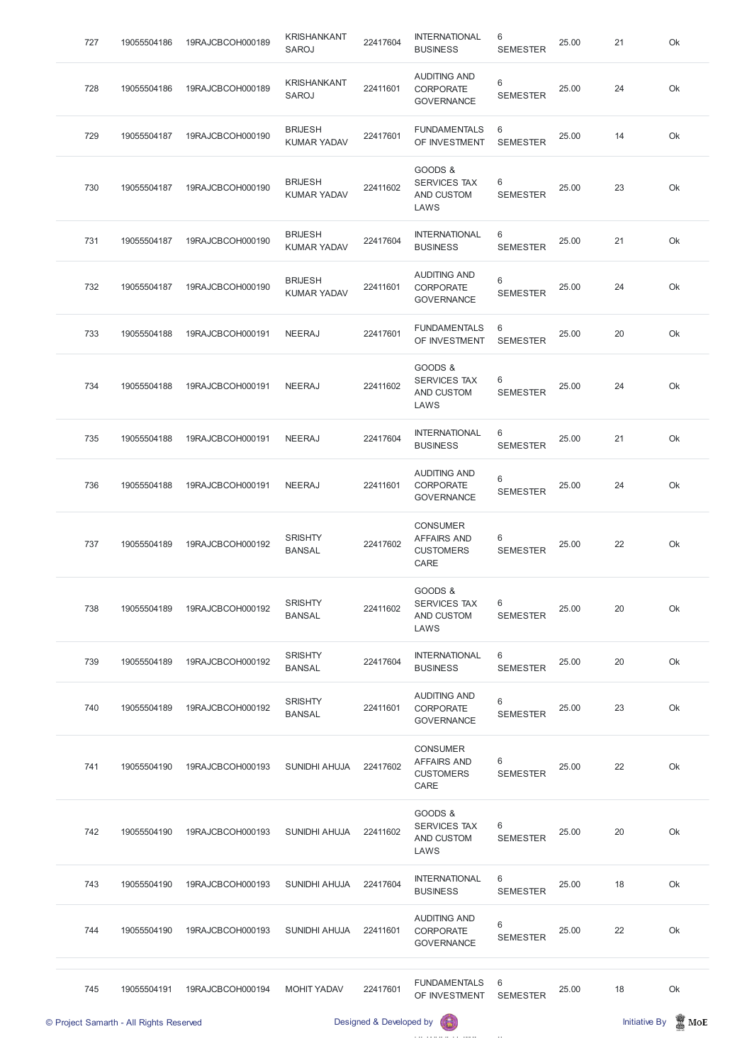| 727 | 19055504186 | 19RAJCBCOH000189 | <b>KRISHANKANT</b><br><b>SAROJ</b>   | 22417604 | <b>INTERNATIONAL</b><br><b>BUSINESS</b>                           | 6<br><b>SEMESTER</b> | 25.00 | 21 | Ok |
|-----|-------------|------------------|--------------------------------------|----------|-------------------------------------------------------------------|----------------------|-------|----|----|
| 728 | 19055504186 | 19RAJCBCOH000189 | <b>KRISHANKANT</b><br><b>SAROJ</b>   | 22411601 | <b>AUDITING AND</b><br><b>CORPORATE</b><br><b>GOVERNANCE</b>      | 6<br><b>SEMESTER</b> | 25.00 | 24 | Ok |
| 729 | 19055504187 | 19RAJCBCOH000190 | <b>BRIJESH</b><br><b>KUMAR YADAV</b> | 22417601 | <b>FUNDAMENTALS</b><br>OF INVESTMENT                              | 6<br><b>SEMESTER</b> | 25.00 | 14 | Ok |
| 730 | 19055504187 | 19RAJCBCOH000190 | <b>BRIJESH</b><br><b>KUMAR YADAV</b> | 22411602 | GOODS &<br><b>SERVICES TAX</b><br>AND CUSTOM<br>LAWS              | 6<br><b>SEMESTER</b> | 25.00 | 23 | Ok |
| 731 | 19055504187 | 19RAJCBCOH000190 | <b>BRIJESH</b><br><b>KUMAR YADAV</b> | 22417604 | <b>INTERNATIONAL</b><br><b>BUSINESS</b>                           | 6<br><b>SEMESTER</b> | 25.00 | 21 | Ok |
| 732 | 19055504187 | 19RAJCBCOH000190 | <b>BRIJESH</b><br><b>KUMAR YADAV</b> | 22411601 | <b>AUDITING AND</b><br><b>CORPORATE</b><br><b>GOVERNANCE</b>      | 6<br><b>SEMESTER</b> | 25.00 | 24 | Ok |
| 733 | 19055504188 | 19RAJCBCOH000191 | <b>NEERAJ</b>                        | 22417601 | <b>FUNDAMENTALS</b><br>OF INVESTMENT                              | 6<br><b>SEMESTER</b> | 25.00 | 20 | Ok |
| 734 | 19055504188 | 19RAJCBCOH000191 | <b>NEERAJ</b>                        | 22411602 | GOODS &<br><b>SERVICES TAX</b><br>AND CUSTOM<br>LAWS              | 6<br><b>SEMESTER</b> | 25.00 | 24 | Ok |
| 735 | 19055504188 | 19RAJCBCOH000191 | <b>NEERAJ</b>                        | 22417604 | <b>INTERNATIONAL</b><br><b>BUSINESS</b>                           | 6<br><b>SEMESTER</b> | 25.00 | 21 | Ok |
| 736 | 19055504188 | 19RAJCBCOH000191 | <b>NEERAJ</b>                        | 22411601 | <b>AUDITING AND</b><br><b>CORPORATE</b><br><b>GOVERNANCE</b>      | 6<br><b>SEMESTER</b> | 25.00 | 24 | Ok |
| 737 | 19055504189 | 19RAJCBCOH000192 | <b>SRISHTY</b><br><b>BANSAL</b>      | 22417602 | <b>CONSUMER</b><br><b>AFFAIRS AND</b><br><b>CUSTOMERS</b><br>CARE | 6<br><b>SEMESTER</b> | 25.00 | 22 | Ok |
| 738 | 19055504189 | 19RAJCBCOH000192 | <b>SRISHTY</b><br><b>BANSAL</b>      | 22411602 | GOODS &<br><b>SERVICES TAX</b><br>AND CUSTOM<br>LAWS              | 6<br><b>SEMESTER</b> | 25.00 | 20 | Ok |
| 739 | 19055504189 | 19RAJCBCOH000192 | <b>SRISHTY</b><br><b>BANSAL</b>      | 22417604 | <b>INTERNATIONAL</b><br><b>BUSINESS</b>                           | 6<br><b>SEMESTER</b> | 25.00 | 20 | Ok |
| 740 | 19055504189 | 19RAJCBCOH000192 | <b>SRISHTY</b><br><b>BANSAL</b>      | 22411601 | <b>AUDITING AND</b><br><b>CORPORATE</b><br><b>GOVERNANCE</b>      | 6<br><b>SEMESTER</b> | 25.00 | 23 | Ok |
| 741 | 19055504190 | 19RAJCBCOH000193 | <b>SUNIDHI AHUJA</b>                 | 22417602 | <b>CONSUMER</b><br><b>AFFAIRS AND</b><br><b>CUSTOMERS</b><br>CARE | 6<br><b>SEMESTER</b> | 25.00 | 22 | Ok |

| © Project Samarth - All Rights Reserved |             |                  | Designed & Developed by<br>63 |          |                                                              |                      |       | <b>Initiative By</b> | $\mathbb Z$ MoE |
|-----------------------------------------|-------------|------------------|-------------------------------|----------|--------------------------------------------------------------|----------------------|-------|----------------------|-----------------|
| 745                                     | 19055504191 | 19RAJCBCOH000194 | <b>MOHIT YADAV</b>            | 22417601 | <b>FUNDAMENTALS</b><br>OF INVESTMENT                         | 6<br><b>SEMESTER</b> | 25.00 | 18                   | Ok              |
| 744                                     | 19055504190 | 19RAJCBCOH000193 | <b>SUNIDHI AHUJA</b>          | 22411601 | <b>AUDITING AND</b><br><b>CORPORATE</b><br><b>GOVERNANCE</b> | 6<br><b>SEMESTER</b> | 25.00 | 22                   | Ok              |
| 743                                     | 19055504190 | 19RAJCBCOH000193 | <b>SUNIDHI AHUJA</b>          | 22417604 | <b>INTERNATIONAL</b><br><b>BUSINESS</b>                      | 6<br><b>SEMESTER</b> | 25.00 | 18                   | Ok              |
| 742                                     | 19055504190 | 19RAJCBCOH000193 | <b>SUNIDHI AHUJA</b>          | 22411602 | GOODS &<br><b>SERVICES TAX</b><br>AND CUSTOM<br>LAWS         | 6<br><b>SEMESTER</b> | 25.00 | 20                   | Ok              |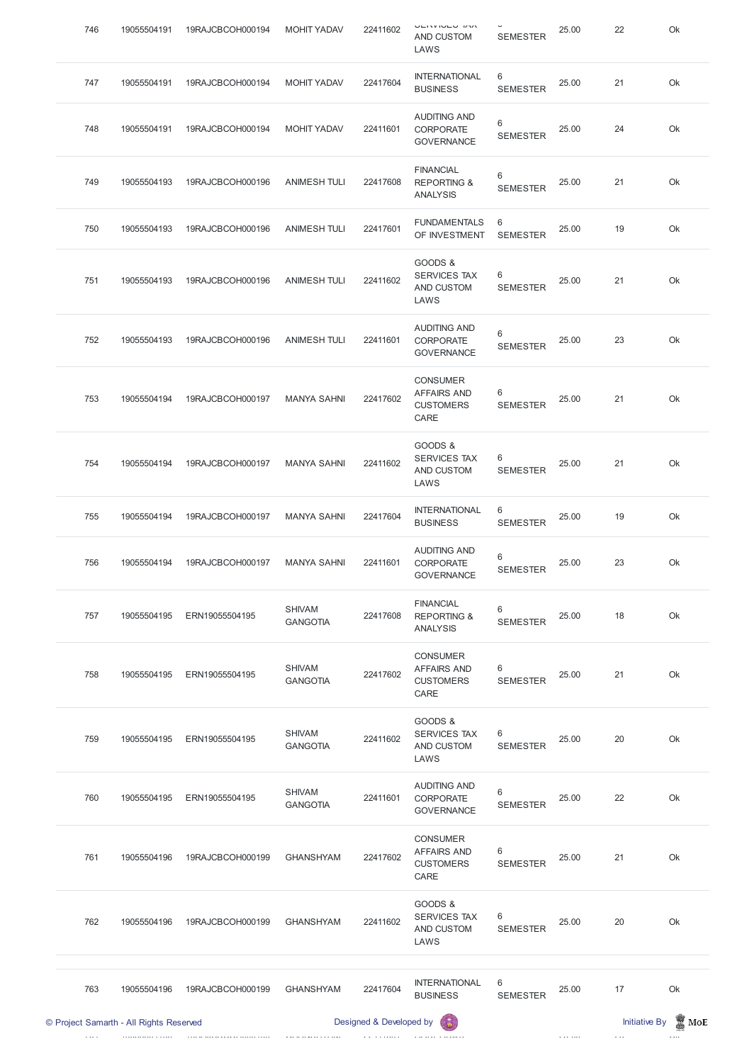| 746 | 19055504191                             | 19RAJCBCOH000194 | <b>MOHIT YADAV</b>               | 22411602                | <b>VEIVOULY DV</b><br><b>AND CUSTOM</b><br>LAWS                   | <b>SEMESTER</b>      | 25.00 | 22                   | Ok              |
|-----|-----------------------------------------|------------------|----------------------------------|-------------------------|-------------------------------------------------------------------|----------------------|-------|----------------------|-----------------|
| 747 | 19055504191                             | 19RAJCBCOH000194 | <b>MOHIT YADAV</b>               | 22417604                | <b>INTERNATIONAL</b><br><b>BUSINESS</b>                           | 6<br><b>SEMESTER</b> | 25.00 | 21                   | Ok              |
| 748 | 19055504191                             | 19RAJCBCOH000194 | <b>MOHIT YADAV</b>               | 22411601                | <b>AUDITING AND</b><br><b>CORPORATE</b><br><b>GOVERNANCE</b>      | 6<br><b>SEMESTER</b> | 25.00 | 24                   | Ok              |
| 749 | 19055504193                             | 19RAJCBCOH000196 | <b>ANIMESH TULI</b>              | 22417608                | <b>FINANCIAL</b><br><b>REPORTING &amp;</b><br><b>ANALYSIS</b>     | 6<br><b>SEMESTER</b> | 25.00 | 21                   | Ok              |
| 750 | 19055504193                             | 19RAJCBCOH000196 | <b>ANIMESH TULI</b>              | 22417601                | <b>FUNDAMENTALS</b><br>OF INVESTMENT                              | 6<br><b>SEMESTER</b> | 25.00 | 19                   | Ok              |
| 751 | 19055504193                             | 19RAJCBCOH000196 | <b>ANIMESH TULI</b>              | 22411602                | GOODS &<br><b>SERVICES TAX</b><br><b>AND CUSTOM</b><br>LAWS       | 6<br><b>SEMESTER</b> | 25.00 | 21                   | Ok              |
| 752 | 19055504193                             | 19RAJCBCOH000196 | <b>ANIMESH TULI</b>              | 22411601                | <b>AUDITING AND</b><br>CORPORATE<br><b>GOVERNANCE</b>             | 6<br><b>SEMESTER</b> | 25.00 | 23                   | Ok              |
| 753 | 19055504194                             | 19RAJCBCOH000197 | <b>MANYA SAHNI</b>               | 22417602                | <b>CONSUMER</b><br><b>AFFAIRS AND</b><br><b>CUSTOMERS</b><br>CARE | 6<br><b>SEMESTER</b> | 25.00 | 21                   | Ok              |
| 754 | 19055504194                             | 19RAJCBCOH000197 | <b>MANYA SAHNI</b>               | 22411602                | GOODS &<br><b>SERVICES TAX</b><br><b>AND CUSTOM</b><br>LAWS       | 6<br><b>SEMESTER</b> | 25.00 | 21                   | Ok              |
| 755 | 19055504194                             | 19RAJCBCOH000197 | <b>MANYA SAHNI</b>               | 22417604                | <b>INTERNATIONAL</b><br><b>BUSINESS</b>                           | 6<br><b>SEMESTER</b> | 25.00 | 19                   | Ok              |
| 756 | 19055504194                             | 19RAJCBCOH000197 | <b>MANYA SAHNI</b>               | 22411601                | <b>AUDITING AND</b><br><b>CORPORATE</b><br><b>GOVERNANCE</b>      | 6<br><b>SEMESTER</b> | 25.00 | 23                   | Ok              |
| 757 | 19055504195                             | ERN19055504195   | <b>SHIVAM</b><br><b>GANGOTIA</b> | 22417608                | <b>FINANCIAL</b><br><b>REPORTING &amp;</b><br><b>ANALYSIS</b>     | 6<br><b>SEMESTER</b> | 25.00 | 18                   | Ok              |
| 758 | 19055504195                             | ERN19055504195   | <b>SHIVAM</b><br><b>GANGOTIA</b> | 22417602                | <b>CONSUMER</b><br><b>AFFAIRS AND</b><br><b>CUSTOMERS</b><br>CARE | 6<br><b>SEMESTER</b> | 25.00 | 21                   | Ok              |
| 759 | 19055504195                             | ERN19055504195   | <b>SHIVAM</b><br><b>GANGOTIA</b> | 22411602                | GOODS &<br><b>SERVICES TAX</b><br><b>AND CUSTOM</b><br>LAWS       | 6<br><b>SEMESTER</b> | 25.00 | 20                   | Ok              |
| 760 | 19055504195                             | ERN19055504195   | <b>SHIVAM</b><br><b>GANGOTIA</b> | 22411601                | <b>AUDITING AND</b><br><b>CORPORATE</b><br><b>GOVERNANCE</b>      | 6<br><b>SEMESTER</b> | 25.00 | 22                   | Ok              |
| 761 | 19055504196                             | 19RAJCBCOH000199 | <b>GHANSHYAM</b>                 | 22417602                | <b>CONSUMER</b><br><b>AFFAIRS AND</b><br><b>CUSTOMERS</b><br>CARE | 6<br><b>SEMESTER</b> | 25.00 | 21                   | Ok              |
| 762 | 19055504196                             | 19RAJCBCOH000199 | <b>GHANSHYAM</b>                 | 22411602                | GOODS &<br>SERVICES TAX<br>AND CUSTOM<br>LAWS                     | 6<br><b>SEMESTER</b> | 25.00 | 20                   | Ok              |
| 763 | 19055504196                             | 19RAJCBCOH000199 | <b>GHANSHYAM</b>                 | 22417604                | <b>INTERNATIONAL</b><br><b>BUSINESS</b>                           | 6<br><b>SEMESTER</b> | 25.00 | 17                   | Ok              |
|     | © Project Samarth - All Rights Reserved |                  |                                  | Designed & Developed by |                                                                   |                      |       | <b>Initiative By</b> | $\mathbb Z$ MoE |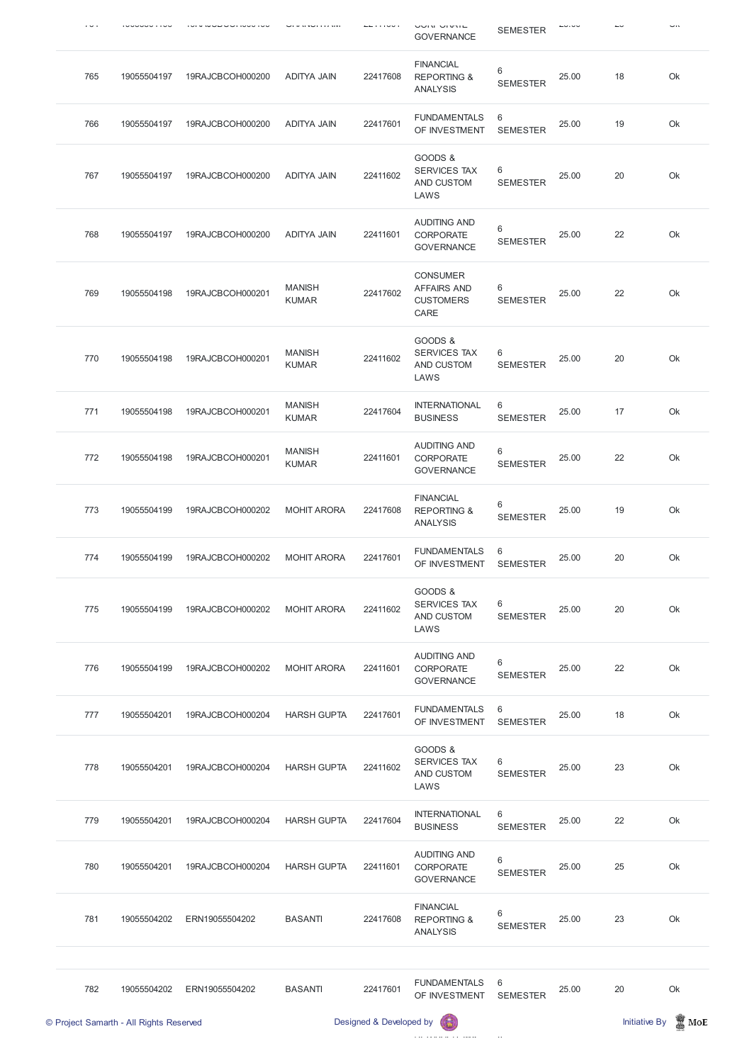| $\cdot$ $\sim$ $\cdot$ |             |                  |                               | .        | שטוא טואר<br><b>GOVERNANCE</b>                                    | <b>SEMESTER</b>      |       |    | $\overline{\phantom{a}}$ |
|------------------------|-------------|------------------|-------------------------------|----------|-------------------------------------------------------------------|----------------------|-------|----|--------------------------|
| 765                    | 19055504197 | 19RAJCBCOH000200 | <b>ADITYA JAIN</b>            | 22417608 | <b>FINANCIAL</b><br><b>REPORTING &amp;</b><br><b>ANALYSIS</b>     | 6<br><b>SEMESTER</b> | 25.00 | 18 | Ok                       |
| 766                    | 19055504197 | 19RAJCBCOH000200 | <b>ADITYA JAIN</b>            | 22417601 | <b>FUNDAMENTALS</b><br>OF INVESTMENT                              | 6<br><b>SEMESTER</b> | 25.00 | 19 | Ok                       |
| 767                    | 19055504197 | 19RAJCBCOH000200 | <b>ADITYA JAIN</b>            | 22411602 | GOODS &<br><b>SERVICES TAX</b><br>AND CUSTOM<br>LAWS              | 6<br><b>SEMESTER</b> | 25.00 | 20 | Ok                       |
| 768                    | 19055504197 | 19RAJCBCOH000200 | <b>ADITYA JAIN</b>            | 22411601 | <b>AUDITING AND</b><br><b>CORPORATE</b><br><b>GOVERNANCE</b>      | 6<br><b>SEMESTER</b> | 25.00 | 22 | Ok                       |
| 769                    | 19055504198 | 19RAJCBCOH000201 | <b>MANISH</b><br><b>KUMAR</b> | 22417602 | <b>CONSUMER</b><br><b>AFFAIRS AND</b><br><b>CUSTOMERS</b><br>CARE | 6<br><b>SEMESTER</b> | 25.00 | 22 | Ok                       |
| 770                    | 19055504198 | 19RAJCBCOH000201 | <b>MANISH</b><br><b>KUMAR</b> | 22411602 | GOODS &<br><b>SERVICES TAX</b><br>AND CUSTOM<br>LAWS              | 6<br><b>SEMESTER</b> | 25.00 | 20 | Ok                       |
| 771                    | 19055504198 | 19RAJCBCOH000201 | <b>MANISH</b><br><b>KUMAR</b> | 22417604 | <b>INTERNATIONAL</b><br><b>BUSINESS</b>                           | 6<br><b>SEMESTER</b> | 25.00 | 17 | Ok                       |
| 772                    | 19055504198 | 19RAJCBCOH000201 | <b>MANISH</b><br><b>KUMAR</b> | 22411601 | <b>AUDITING AND</b><br>CORPORATE<br><b>GOVERNANCE</b>             | 6<br><b>SEMESTER</b> | 25.00 | 22 | Ok                       |
| 773                    | 19055504199 | 19RAJCBCOH000202 | <b>MOHIT ARORA</b>            | 22417608 | <b>FINANCIAL</b><br><b>REPORTING &amp;</b><br><b>ANALYSIS</b>     | 6<br><b>SEMESTER</b> | 25.00 | 19 | Ok                       |
| 774                    | 19055504199 | 19RAJCBCOH000202 | <b>MOHIT ARORA</b>            | 22417601 | <b>FUNDAMENTALS</b><br>OF INVESTMENT                              | 6<br><b>SEMESTER</b> | 25.00 | 20 | Ok                       |
| 775                    | 19055504199 | 19RAJCBCOH000202 | <b>MOHIT ARORA</b>            | 22411602 | GOODS &<br><b>SERVICES TAX</b><br>AND CUSTOM<br>LAWS              | 6<br><b>SEMESTER</b> | 25.00 | 20 | Ok                       |
| 776                    | 19055504199 | 19RAJCBCOH000202 | <b>MOHIT ARORA</b>            | 22411601 | <b>AUDITING AND</b><br><b>CORPORATE</b><br><b>GOVERNANCE</b>      | 6<br><b>SEMESTER</b> | 25.00 | 22 | Ok                       |
| 777                    | 19055504201 | 19RAJCBCOH000204 | <b>HARSH GUPTA</b>            | 22417601 | <b>FUNDAMENTALS</b><br>OF INVESTMENT                              | 6<br><b>SEMESTER</b> | 25.00 | 18 | Ok                       |
| 778                    | 19055504201 | 19RAJCBCOH000204 | <b>HARSH GUPTA</b>            | 22411602 | GOODS &<br>SERVICES TAX<br>AND CUSTOM<br>LAWS                     | 6<br><b>SEMESTER</b> | 25.00 | 23 | Ok                       |

|     | © Project Samarth - All Rights Reserved |                  |                    | Designed & Developed by | 63                                                            |                      |       | <b>Initiative By</b> | $\mathbb Z$ MoE |
|-----|-----------------------------------------|------------------|--------------------|-------------------------|---------------------------------------------------------------|----------------------|-------|----------------------|-----------------|
| 782 | 19055504202                             | ERN19055504202   | <b>BASANTI</b>     | 22417601                | <b>FUNDAMENTALS</b><br>OF INVESTMENT                          | 6<br><b>SEMESTER</b> | 25.00 | 20                   | Ok              |
| 781 | 19055504202                             | ERN19055504202   | <b>BASANTI</b>     | 22417608                | <b>FINANCIAL</b><br><b>REPORTING &amp;</b><br><b>ANALYSIS</b> | 6<br><b>SEMESTER</b> | 25.00 | 23                   | Ok              |
| 780 | 19055504201                             | 19RAJCBCOH000204 | <b>HARSH GUPTA</b> | 22411601                | <b>AUDITING AND</b><br><b>CORPORATE</b><br><b>GOVERNANCE</b>  | 6<br><b>SEMESTER</b> | 25.00 | 25                   | Ok              |
| 779 | 19055504201                             | 19RAJCBCOH000204 | <b>HARSH GUPTA</b> | 22417604                | <b>INTERNATIONAL</b><br><b>BUSINESS</b>                       | 6<br><b>SEMESTER</b> | 25.00 | 22                   | Ok              |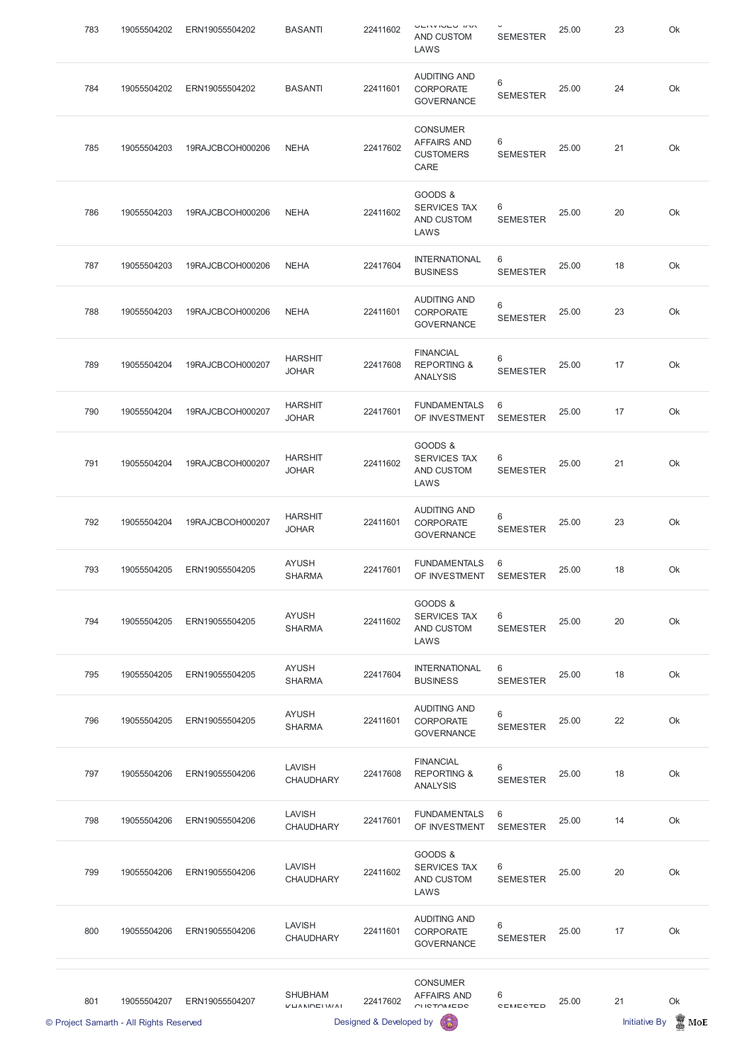| 783 | 19055504202 | ERN19055504202   | <b>BASANTI</b>                    | 22411602 | <b>VEIVIVEY INV</b><br>AND CUSTOM<br>LAWS                         | <b>SEMESTER</b>      | 25.00 | 23 | Ok |
|-----|-------------|------------------|-----------------------------------|----------|-------------------------------------------------------------------|----------------------|-------|----|----|
| 784 | 19055504202 | ERN19055504202   | <b>BASANTI</b>                    | 22411601 | <b>AUDITING AND</b><br><b>CORPORATE</b><br><b>GOVERNANCE</b>      | 6<br><b>SEMESTER</b> | 25.00 | 24 | Ok |
| 785 | 19055504203 | 19RAJCBCOH000206 | <b>NEHA</b>                       | 22417602 | <b>CONSUMER</b><br><b>AFFAIRS AND</b><br><b>CUSTOMERS</b><br>CARE | 6<br><b>SEMESTER</b> | 25.00 | 21 | Ok |
| 786 | 19055504203 | 19RAJCBCOH000206 | <b>NEHA</b>                       | 22411602 | GOODS &<br><b>SERVICES TAX</b><br>AND CUSTOM<br>LAWS              | 6<br><b>SEMESTER</b> | 25.00 | 20 | Ok |
| 787 | 19055504203 | 19RAJCBCOH000206 | <b>NEHA</b>                       | 22417604 | <b>INTERNATIONAL</b><br><b>BUSINESS</b>                           | 6<br><b>SEMESTER</b> | 25.00 | 18 | Ok |
| 788 | 19055504203 | 19RAJCBCOH000206 | <b>NEHA</b>                       | 22411601 | <b>AUDITING AND</b><br><b>CORPORATE</b><br><b>GOVERNANCE</b>      | 6<br><b>SEMESTER</b> | 25.00 | 23 | Ok |
| 789 | 19055504204 | 19RAJCBCOH000207 | <b>HARSHIT</b><br><b>JOHAR</b>    | 22417608 | <b>FINANCIAL</b><br><b>REPORTING &amp;</b><br><b>ANALYSIS</b>     | 6<br><b>SEMESTER</b> | 25.00 | 17 | Ok |
| 790 | 19055504204 | 19RAJCBCOH000207 | <b>HARSHIT</b><br><b>JOHAR</b>    | 22417601 | <b>FUNDAMENTALS</b><br>OF INVESTMENT                              | 6<br><b>SEMESTER</b> | 25.00 | 17 | Ok |
| 791 | 19055504204 | 19RAJCBCOH000207 | <b>HARSHIT</b><br><b>JOHAR</b>    | 22411602 | GOODS &<br><b>SERVICES TAX</b><br>AND CUSTOM<br>LAWS              | 6<br><b>SEMESTER</b> | 25.00 | 21 | Ok |
| 792 | 19055504204 | 19RAJCBCOH000207 | <b>HARSHIT</b><br><b>JOHAR</b>    | 22411601 | <b>AUDITING AND</b><br>CORPORATE<br><b>GOVERNANCE</b>             | 6<br><b>SEMESTER</b> | 25.00 | 23 | Ok |
| 793 | 19055504205 | ERN19055504205   | <b>AYUSH</b><br><b>SHARMA</b>     | 22417601 | <b>FUNDAMENTALS</b><br>OF INVESTMENT                              | 6<br><b>SEMESTER</b> | 25.00 | 18 | Ok |
| 794 | 19055504205 | ERN19055504205   | <b>AYUSH</b><br><b>SHARMA</b>     | 22411602 | GOODS &<br><b>SERVICES TAX</b><br>AND CUSTOM<br>LAWS              | 6<br><b>SEMESTER</b> | 25.00 | 20 | Ok |
| 795 | 19055504205 | ERN19055504205   | <b>AYUSH</b><br><b>SHARMA</b>     | 22417604 | <b>INTERNATIONAL</b><br><b>BUSINESS</b>                           | 6<br><b>SEMESTER</b> | 25.00 | 18 | Ok |
| 796 | 19055504205 | ERN19055504205   | <b>AYUSH</b><br><b>SHARMA</b>     | 22411601 | <b>AUDITING AND</b><br><b>CORPORATE</b><br><b>GOVERNANCE</b>      | 6<br><b>SEMESTER</b> | 25.00 | 22 | Ok |
| 797 | 19055504206 | ERN19055504206   | <b>LAVISH</b><br><b>CHAUDHARY</b> | 22417608 | <b>FINANCIAL</b><br><b>REPORTING &amp;</b><br><b>ANALYSIS</b>     | 6<br><b>SEMESTER</b> | 25.00 | 18 | Ok |

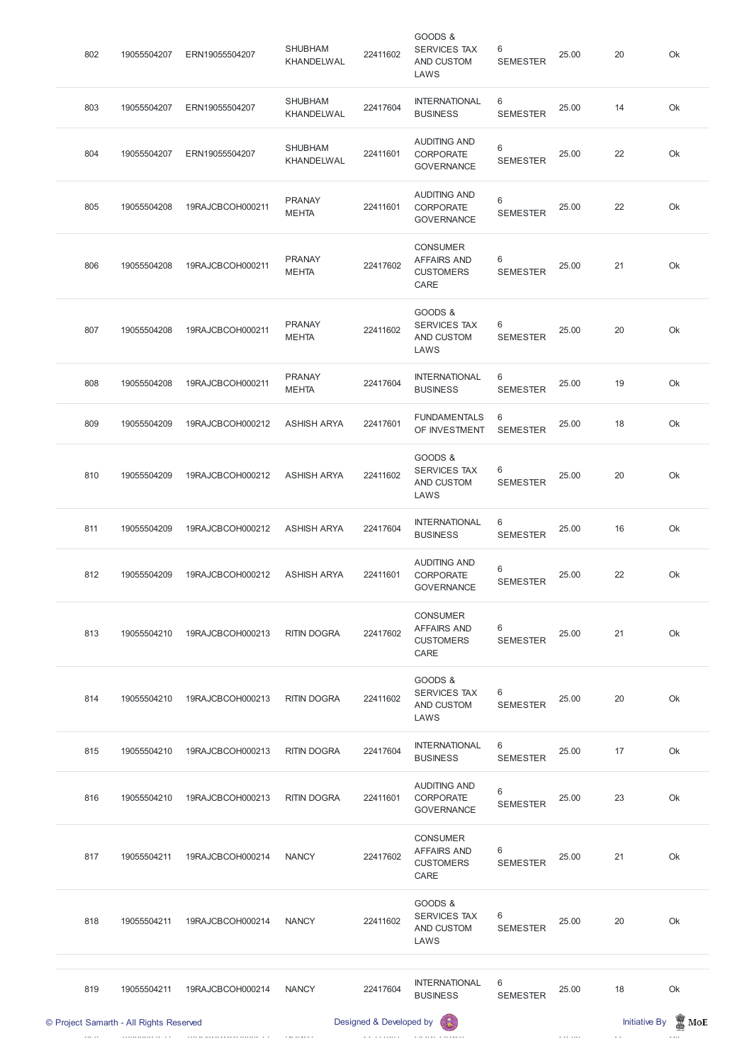| 802 | 19055504207 | ERN19055504207   | <b>SHUBHAM</b><br>KHANDELWAL  | 22411602 | GOODS &<br><b>SERVICES TAX</b><br>AND CUSTOM<br>LAWS              | 6<br><b>SEMESTER</b>     | 25.00 | 20 | Ok |
|-----|-------------|------------------|-------------------------------|----------|-------------------------------------------------------------------|--------------------------|-------|----|----|
| 803 | 19055504207 | ERN19055504207   | <b>SHUBHAM</b><br>KHANDELWAL  | 22417604 | <b>INTERNATIONAL</b><br><b>BUSINESS</b>                           | 6<br><b>SEMESTER</b>     | 25.00 | 14 | Ok |
| 804 | 19055504207 | ERN19055504207   | <b>SHUBHAM</b><br>KHANDELWAL  | 22411601 | <b>AUDITING AND</b><br><b>CORPORATE</b><br><b>GOVERNANCE</b>      | 6<br><b>SEMESTER</b>     | 25.00 | 22 | Ok |
| 805 | 19055504208 | 19RAJCBCOH000211 | <b>PRANAY</b><br><b>MEHTA</b> | 22411601 | <b>AUDITING AND</b><br><b>CORPORATE</b><br><b>GOVERNANCE</b>      | 6<br><b>SEMESTER</b>     | 25.00 | 22 | Ok |
| 806 | 19055504208 | 19RAJCBCOH000211 | <b>PRANAY</b><br><b>MEHTA</b> | 22417602 | <b>CONSUMER</b><br><b>AFFAIRS AND</b><br><b>CUSTOMERS</b><br>CARE | 6<br><b>SEMESTER</b>     | 25.00 | 21 | Ok |
| 807 | 19055504208 | 19RAJCBCOH000211 | <b>PRANAY</b><br><b>MEHTA</b> | 22411602 | GOODS &<br><b>SERVICES TAX</b><br>AND CUSTOM<br>LAWS              | 6<br><b>SEMESTER</b>     | 25.00 | 20 | Ok |
| 808 | 19055504208 | 19RAJCBCOH000211 | <b>PRANAY</b><br><b>MEHTA</b> | 22417604 | <b>INTERNATIONAL</b><br><b>BUSINESS</b>                           | 6<br><b>SEMESTER</b>     | 25.00 | 19 | Ok |
| 809 | 19055504209 | 19RAJCBCOH000212 | <b>ASHISH ARYA</b>            | 22417601 | <b>FUNDAMENTALS</b><br>OF INVESTMENT                              | 6<br><b>SEMESTER</b>     | 25.00 | 18 | Ok |
| 810 | 19055504209 | 19RAJCBCOH000212 | <b>ASHISH ARYA</b>            | 22411602 | GOODS &<br><b>SERVICES TAX</b><br>AND CUSTOM<br>LAWS              | 6<br><b>SEMESTER</b>     | 25.00 | 20 | Ok |
| 811 | 19055504209 | 19RAJCBCOH000212 | <b>ASHISH ARYA</b>            | 22417604 | <b>INTERNATIONAL</b><br><b>BUSINESS</b>                           | 6<br><b>SEMESTER</b>     | 25.00 | 16 | Ok |
| 812 | 19055504209 | 19RAJCBCOH000212 | <b>ASHISH ARYA</b>            | 22411601 | <b>AUDITING AND</b><br><b>CORPORATE</b><br><b>GOVERNANCE</b>      | $6\,$<br><b>SEMESTER</b> | 25.00 | 22 | Ok |
| 813 | 19055504210 | 19RAJCBCOH000213 | <b>RITIN DOGRA</b>            | 22417602 | <b>CONSUMER</b><br><b>AFFAIRS AND</b><br><b>CUSTOMERS</b><br>CARE | 6<br><b>SEMESTER</b>     | 25.00 | 21 | Ok |
| 814 | 19055504210 | 19RAJCBCOH000213 | <b>RITIN DOGRA</b>            | 22411602 | GOODS &<br><b>SERVICES TAX</b><br>AND CUSTOM<br>LAWS              | 6<br><b>SEMESTER</b>     | 25.00 | 20 | Ok |
| 815 | 19055504210 | 19RAJCBCOH000213 | <b>RITIN DOGRA</b>            | 22417604 | <b>INTERNATIONAL</b><br><b>BUSINESS</b>                           | 6<br><b>SEMESTER</b>     | 25.00 | 17 | Ok |
| 816 | 19055504210 | 19RAJCBCOH000213 | <b>RITIN DOGRA</b>            | 22411601 | <b>AUDITING AND</b><br><b>CORPORATE</b>                           | $\,6\,$                  | 25.00 | 23 | Ok |

GOVERNANCE SEMESTER

|     | © Project Samarth - All Rights Reserved |                  |              | Designed & Developed by | <b>BUSINESS</b><br>(時)                                            | <b>SEMESTER</b>          |       | <b>Initiative By</b> | <b>MM</b> MoE |
|-----|-----------------------------------------|------------------|--------------|-------------------------|-------------------------------------------------------------------|--------------------------|-------|----------------------|---------------|
| 819 | 19055504211                             | 19RAJCBCOH000214 | <b>NANCY</b> | 22417604                | <b>INTERNATIONAL</b>                                              | 6                        | 25.00 | 18                   | Ok            |
| 818 | 19055504211                             | 19RAJCBCOH000214 | <b>NANCY</b> | 22411602                | GOODS &<br><b>SERVICES TAX</b><br>AND CUSTOM<br>LAWS              | 6<br><b>SEMESTER</b>     | 25.00 | 20                   | Ok            |
| 817 | 19055504211                             | 19RAJCBCOH000214 | <b>NANCY</b> | 22417602                | <b>CONSUMER</b><br><b>AFFAIRS AND</b><br><b>CUSTOMERS</b><br>CARE | $6\,$<br><b>SEMESTER</b> | 25.00 | 21                   | Ok            |
|     |                                         |                  |              |                         |                                                                   |                          |       |                      |               |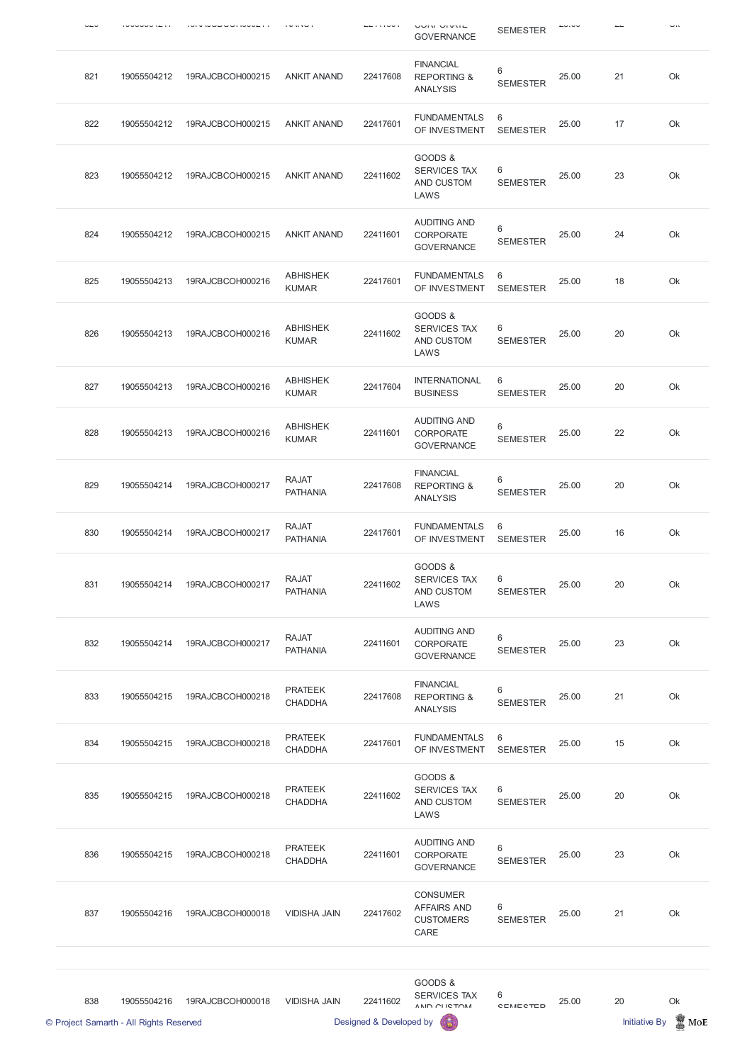| --- |                                                        |                  |                                  |                                     | שווא יש אושט<br><b>GOVERNANCE</b>                                 | <b>SEMESTER</b>      |       |                            | $\overline{\phantom{a}}$ |
|-----|--------------------------------------------------------|------------------|----------------------------------|-------------------------------------|-------------------------------------------------------------------|----------------------|-------|----------------------------|--------------------------|
| 821 | 19055504212                                            | 19RAJCBCOH000215 | <b>ANKIT ANAND</b>               | 22417608                            | <b>FINANCIAL</b><br><b>REPORTING &amp;</b><br><b>ANALYSIS</b>     | 6<br><b>SEMESTER</b> | 25.00 | 21                         | Ok                       |
| 822 | 19055504212                                            | 19RAJCBCOH000215 | <b>ANKIT ANAND</b>               | 22417601                            | <b>FUNDAMENTALS</b><br>OF INVESTMENT                              | 6<br><b>SEMESTER</b> | 25.00 | 17                         | Ok                       |
| 823 | 19055504212                                            | 19RAJCBCOH000215 | <b>ANKIT ANAND</b>               | 22411602                            | GOODS &<br><b>SERVICES TAX</b><br>AND CUSTOM<br>LAWS              | 6<br><b>SEMESTER</b> | 25.00 | 23                         | Ok                       |
| 824 | 19055504212                                            | 19RAJCBCOH000215 | <b>ANKIT ANAND</b>               | 22411601                            | <b>AUDITING AND</b><br><b>CORPORATE</b><br><b>GOVERNANCE</b>      | 6<br><b>SEMESTER</b> | 25.00 | 24                         | Ok                       |
| 825 | 19055504213                                            | 19RAJCBCOH000216 | <b>ABHISHEK</b><br><b>KUMAR</b>  | 22417601                            | <b>FUNDAMENTALS</b><br>OF INVESTMENT                              | 6<br><b>SEMESTER</b> | 25.00 | 18                         | Ok                       |
| 826 | 19055504213                                            | 19RAJCBCOH000216 | <b>ABHISHEK</b><br><b>KUMAR</b>  | 22411602                            | GOODS &<br><b>SERVICES TAX</b><br>AND CUSTOM<br>LAWS              | 6<br><b>SEMESTER</b> | 25.00 | 20                         | Ok                       |
| 827 | 19055504213                                            | 19RAJCBCOH000216 | <b>ABHISHEK</b><br><b>KUMAR</b>  | 22417604                            | <b>INTERNATIONAL</b><br><b>BUSINESS</b>                           | 6<br><b>SEMESTER</b> | 25.00 | 20                         | Ok                       |
| 828 | 19055504213                                            | 19RAJCBCOH000216 | <b>ABHISHEK</b><br><b>KUMAR</b>  | 22411601                            | <b>AUDITING AND</b><br><b>CORPORATE</b><br><b>GOVERNANCE</b>      | 6<br><b>SEMESTER</b> | 25.00 | 22                         | Ok                       |
| 829 | 19055504214                                            | 19RAJCBCOH000217 | <b>RAJAT</b><br><b>PATHANIA</b>  | 22417608                            | <b>FINANCIAL</b><br><b>REPORTING &amp;</b><br><b>ANALYSIS</b>     | 6<br><b>SEMESTER</b> | 25.00 | 20                         | Ok                       |
| 830 | 19055504214                                            | 19RAJCBCOH000217 | <b>RAJAT</b><br><b>PATHANIA</b>  | 22417601                            | <b>FUNDAMENTALS</b><br>OF INVESTMENT                              | 6<br><b>SEMESTER</b> | 25.00 | 16                         | Ok                       |
| 831 | 19055504214                                            | 19RAJCBCOH000217 | <b>RAJAT</b><br><b>PATHANIA</b>  | 22411602                            | GOODS &<br><b>SERVICES TAX</b><br>AND CUSTOM<br>LAWS              | 6<br><b>SEMESTER</b> | 25.00 | 20                         | Ok                       |
| 832 | 19055504214                                            | 19RAJCBCOH000217 | <b>RAJAT</b><br><b>PATHANIA</b>  | 22411601                            | <b>AUDITING AND</b><br><b>CORPORATE</b><br><b>GOVERNANCE</b>      | 6<br><b>SEMESTER</b> | 25.00 | 23                         | Ok                       |
| 833 | 19055504215                                            | 19RAJCBCOH000218 | <b>PRATEEK</b><br><b>CHADDHA</b> | 22417608                            | <b>FINANCIAL</b><br><b>REPORTING &amp;</b><br><b>ANALYSIS</b>     | 6<br><b>SEMESTER</b> | 25.00 | 21                         | Ok                       |
| 834 | 19055504215                                            | 19RAJCBCOH000218 | <b>PRATEEK</b><br><b>CHADDHA</b> | 22417601                            | <b>FUNDAMENTALS</b><br>OF INVESTMENT                              | 6<br><b>SEMESTER</b> | 25.00 | 15                         | Ok                       |
| 835 | 19055504215                                            | 19RAJCBCOH000218 | <b>PRATEEK</b><br><b>CHADDHA</b> | 22411602                            | GOODS &<br><b>SERVICES TAX</b><br>AND CUSTOM<br>LAWS              | 6<br><b>SEMESTER</b> | 25.00 | 20                         | Ok                       |
| 836 | 19055504215                                            | 19RAJCBCOH000218 | <b>PRATEEK</b><br><b>CHADDHA</b> | 22411601                            | <b>AUDITING AND</b><br>CORPORATE<br><b>GOVERNANCE</b>             | 6<br><b>SEMESTER</b> | 25.00 | 23                         | Ok                       |
| 837 | 19055504216                                            | 19RAJCBCOH000018 | <b>VIDISHA JAIN</b>              | 22417602                            | <b>CONSUMER</b><br><b>AFFAIRS AND</b><br><b>CUSTOMERS</b><br>CARE | 6<br><b>SEMESTER</b> | 25.00 | 21                         | Ok                       |
|     |                                                        |                  |                                  |                                     | GOODS &                                                           |                      |       |                            |                          |
| 838 | 19055504216<br>© Project Samarth - All Rights Reserved | 19RAJCBCOH000018 | <b>VIDISHA JAIN</b>              | 22411602<br>Designed & Developed by | <b>SERVICES TAX</b><br>AND CHICTOM                                | 6<br><b>CEMECTED</b> | 25.00 | 20<br><b>Initiative By</b> | Ok<br>$\mathbb{Z}$ MoE   |
|     |                                                        |                  |                                  |                                     |                                                                   |                      |       |                            |                          |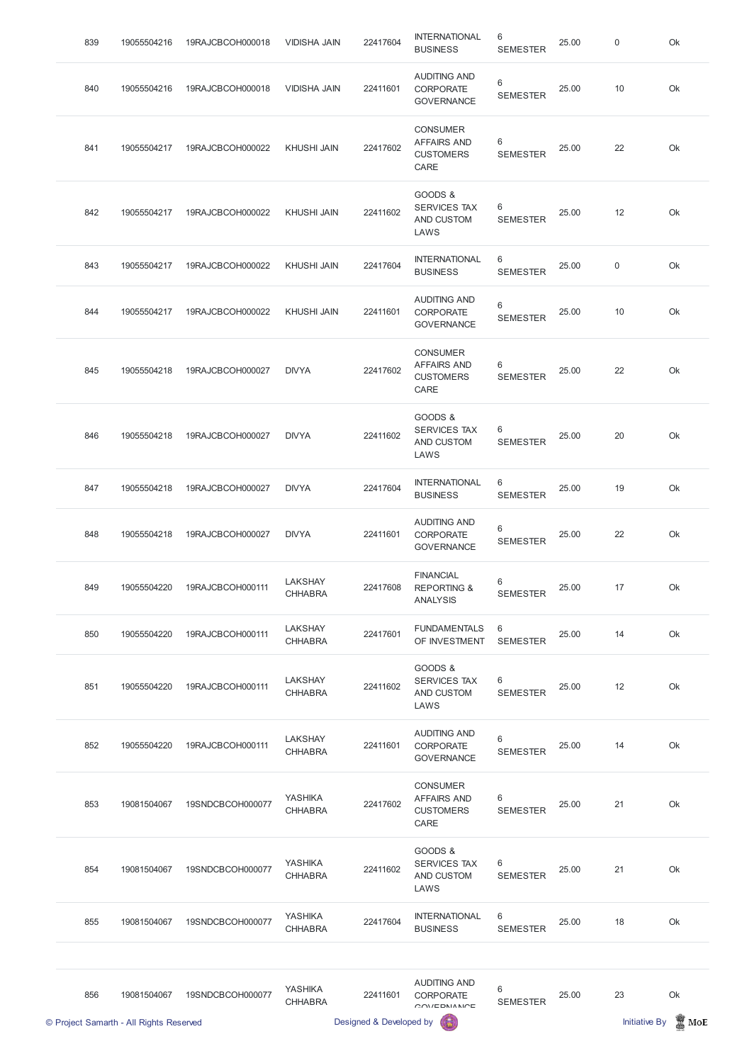| © Project Samarth - All Rights Reserved |             |                  | Designed & Developed by          |          |                                                                   |                      |       | <b>Initiative By</b><br><b>区</b> MoE |    |  |
|-----------------------------------------|-------------|------------------|----------------------------------|----------|-------------------------------------------------------------------|----------------------|-------|--------------------------------------|----|--|
| 856                                     | 19081504067 | 19SNDCBCOH000077 | <b>YASHIKA</b><br><b>CHHABRA</b> | 22411601 | <b>AUDITING AND</b><br><b>CORPORATE</b><br>OM/EDNANDE             | 6<br><b>SEMESTER</b> | 25.00 | 23                                   | Ok |  |
| 855                                     | 19081504067 | 19SNDCBCOH000077 | <b>YASHIKA</b><br><b>CHHABRA</b> | 22417604 | <b>INTERNATIONAL</b><br><b>BUSINESS</b>                           | 6<br><b>SEMESTER</b> | 25.00 | 18                                   | Ok |  |
| 854                                     | 19081504067 | 19SNDCBCOH000077 | <b>YASHIKA</b><br><b>CHHABRA</b> | 22411602 | GOODS &<br><b>SERVICES TAX</b><br>AND CUSTOM<br>LAWS              | 6<br><b>SEMESTER</b> | 25.00 | 21                                   | Ok |  |
| 853                                     | 19081504067 | 19SNDCBCOH000077 | <b>YASHIKA</b><br><b>CHHABRA</b> | 22417602 | <b>CONSUMER</b><br><b>AFFAIRS AND</b><br><b>CUSTOMERS</b><br>CARE | 6<br><b>SEMESTER</b> | 25.00 | 21                                   | Ok |  |
| 852                                     | 19055504220 | 19RAJCBCOH000111 | LAKSHAY<br><b>CHHABRA</b>        | 22411601 | <b>AUDITING AND</b><br><b>CORPORATE</b><br><b>GOVERNANCE</b>      | 6<br><b>SEMESTER</b> | 25.00 | 14                                   | Ok |  |
| 851                                     | 19055504220 | 19RAJCBCOH000111 | LAKSHAY<br><b>CHHABRA</b>        | 22411602 | GOODS &<br>SERVICES TAX<br>AND CUSTOM<br>LAWS                     | 6<br><b>SEMESTER</b> | 25.00 | 12                                   | Ok |  |
| 850                                     | 19055504220 | 19RAJCBCOH000111 | LAKSHAY<br><b>CHHABRA</b>        | 22417601 | <b>FUNDAMENTALS</b><br>OF INVESTMENT                              | 6<br><b>SEMESTER</b> | 25.00 | 14                                   | Ok |  |
| 849                                     | 19055504220 | 19RAJCBCOH000111 | <b>LAKSHAY</b><br><b>CHHABRA</b> | 22417608 | <b>FINANCIAL</b><br><b>REPORTING &amp;</b><br><b>ANALYSIS</b>     | 6<br><b>SEMESTER</b> | 25.00 | 17                                   | Ok |  |
| 848                                     | 19055504218 | 19RAJCBCOH000027 | <b>DIVYA</b>                     | 22411601 | <b>AUDITING AND</b><br><b>CORPORATE</b><br><b>GOVERNANCE</b>      | 6<br><b>SEMESTER</b> | 25.00 | 22                                   | Ok |  |
| 847                                     | 19055504218 | 19RAJCBCOH000027 | <b>DIVYA</b>                     | 22417604 | <b>INTERNATIONAL</b><br><b>BUSINESS</b>                           | 6<br><b>SEMESTER</b> | 25.00 | 19                                   | Ok |  |
| 846                                     | 19055504218 | 19RAJCBCOH000027 | <b>DIVYA</b>                     | 22411602 | GOODS &<br>SERVICES TAX<br>AND CUSTOM<br>LAWS                     | 6<br><b>SEMESTER</b> | 25.00 | 20                                   | Ok |  |
| 845                                     | 19055504218 | 19RAJCBCOH000027 | <b>DIVYA</b>                     | 22417602 | <b>CONSUMER</b><br><b>AFFAIRS AND</b><br><b>CUSTOMERS</b><br>CARE | 6<br><b>SEMESTER</b> | 25.00 | 22                                   | Ok |  |
| 844                                     | 19055504217 | 19RAJCBCOH000022 | <b>KHUSHI JAIN</b>               | 22411601 | <b>AUDITING AND</b><br><b>CORPORATE</b><br><b>GOVERNANCE</b>      | 6<br><b>SEMESTER</b> | 25.00 | 10                                   | Ok |  |
| 843                                     | 19055504217 | 19RAJCBCOH000022 | <b>KHUSHI JAIN</b>               | 22417604 | <b>INTERNATIONAL</b><br><b>BUSINESS</b>                           | 6<br><b>SEMESTER</b> | 25.00 | $\boldsymbol{0}$                     | Ok |  |
| 842                                     | 19055504217 | 19RAJCBCOH000022 | <b>KHUSHI JAIN</b>               | 22411602 | GOODS &<br><b>SERVICES TAX</b><br>AND CUSTOM<br>LAWS              | 6<br><b>SEMESTER</b> | 25.00 | 12                                   | Ok |  |
| 841                                     | 19055504217 | 19RAJCBCOH000022 | <b>KHUSHI JAIN</b>               | 22417602 | <b>CONSUMER</b><br><b>AFFAIRS AND</b><br><b>CUSTOMERS</b><br>CARE | 6<br><b>SEMESTER</b> | 25.00 | 22                                   | Ok |  |
| 840                                     | 19055504216 | 19RAJCBCOH000018 | <b>VIDISHA JAIN</b>              | 22411601 | <b>AUDITING AND</b><br><b>CORPORATE</b><br><b>GOVERNANCE</b>      | 6<br><b>SEMESTER</b> | 25.00 | 10                                   | Ok |  |
| 839                                     | 19055504216 | 19RAJCBCOH000018 | <b>VIDISHA JAIN</b>              | 22417604 | <b>INTERNATIONAL</b><br><b>BUSINESS</b>                           | 6<br><b>SEMESTER</b> | 25.00 | $\mathbf 0$                          | Ok |  |